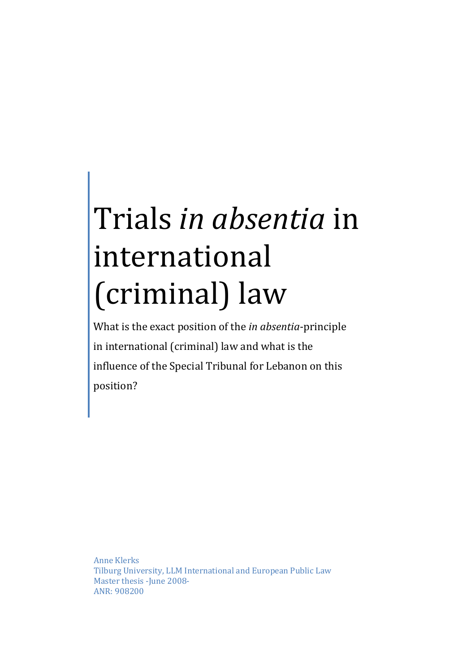# Trials in absentia in international (criminal) law

What is the exact position of the *in absentia*-principle in international (criminal) law and what is the influence of the Special Tribunal for Lebanon on this position?

Anne Klerks Tilburg University, LLM International and European Public Law Master thesis - June 2008-ANR: 908200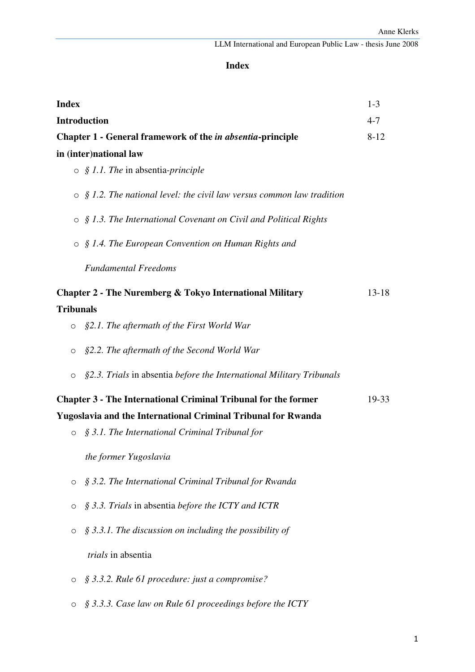# **Index**

| <b>Index</b>     |                                                                              | $1 - 3$   |
|------------------|------------------------------------------------------------------------------|-----------|
|                  | <b>Introduction</b>                                                          | $4 - 7$   |
|                  | Chapter 1 - General framework of the <i>in absentia</i> -principle           | $8 - 12$  |
|                  | in (inter)national law                                                       |           |
|                  | $\circ$ § 1.1. The in absentia-principle                                     |           |
|                  | $\circ$ § 1.2. The national level: the civil law versus common law tradition |           |
|                  | $\circ$ § 1.3. The International Covenant on Civil and Political Rights      |           |
|                  | $\circ$ § 1.4. The European Convention on Human Rights and                   |           |
|                  | <b>Fundamental Freedoms</b>                                                  |           |
|                  | <b>Chapter 2 - The Nuremberg &amp; Tokyo International Military</b>          | $13 - 18$ |
| <b>Tribunals</b> |                                                                              |           |
| O                | §2.1. The aftermath of the First World War                                   |           |
| O                | §2.2. The aftermath of the Second World War                                  |           |
| O                | §2.3. Trials in absentia before the International Military Tribunals         |           |
|                  | <b>Chapter 3 - The International Criminal Tribunal for the former</b>        | 19-33     |
|                  | <b>Yugoslavia and the International Criminal Tribunal for Rwanda</b>         |           |
| $\circ$          | § 3.1. The International Criminal Tribunal for                               |           |
|                  | the former Yugoslavia                                                        |           |
| $\circ$          | § 3.2. The International Criminal Tribunal for Rwanda                        |           |
| O                | § 3.3. Trials in absentia before the ICTY and ICTR                           |           |
| $\circ$          | $\S$ 3.3.1. The discussion on including the possibility of                   |           |
|                  | trials in absentia                                                           |           |
| $\circ$          | § 3.3.2. Rule 61 procedure: just a compromise?                               |           |
| $\circ$          | § 3.3.3. Case law on Rule 61 proceedings before the ICTY                     |           |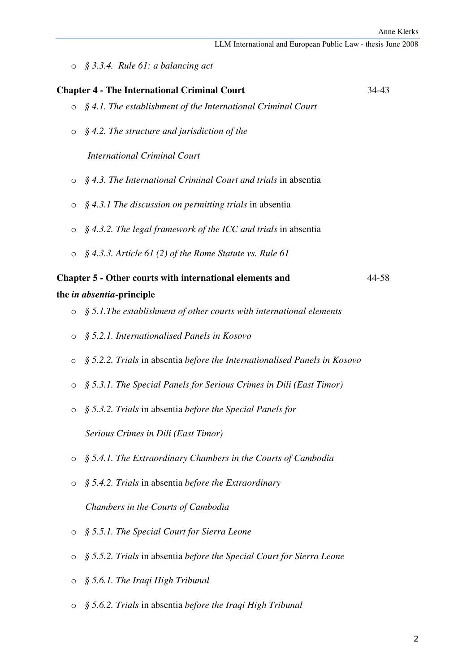o *§ 3.3.4. Rule 61: a balancing act* 

| <b>Chapter 4 - The International Criminal Court</b> |                                                                           |       |
|-----------------------------------------------------|---------------------------------------------------------------------------|-------|
| $\circ$                                             | $\S$ 4.1. The establishment of the International Criminal Court           |       |
| $\circ$                                             | $\S$ 4.2. The structure and jurisdiction of the                           |       |
|                                                     | <b>International Criminal Court</b>                                       |       |
| O                                                   | § 4.3. The International Criminal Court and trials in absentia            |       |
| O                                                   | $\S$ 4.3.1 The discussion on permitting trials in absentia                |       |
| O                                                   | $\S$ 4.3.2. The legal framework of the ICC and trials in absentia         |       |
| $\circ$                                             | $\S$ 4.3.3. Article 61 (2) of the Rome Statute vs. Rule 61                |       |
|                                                     | <b>Chapter 5 - Other courts with international elements and</b>           | 44-58 |
|                                                     | the <i>in absentia</i> -principle                                         |       |
| $\circ$                                             | $\S$ 5.1. The establishment of other courts with international elements   |       |
| $\circ$                                             | § 5.2.1. Internationalised Panels in Kosovo                               |       |
| $\circ$                                             | § 5.2.2. Trials in absentia before the Internationalised Panels in Kosovo |       |
| O                                                   | § 5.3.1. The Special Panels for Serious Crimes in Dili (East Timor)       |       |
| O                                                   | § 5.3.2. Trials in absentia before the Special Panels for                 |       |
|                                                     | Serious Crimes in Dili (East Timor)                                       |       |
| O                                                   | § 5.4.1. The Extraordinary Chambers in the Courts of Cambodia             |       |
| O                                                   | § 5.4.2. Trials in absentia before the Extraordinary                      |       |
|                                                     | Chambers in the Courts of Cambodia                                        |       |
| O                                                   | § 5.5.1. The Special Court for Sierra Leone                               |       |
| O                                                   | § 5.5.2. Trials in absentia before the Special Court for Sierra Leone     |       |
| O                                                   | § 5.6.1. The Iraqi High Tribunal                                          |       |

o *§ 5.6.2. Trials* in absentia *before the Iraqi High Tribunal*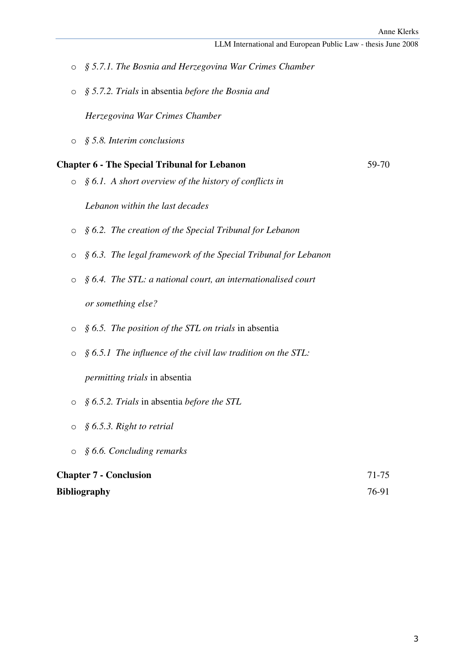- o *§ 5.7.1. The Bosnia and Herzegovina War Crimes Chamber*
- o *§ 5.7.2. Trials* in absentia *before the Bosnia and*

*Herzegovina War Crimes Chamber*

o *§ 5.8. Interim conclusions* 

#### **Chapter 6 - The Special Tribunal for Lebanon** 59-70

o *§ 6.1. A short overview of the history of conflicts in* 

*Lebanon within the last decades* 

- o *§ 6.2. The creation of the Special Tribunal for Lebanon*
- o *§ 6.3. The legal framework of the Special Tribunal for Lebanon*
- o *§ 6.4. The STL: a national court, an internationalised court or something else?*
- o *§ 6.5. The position of the STL on trials* in absentia
- o *§ 6.5.1 The influence of the civil law tradition on the STL:*

*permitting trials* in absentia

- o *§ 6.5.2. Trials* in absentia *before the STL*
- o *§ 6.5.3. Right to retrial*
- o *§ 6.6. Concluding remarks*

# **Chapter 7 - Conclusion** 71-75 **Bibliography** 76-91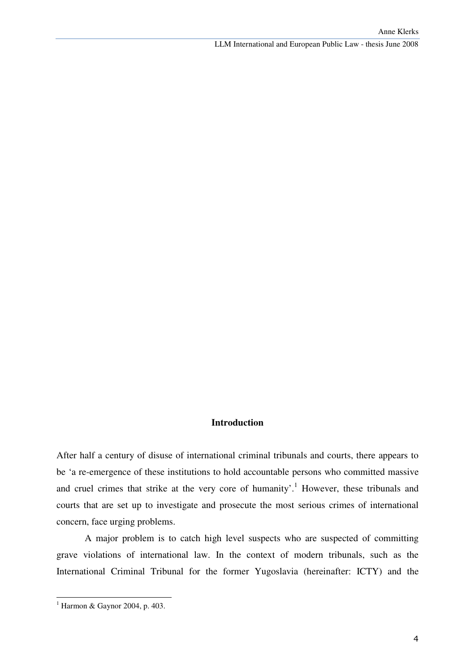#### **Introduction**

After half a century of disuse of international criminal tribunals and courts, there appears to be 'a re-emergence of these institutions to hold accountable persons who committed massive and cruel crimes that strike at the very core of humanity'.<sup>1</sup> However, these tribunals and courts that are set up to investigate and prosecute the most serious crimes of international concern, face urging problems.

A major problem is to catch high level suspects who are suspected of committing grave violations of international law. In the context of modern tribunals, such as the International Criminal Tribunal for the former Yugoslavia (hereinafter: ICTY) and the

<sup>1</sup> Harmon & Gaynor 2004, p. 403.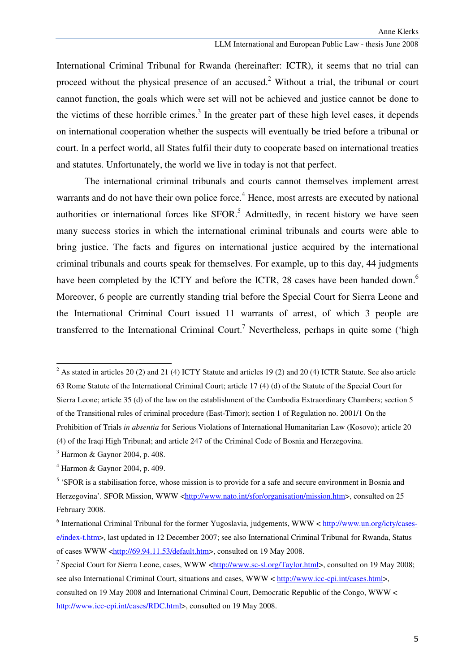International Criminal Tribunal for Rwanda (hereinafter: ICTR), it seems that no trial can proceed without the physical presence of an accused.<sup>2</sup> Without a trial, the tribunal or court cannot function, the goals which were set will not be achieved and justice cannot be done to the victims of these horrible crimes. $3$  In the greater part of these high level cases, it depends on international cooperation whether the suspects will eventually be tried before a tribunal or court. In a perfect world, all States fulfil their duty to cooperate based on international treaties and statutes. Unfortunately, the world we live in today is not that perfect.

The international criminal tribunals and courts cannot themselves implement arrest warrants and do not have their own police force.<sup>4</sup> Hence, most arrests are executed by national authorities or international forces like  $SFOR<sup>5</sup>$  Admittedly, in recent history we have seen many success stories in which the international criminal tribunals and courts were able to bring justice. The facts and figures on international justice acquired by the international criminal tribunals and courts speak for themselves. For example, up to this day, 44 judgments have been completed by the ICTY and before the ICTR, 28 cases have been handed down.<sup>6</sup> Moreover, 6 people are currently standing trial before the Special Court for Sierra Leone and the International Criminal Court issued 11 warrants of arrest, of which 3 people are transferred to the International Criminal Court.<sup>7</sup> Nevertheless, perhaps in quite some ('high

<sup>&</sup>lt;sup>2</sup> As stated in articles 20 (2) and 21 (4) ICTY Statute and articles 19 (2) and 20 (4) ICTR Statute. See also article 63 Rome Statute of the International Criminal Court; article 17 (4) (d) of the Statute of the Special Court for Sierra Leone; article 35 (d) of the law on the establishment of the Cambodia Extraordinary Chambers; section 5 of the Transitional rules of criminal procedure (East-Timor); section 1 of Regulation no. 2001/1 On the Prohibition of Trials *in absentia* for Serious Violations of International Humanitarian Law (Kosovo); article 20 (4) of the Iraqi High Tribunal; and article 247 of the Criminal Code of Bosnia and Herzegovina.

<sup>3</sup> Harmon & Gaynor 2004, p. 408.

<sup>4</sup> Harmon & Gaynor 2004, p. 409.

<sup>&</sup>lt;sup>5</sup> 'SFOR is a stabilisation force, whose mission is to provide for a safe and secure environment in Bosnia and Herzegovina'. SFOR Mission, WWW <http://www.nato.int/sfor/organisation/mission.htm>, consulted on 25 February 2008.

<sup>&</sup>lt;sup>6</sup> International Criminal Tribunal for the former Yugoslavia, judgements, WWW < http://www.un.org/icty/casese/index-t.htm>, last updated in 12 December 2007; see also International Criminal Tribunal for Rwanda, Status of cases WWW <http://69.94.11.53/default.htm>, consulted on 19 May 2008.

<sup>&</sup>lt;sup>7</sup> Special Court for Sierra Leone, cases, WWW < $\frac{http://www.sc-sl.org/Taylor.html>}{http://www.sc-sl.org/Taylor.html>}$ , consulted on 19 May 2008; see also International Criminal Court, situations and cases, WWW < http://www.icc-cpi.int/cases.html>, consulted on 19 May 2008 and International Criminal Court, Democratic Republic of the Congo, WWW < http://www.icc-cpi.int/cases/RDC.html>, consulted on 19 May 2008.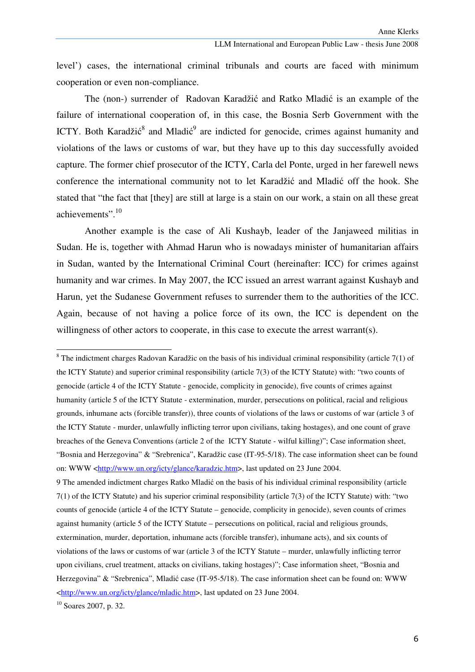level') cases, the international criminal tribunals and courts are faced with minimum cooperation or even non-compliance.

 The (non-) surrender of Radovan Karadžić and Ratko Mladić is an example of the failure of international cooperation of, in this case, the Bosnia Serb Government with the ICTY. Both Karadžić<sup>8</sup> and Mladić<sup>9</sup> are indicted for genocide, crimes against humanity and violations of the laws or customs of war, but they have up to this day successfully avoided capture. The former chief prosecutor of the ICTY, Carla del Ponte, urged in her farewell news conference the international community not to let Karadžić and Mladić off the hook. She stated that "the fact that [they] are still at large is a stain on our work, a stain on all these great achievements".<sup>10</sup>

 Another example is the case of Ali Kushayb, leader of the Janjaweed militias in Sudan. He is, together with Ahmad Harun who is nowadays minister of humanitarian affairs in Sudan, wanted by the International Criminal Court (hereinafter: ICC) for crimes against humanity and war crimes. In May 2007, the ICC issued an arrest warrant against Kushayb and Harun, yet the Sudanese Government refuses to surrender them to the authorities of the ICC. Again, because of not having a police force of its own, the ICC is dependent on the willingness of other actors to cooperate, in this case to execute the arrest warrant(s).

 $10$  Soares 2007, p. 32.

 $8$  The indictment charges Radovan Karadžic on the basis of his individual criminal responsibility (article 7(1) of the ICTY Statute) and superior criminal responsibility (article 7(3) of the ICTY Statute) with: "two counts of genocide (article 4 of the ICTY Statute - genocide, complicity in genocide), five counts of crimes against humanity (article 5 of the ICTY Statute - extermination, murder, persecutions on political, racial and religious grounds, inhumane acts (forcible transfer)), three counts of violations of the laws or customs of war (article 3 of the ICTY Statute - murder, unlawfully inflicting terror upon civilians, taking hostages), and one count of grave breaches of the Geneva Conventions (article 2 of the ICTY Statute - wilful killing)"; Case information sheet, "Bosnia and Herzegovina" & "Srebrenica", Karadžic case (IT-95-5/18). The case information sheet can be found on: WWW <http://www.un.org/icty/glance/karadzic.htm>, last updated on 23 June 2004.

<sup>9</sup> The amended indictment charges Ratko Mladić on the basis of his individual criminal responsibility (article 7(1) of the ICTY Statute) and his superior criminal responsibility (article 7(3) of the ICTY Statute) with: "two counts of genocide (article 4 of the ICTY Statute – genocide, complicity in genocide), seven counts of crimes against humanity (article 5 of the ICTY Statute – persecutions on political, racial and religious grounds, extermination, murder, deportation, inhumane acts (forcible transfer), inhumane acts), and six counts of violations of the laws or customs of war (article 3 of the ICTY Statute – murder, unlawfully inflicting terror upon civilians, cruel treatment, attacks on civilians, taking hostages)"; Case information sheet, "Bosnia and Herzegovina" & "Srebrenica", Mladić case (IT-95-5/18). The case information sheet can be found on: WWW <http://www.un.org/icty/glance/mladic.htm>, last updated on 23 June 2004.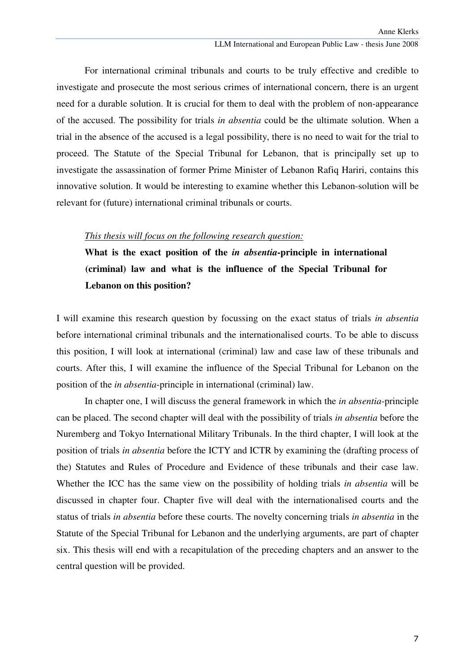For international criminal tribunals and courts to be truly effective and credible to investigate and prosecute the most serious crimes of international concern, there is an urgent need for a durable solution. It is crucial for them to deal with the problem of non-appearance of the accused. The possibility for trials *in absentia* could be the ultimate solution. When a trial in the absence of the accused is a legal possibility, there is no need to wait for the trial to proceed. The Statute of the Special Tribunal for Lebanon, that is principally set up to investigate the assassination of former Prime Minister of Lebanon Rafiq Hariri, contains this innovative solution. It would be interesting to examine whether this Lebanon-solution will be relevant for (future) international criminal tribunals or courts.

#### *This thesis will focus on the following research question:*

**What is the exact position of the** *in absentia***-principle in international (criminal) law and what is the influence of the Special Tribunal for Lebanon on this position?** 

I will examine this research question by focussing on the exact status of trials *in absentia* before international criminal tribunals and the internationalised courts. To be able to discuss this position, I will look at international (criminal) law and case law of these tribunals and courts. After this, I will examine the influence of the Special Tribunal for Lebanon on the position of the *in absentia*-principle in international (criminal) law.

In chapter one, I will discuss the general framework in which the *in absentia*-principle can be placed. The second chapter will deal with the possibility of trials *in absentia* before the Nuremberg and Tokyo International Military Tribunals. In the third chapter, I will look at the position of trials *in absentia* before the ICTY and ICTR by examining the (drafting process of the) Statutes and Rules of Procedure and Evidence of these tribunals and their case law. Whether the ICC has the same view on the possibility of holding trials *in absentia* will be discussed in chapter four. Chapter five will deal with the internationalised courts and the status of trials *in absentia* before these courts. The novelty concerning trials *in absentia* in the Statute of the Special Tribunal for Lebanon and the underlying arguments, are part of chapter six. This thesis will end with a recapitulation of the preceding chapters and an answer to the central question will be provided.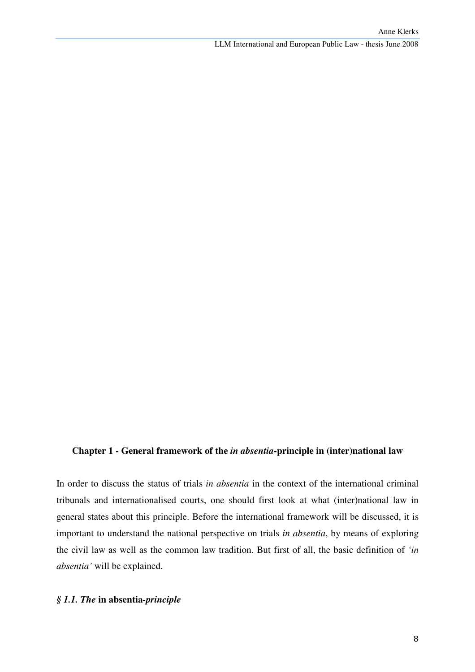#### **Chapter 1 - General framework of the** *in absentia***-principle in (inter)national law**

In order to discuss the status of trials *in absentia* in the context of the international criminal tribunals and internationalised courts, one should first look at what (inter)national law in general states about this principle. Before the international framework will be discussed, it is important to understand the national perspective on trials *in absentia*, by means of exploring the civil law as well as the common law tradition. But first of all, the basic definition of *'in absentia'* will be explained.

## *§ 1.1. The* **in absentia***-principle*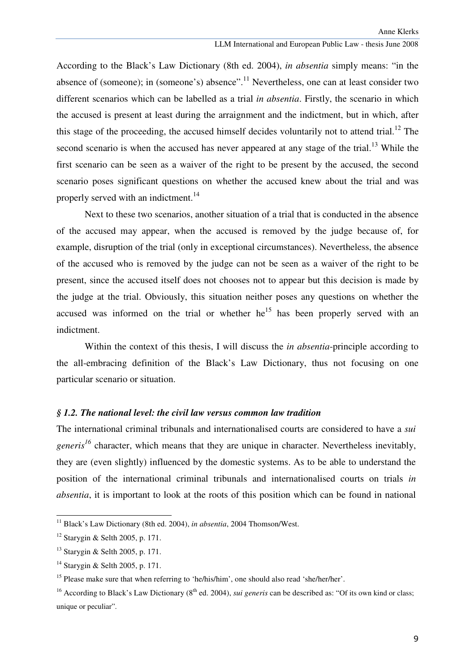According to the Black's Law Dictionary (8th ed. 2004), *in absentia* simply means: "in the absence of (someone); in (someone's) absence".<sup>11</sup> Nevertheless, one can at least consider two different scenarios which can be labelled as a trial *in absentia*. Firstly, the scenario in which the accused is present at least during the arraignment and the indictment, but in which, after this stage of the proceeding, the accused himself decides voluntarily not to attend trial.<sup>12</sup> The second scenario is when the accused has never appeared at any stage of the trial.<sup>13</sup> While the first scenario can be seen as a waiver of the right to be present by the accused, the second scenario poses significant questions on whether the accused knew about the trial and was properly served with an indictment.<sup>14</sup>

Next to these two scenarios, another situation of a trial that is conducted in the absence of the accused may appear, when the accused is removed by the judge because of, for example, disruption of the trial (only in exceptional circumstances). Nevertheless, the absence of the accused who is removed by the judge can not be seen as a waiver of the right to be present, since the accused itself does not chooses not to appear but this decision is made by the judge at the trial. Obviously, this situation neither poses any questions on whether the accused was informed on the trial or whether  $he^{15}$  has been properly served with an indictment.

Within the context of this thesis, I will discuss the *in absentia*-principle according to the all-embracing definition of the Black's Law Dictionary, thus not focusing on one particular scenario or situation.

#### *§ 1.2. The national level: the civil law versus common law tradition*

The international criminal tribunals and internationalised courts are considered to have a *sui generis<sup>16</sup>* character, which means that they are unique in character. Nevertheless inevitably, they are (even slightly) influenced by the domestic systems. As to be able to understand the position of the international criminal tribunals and internationalised courts on trials *in absentia*, it is important to look at the roots of this position which can be found in national

<sup>&</sup>lt;sup>11</sup> Black's Law Dictionary (8th ed. 2004), *in absentia*, 2004 Thomson/West.

<sup>12</sup> Starygin & Selth 2005, p. 171.

<sup>13</sup> Starygin & Selth 2005, p. 171.

<sup>14</sup> Starygin & Selth 2005, p. 171.

<sup>&</sup>lt;sup>15</sup> Please make sure that when referring to 'he/his/him', one should also read 'she/her/her'.

<sup>&</sup>lt;sup>16</sup> According to Black's Law Dictionary (8<sup>th</sup> ed. 2004), *sui generis* can be described as: "Of its own kind or class: unique or peculiar".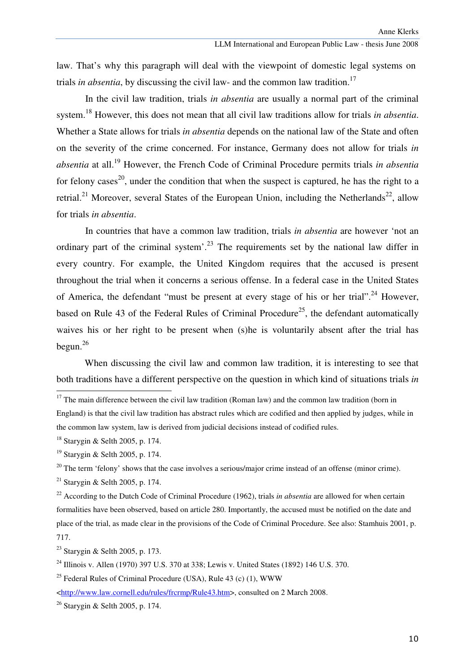law. That's why this paragraph will deal with the viewpoint of domestic legal systems on trials *in absentia*, by discussing the civil law- and the common law tradition.<sup>17</sup>

In the civil law tradition, trials *in absentia* are usually a normal part of the criminal system.<sup>18</sup> However, this does not mean that all civil law traditions allow for trials *in absentia*. Whether a State allows for trials *in absentia* depends on the national law of the State and often on the severity of the crime concerned. For instance, Germany does not allow for trials *in absentia* at all.<sup>19</sup> However, the French Code of Criminal Procedure permits trials *in absentia* for felony cases<sup>20</sup>, under the condition that when the suspect is captured, he has the right to a retrial.<sup>21</sup> Moreover, several States of the European Union, including the Netherlands<sup>22</sup>, allow for trials *in absentia*.

In countries that have a common law tradition, trials *in absentia* are however 'not an ordinary part of the criminal system'.<sup>23</sup> The requirements set by the national law differ in every country. For example, the United Kingdom requires that the accused is present throughout the trial when it concerns a serious offense. In a federal case in the United States of America, the defendant "must be present at every stage of his or her trial".<sup>24</sup> However, based on Rule 43 of the Federal Rules of Criminal Procedure<sup>25</sup>, the defendant automatically waives his or her right to be present when (s)he is voluntarily absent after the trial has begun. $^{26}$ 

When discussing the civil law and common law tradition, it is interesting to see that both traditions have a different perspective on the question in which kind of situations trials *in* 

 $17$  The main difference between the civil law tradition (Roman law) and the common law tradition (born in England) is that the civil law tradition has abstract rules which are codified and then applied by judges, while in the common law system, law is derived from judicial decisions instead of codified rules.

<sup>18</sup> Starygin & Selth 2005, p. 174.

<sup>19</sup> Starygin & Selth 2005, p. 174.

<sup>&</sup>lt;sup>20</sup> The term 'felony' shows that the case involves a serious/major crime instead of an offense (minor crime).

<sup>&</sup>lt;sup>21</sup> Starygin & Selth 2005, p. 174.

<sup>&</sup>lt;sup>22</sup> According to the Dutch Code of Criminal Procedure (1962), trials *in absentia* are allowed for when certain formalities have been observed, based on article 280. Importantly, the accused must be notified on the date and place of the trial, as made clear in the provisions of the Code of Criminal Procedure. See also: Stamhuis 2001, p. 717.

<sup>23</sup> Starygin & Selth 2005, p. 173.

<sup>24</sup> Illinois v. Allen (1970) 397 U.S. 370 at 338; Lewis v. United States (1892) 146 U.S. 370.

<sup>&</sup>lt;sup>25</sup> Federal Rules of Criminal Procedure (USA), Rule 43 (c) (1), WWW

<sup>&</sup>lt;http://www.law.cornell.edu/rules/frcrmp/Rule43.htm>, consulted on 2 March 2008.

<sup>26</sup> Starygin & Selth 2005, p. 174.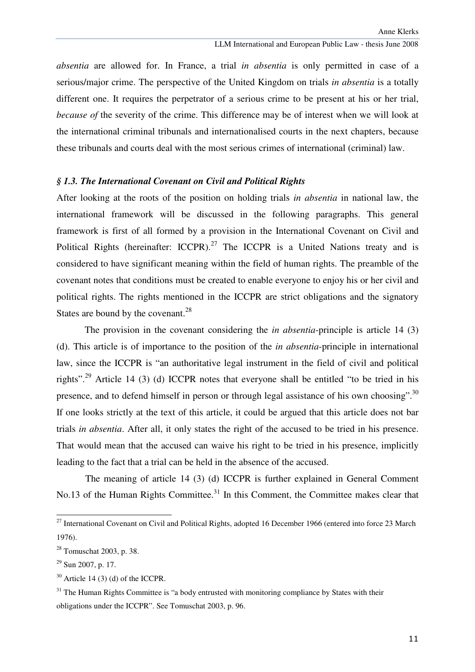*absentia* are allowed for. In France, a trial *in absentia* is only permitted in case of a serious/major crime. The perspective of the United Kingdom on trials *in absentia* is a totally different one. It requires the perpetrator of a serious crime to be present at his or her trial, *because of* the severity of the crime. This difference may be of interest when we will look at the international criminal tribunals and internationalised courts in the next chapters, because these tribunals and courts deal with the most serious crimes of international (criminal) law.

#### *§ 1.3. The International Covenant on Civil and Political Rights*

After looking at the roots of the position on holding trials *in absentia* in national law, the international framework will be discussed in the following paragraphs. This general framework is first of all formed by a provision in the International Covenant on Civil and Political Rights (hereinafter: ICCPR).<sup>27</sup> The ICCPR is a United Nations treaty and is considered to have significant meaning within the field of human rights. The preamble of the covenant notes that conditions must be created to enable everyone to enjoy his or her civil and political rights. The rights mentioned in the ICCPR are strict obligations and the signatory States are bound by the covenant.<sup>28</sup>

The provision in the covenant considering the *in absentia*-principle is article 14 (3) (d). This article is of importance to the position of the *in absentia*-principle in international law, since the ICCPR is "an authoritative legal instrument in the field of civil and political rights".<sup>29</sup> Article 14 (3) (d) ICCPR notes that everyone shall be entitled "to be tried in his presence, and to defend himself in person or through legal assistance of his own choosing".<sup>30</sup> If one looks strictly at the text of this article, it could be argued that this article does not bar trials *in absentia*. After all, it only states the right of the accused to be tried in his presence. That would mean that the accused can waive his right to be tried in his presence, implicitly leading to the fact that a trial can be held in the absence of the accused.

The meaning of article 14 (3) (d) ICCPR is further explained in General Comment No.13 of the Human Rights Committee.<sup>31</sup> In this Comment, the Committee makes clear that

 $^{27}$  International Covenant on Civil and Political Rights, adopted 16 December 1966 (entered into force 23 March 1976).

<sup>28</sup> Tomuschat 2003, p. 38.

 $^{29}$  Sun 2007, p. 17.

 $30$  Article 14 (3) (d) of the ICCPR.

 $31$  The Human Rights Committee is "a body entrusted with monitoring compliance by States with their obligations under the ICCPR". See Tomuschat 2003, p. 96.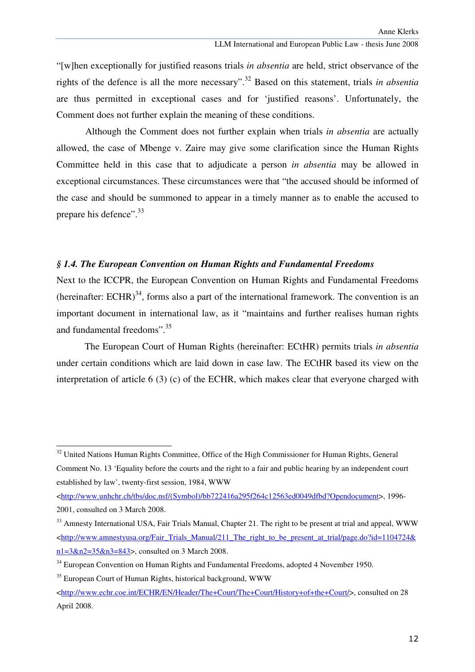"[w]hen exceptionally for justified reasons trials *in absentia* are held, strict observance of the rights of the defence is all the more necessary".<sup>32</sup> Based on this statement, trials *in absentia* are thus permitted in exceptional cases and for 'justified reasons'. Unfortunately, the Comment does not further explain the meaning of these conditions.

Although the Comment does not further explain when trials *in absentia* are actually allowed, the case of Mbenge v. Zaire may give some clarification since the Human Rights Committee held in this case that to adjudicate a person *in absentia* may be allowed in exceptional circumstances. These circumstances were that "the accused should be informed of the case and should be summoned to appear in a timely manner as to enable the accused to prepare his defence".<sup>33</sup>

#### *§ 1.4. The European Convention on Human Rights and Fundamental Freedoms*

Next to the ICCPR, the European Convention on Human Rights and Fundamental Freedoms (hereinafter: ECHR)<sup>34</sup>, forms also a part of the international framework. The convention is an important document in international law, as it "maintains and further realises human rights and fundamental freedoms".<sup>35</sup>

The European Court of Human Rights (hereinafter: ECtHR) permits trials *in absentia* under certain conditions which are laid down in case law. The ECtHR based its view on the interpretation of article 6 (3) (c) of the ECHR, which makes clear that everyone charged with

<sup>&</sup>lt;sup>32</sup> United Nations Human Rights Committee, Office of the High Commissioner for Human Rights, General Comment No. 13 'Equality before the courts and the right to a fair and public hearing by an independent court established by law', twenty-first session, 1984, WWW

<sup>&</sup>lt;http://www.unhchr.ch/tbs/doc.nsf/(Symbol)/bb722416a295f264c12563ed0049dfbd?Opendocument>, 1996- 2001, consulted on 3 March 2008.

<sup>&</sup>lt;sup>33</sup> Amnesty International USA, Fair Trials Manual, Chapter 21. The right to be present at trial and appeal, WWW <http://www.amnestyusa.org/Fair\_Trials\_Manual/211\_The\_right\_to\_be\_present\_at\_trial/page.do?id=1104724& n1=3&n2=35&n3=843>, consulted on 3 March 2008.

<sup>&</sup>lt;sup>34</sup> European Convention on Human Rights and Fundamental Freedoms, adopted 4 November 1950.

<sup>&</sup>lt;sup>35</sup> European Court of Human Rights, historical background, WWW

<sup>&</sup>lt;http://www.echr.coe.int/ECHR/EN/Header/The+Court/The+Court/History+of+the+Court/>, consulted on 28 April 2008.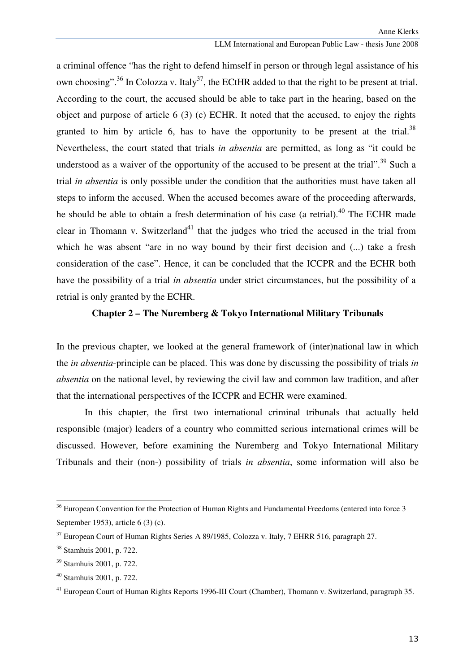a criminal offence "has the right to defend himself in person or through legal assistance of his own choosing".<sup>36</sup> In Colozza v. Italy<sup>37</sup>, the ECtHR added to that the right to be present at trial. According to the court, the accused should be able to take part in the hearing, based on the object and purpose of article 6 (3) (c) ECHR. It noted that the accused, to enjoy the rights granted to him by article 6, has to have the opportunity to be present at the trial.<sup>38</sup> Nevertheless, the court stated that trials *in absentia* are permitted, as long as "it could be understood as a waiver of the opportunity of the accused to be present at the trial".<sup>39</sup> Such a trial *in absentia* is only possible under the condition that the authorities must have taken all steps to inform the accused. When the accused becomes aware of the proceeding afterwards, he should be able to obtain a fresh determination of his case (a retrial).<sup>40</sup> The ECHR made clear in Thomann v. Switzerland<sup>41</sup> that the judges who tried the accused in the trial from which he was absent "are in no way bound by their first decision and (...) take a fresh consideration of the case". Hence, it can be concluded that the ICCPR and the ECHR both have the possibility of a trial *in absentia* under strict circumstances, but the possibility of a retrial is only granted by the ECHR.

#### **Chapter 2 – The Nuremberg & Tokyo International Military Tribunals**

In the previous chapter, we looked at the general framework of (inter)national law in which the *in absentia*-principle can be placed. This was done by discussing the possibility of trials *in absentia* on the national level, by reviewing the civil law and common law tradition, and after that the international perspectives of the ICCPR and ECHR were examined.

In this chapter, the first two international criminal tribunals that actually held responsible (major) leaders of a country who committed serious international crimes will be discussed. However, before examining the Nuremberg and Tokyo International Military Tribunals and their (non-) possibility of trials *in absentia*, some information will also be

 $\overline{a}$ 

<sup>&</sup>lt;sup>36</sup> European Convention for the Protection of Human Rights and Fundamental Freedoms (entered into force 3 September 1953), article 6 (3) (c).

<sup>&</sup>lt;sup>37</sup> European Court of Human Rights Series A 89/1985, Colozza v. Italy, 7 EHRR 516, paragraph 27.

<sup>38</sup> Stamhuis 2001, p. 722.

<sup>39</sup> Stamhuis 2001, p. 722.

<sup>40</sup> Stamhuis 2001, p. 722.

<sup>&</sup>lt;sup>41</sup> European Court of Human Rights Reports 1996-III Court (Chamber), Thomann v. Switzerland, paragraph 35.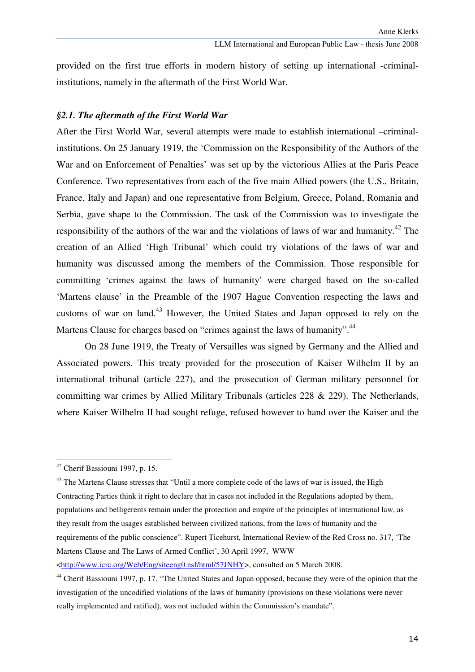provided on the first true efforts in modern history of setting up international -criminalinstitutions, namely in the aftermath of the First World War.

#### *§2.1. The aftermath of the First World War*

After the First World War, several attempts were made to establish international –criminalinstitutions. On 25 January 1919, the 'Commission on the Responsibility of the Authors of the War and on Enforcement of Penalties' was set up by the victorious Allies at the Paris Peace Conference. Two representatives from each of the five main Allied powers (the U.S., Britain, France, Italy and Japan) and one representative from Belgium, Greece, Poland, Romania and Serbia, gave shape to the Commission. The task of the Commission was to investigate the responsibility of the authors of the war and the violations of laws of war and humanity.<sup>42</sup> The creation of an Allied 'High Tribunal' which could try violations of the laws of war and humanity was discussed among the members of the Commission. Those responsible for committing 'crimes against the laws of humanity' were charged based on the so-called 'Martens clause' in the Preamble of the 1907 Hague Convention respecting the laws and customs of war on land.<sup>43</sup> However, the United States and Japan opposed to rely on the Martens Clause for charges based on "crimes against the laws of humanity".<sup>44</sup>

 On 28 June 1919, the Treaty of Versailles was signed by Germany and the Allied and Associated powers. This treaty provided for the prosecution of Kaiser Wilhelm II by an international tribunal (article 227), and the prosecution of German military personnel for committing war crimes by Allied Military Tribunals (articles 228 & 229). The Netherlands, where Kaiser Wilhelm II had sought refuge, refused however to hand over the Kaiser and the

ı

<http://www.icrc.org/Web/Eng/siteeng0.nsf/html/57JNHY>, consulted on 5 March 2008.

<sup>42</sup> Cherif Bassiouni 1997, p. 15.

<sup>&</sup>lt;sup>43</sup> The Martens Clause stresses that "Until a more complete code of the laws of war is issued, the High Contracting Parties think it right to declare that in cases not included in the Regulations adopted by them, populations and belligerents remain under the protection and empire of the principles of international law, as they result from the usages established between civilized nations, from the laws of humanity and the requirements of the public conscience". Rupert Ticehurst, International Review of the Red Cross no. 317, 'The Martens Clause and The Laws of Armed Conflict', 30 April 1997, WWW

<sup>&</sup>lt;sup>44</sup> Cherif Bassiouni 1997, p. 17. "The United States and Japan opposed, because they were of the opinion that the investigation of the uncodified violations of the laws of humanity (provisions on these violations were never really implemented and ratified), was not included within the Commission's mandate".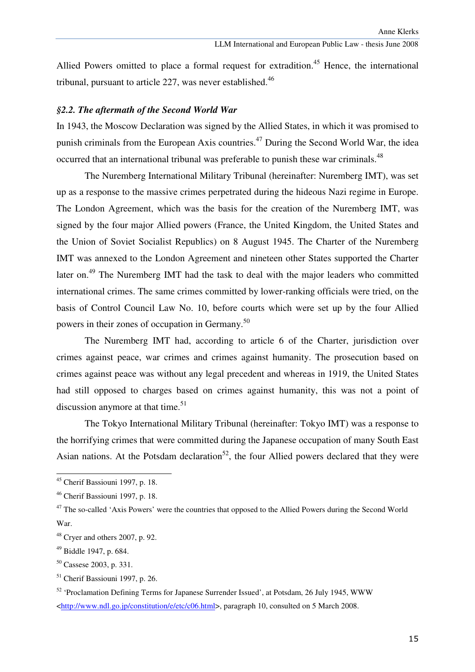Allied Powers omitted to place a formal request for extradition.<sup>45</sup> Hence, the international tribunal, pursuant to article 227, was never established. $46$ 

#### *§2.2. The aftermath of the Second World War*

In 1943, the Moscow Declaration was signed by the Allied States, in which it was promised to punish criminals from the European Axis countries.<sup>47</sup> During the Second World War, the idea occurred that an international tribunal was preferable to punish these war criminals.<sup>48</sup>

The Nuremberg International Military Tribunal (hereinafter: Nuremberg IMT), was set up as a response to the massive crimes perpetrated during the hideous Nazi regime in Europe. The London Agreement, which was the basis for the creation of the Nuremberg IMT, was signed by the four major Allied powers (France, the United Kingdom, the United States and the Union of Soviet Socialist Republics) on 8 August 1945. The Charter of the Nuremberg IMT was annexed to the London Agreement and nineteen other States supported the Charter later on.<sup>49</sup> The Nuremberg IMT had the task to deal with the major leaders who committed international crimes. The same crimes committed by lower-ranking officials were tried, on the basis of Control Council Law No. 10, before courts which were set up by the four Allied powers in their zones of occupation in Germany.<sup>50</sup>

 The Nuremberg IMT had, according to article 6 of the Charter, jurisdiction over crimes against peace, war crimes and crimes against humanity. The prosecution based on crimes against peace was without any legal precedent and whereas in 1919, the United States had still opposed to charges based on crimes against humanity, this was not a point of discussion anymore at that time. $51$ 

 The Tokyo International Military Tribunal (hereinafter: Tokyo IMT) was a response to the horrifying crimes that were committed during the Japanese occupation of many South East Asian nations. At the Potsdam declaration<sup>52</sup>, the four Allied powers declared that they were

<sup>45</sup> Cherif Bassiouni 1997, p. 18.

<sup>46</sup> Cherif Bassiouni 1997, p. 18.

<sup>&</sup>lt;sup>47</sup> The so-called 'Axis Powers' were the countries that opposed to the Allied Powers during the Second World War.

 $48$  Cryer and others 2007, p. 92.

<sup>49</sup> Biddle 1947, p. 684.

<sup>50</sup> Cassese 2003, p. 331.

<sup>51</sup> Cherif Bassiouni 1997, p. 26.

<sup>&</sup>lt;sup>52</sup> 'Proclamation Defining Terms for Japanese Surrender Issued', at Potsdam, 26 July 1945, WWW <http://www.ndl.go.jp/constitution/e/etc/c06.html>, paragraph 10, consulted on 5 March 2008.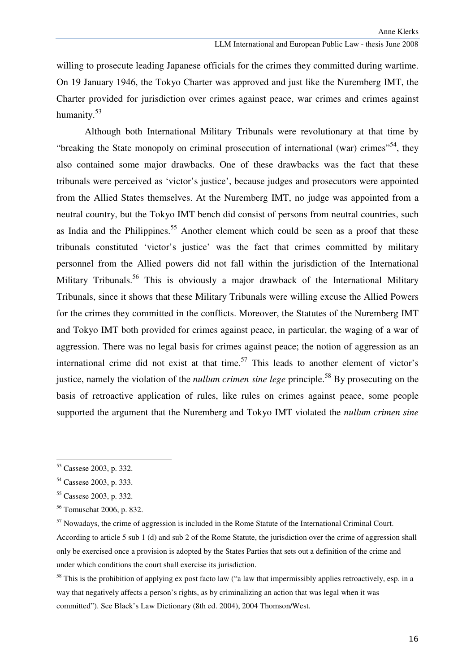willing to prosecute leading Japanese officials for the crimes they committed during wartime. On 19 January 1946, the Tokyo Charter was approved and just like the Nuremberg IMT, the Charter provided for jurisdiction over crimes against peace, war crimes and crimes against humanity.<sup>53</sup>

 Although both International Military Tribunals were revolutionary at that time by "breaking the State monopoly on criminal prosecution of international (war) crimes"<sup>54</sup>, they also contained some major drawbacks. One of these drawbacks was the fact that these tribunals were perceived as 'victor's justice', because judges and prosecutors were appointed from the Allied States themselves. At the Nuremberg IMT, no judge was appointed from a neutral country, but the Tokyo IMT bench did consist of persons from neutral countries, such as India and the Philippines.<sup>55</sup> Another element which could be seen as a proof that these tribunals constituted 'victor's justice' was the fact that crimes committed by military personnel from the Allied powers did not fall within the jurisdiction of the International Military Tribunals.<sup>56</sup> This is obviously a major drawback of the International Military Tribunals, since it shows that these Military Tribunals were willing excuse the Allied Powers for the crimes they committed in the conflicts. Moreover, the Statutes of the Nuremberg IMT and Tokyo IMT both provided for crimes against peace, in particular, the waging of a war of aggression. There was no legal basis for crimes against peace; the notion of aggression as an international crime did not exist at that time.<sup>57</sup> This leads to another element of victor's justice, namely the violation of the *nullum crimen sine lege* principle.<sup>58</sup> By prosecuting on the basis of retroactive application of rules, like rules on crimes against peace, some people supported the argument that the Nuremberg and Tokyo IMT violated the *nullum crimen sine* 

<sup>53</sup> Cassese 2003, p. 332.

<sup>54</sup> Cassese 2003, p. 333.

<sup>55</sup> Cassese 2003, p. 332.

<sup>56</sup> Tomuschat 2006, p. 832.

<sup>&</sup>lt;sup>57</sup> Nowadays, the crime of aggression is included in the Rome Statute of the International Criminal Court.

According to article 5 sub 1 (d) and sub 2 of the Rome Statute, the jurisdiction over the crime of aggression shall only be exercised once a provision is adopted by the States Parties that sets out a definition of the crime and under which conditions the court shall exercise its jurisdiction.

 $58$  This is the prohibition of applying ex post facto law ("a law that impermissibly applies retroactively, esp. in a way that negatively affects a person's rights, as by criminalizing an action that was legal when it was committed"). See Black's Law Dictionary (8th ed. 2004), 2004 Thomson/West.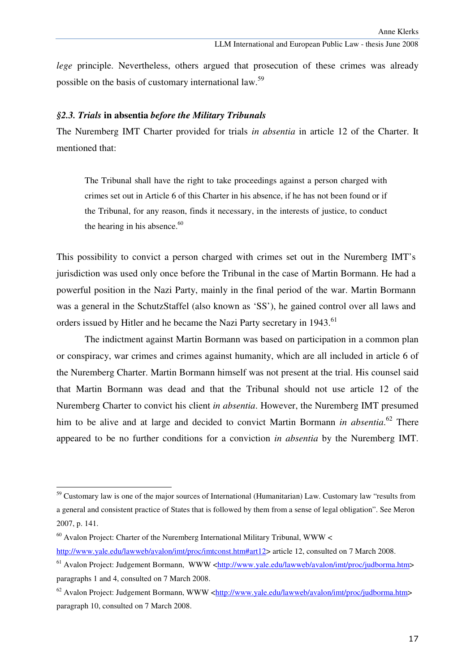*lege* principle. Nevertheless, others argued that prosecution of these crimes was already possible on the basis of customary international law.<sup>59</sup>

#### *§2.3. Trials* **in absentia** *before the Military Tribunals*

The Nuremberg IMT Charter provided for trials *in absentia* in article 12 of the Charter. It mentioned that:

The Tribunal shall have the right to take proceedings against a person charged with crimes set out in Article 6 of this Charter in his absence, if he has not been found or if the Tribunal, for any reason, finds it necessary, in the interests of justice, to conduct the hearing in his absence. $60$ 

This possibility to convict a person charged with crimes set out in the Nuremberg IMT's jurisdiction was used only once before the Tribunal in the case of Martin Bormann. He had a powerful position in the Nazi Party, mainly in the final period of the war. Martin Bormann was a general in the SchutzStaffel (also known as 'SS'), he gained control over all laws and orders issued by Hitler and he became the Nazi Party secretary in 1943.<sup>61</sup>

The indictment against Martin Bormann was based on participation in a common plan or conspiracy, war crimes and crimes against humanity, which are all included in article 6 of the Nuremberg Charter. Martin Bormann himself was not present at the trial. His counsel said that Martin Bormann was dead and that the Tribunal should not use article 12 of the Nuremberg Charter to convict his client *in absentia*. However, the Nuremberg IMT presumed him to be alive and at large and decided to convict Martin Bormann *in absentia*. <sup>62</sup> There appeared to be no further conditions for a conviction *in absentia* by the Nuremberg IMT.

<sup>&</sup>lt;sup>59</sup> Customary law is one of the major sources of International (Humanitarian) Law. Customary law "results from a general and consistent practice of States that is followed by them from a sense of legal obligation". See Meron 2007, p. 141.

 $60$  Avalon Project: Charter of the Nuremberg International Military Tribunal, WWW  $\lt$ 

http://www.yale.edu/lawweb/avalon/imt/proc/imtconst.htm#art12> article 12, consulted on 7 March 2008.

 $^{61}$  Avalon Project: Judgement Bormann, WWW <http://www.yale.edu/lawweb/avalon/imt/proc/judborma.htm> paragraphs 1 and 4, consulted on 7 March 2008.

<sup>&</sup>lt;sup>62</sup> Avalon Project: Judgement Bormann, WWW <http://www.yale.edu/lawweb/avalon/imt/proc/judborma.htm> paragraph 10, consulted on 7 March 2008.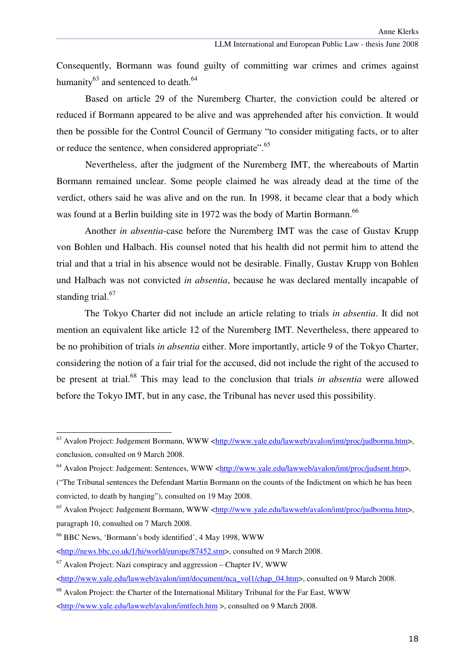Consequently, Bormann was found guilty of committing war crimes and crimes against humanity $^{63}$  and sentenced to death. $^{64}$ 

Based on article 29 of the Nuremberg Charter, the conviction could be altered or reduced if Bormann appeared to be alive and was apprehended after his conviction. It would then be possible for the Control Council of Germany "to consider mitigating facts, or to alter or reduce the sentence, when considered appropriate".<sup>65</sup>

Nevertheless, after the judgment of the Nuremberg IMT, the whereabouts of Martin Bormann remained unclear. Some people claimed he was already dead at the time of the verdict, others said he was alive and on the run. In 1998, it became clear that a body which was found at a Berlin building site in 1972 was the body of Martin Bormann.<sup>66</sup>

Another *in absentia*-case before the Nuremberg IMT was the case of Gustav Krupp von Bohlen und Halbach. His counsel noted that his health did not permit him to attend the trial and that a trial in his absence would not be desirable. Finally, Gustav Krupp von Bohlen und Halbach was not convicted *in absentia*, because he was declared mentally incapable of standing trial. $67$ 

 The Tokyo Charter did not include an article relating to trials *in absentia*. It did not mention an equivalent like article 12 of the Nuremberg IMT. Nevertheless, there appeared to be no prohibition of trials *in absentia* either. More importantly, article 9 of the Tokyo Charter, considering the notion of a fair trial for the accused, did not include the right of the accused to be present at trial.<sup>68</sup> This may lead to the conclusion that trials *in absentia* were allowed before the Tokyo IMT, but in any case, the Tribunal has never used this possibility.

<sup>&</sup>lt;sup>63</sup> Avalon Project: Judgement Bormann, WWW <http://www.yale.edu/lawweb/avalon/imt/proc/judborma.htm>, conclusion, consulted on 9 March 2008.

<sup>64</sup> Avalon Project: Judgement: Sentences, WWW <http://www.yale.edu/lawweb/avalon/imt/proc/judsent.htm>,

<sup>(&</sup>quot;The Tribunal sentences the Defendant Martin Bormann on the counts of the Indictment on which he has been convicted, to death by hanging"), consulted on 19 May 2008.

<sup>&</sup>lt;sup>65</sup> Avalon Project: Judgement Bormann, WWW <http://www.yale.edu/lawweb/avalon/imt/proc/judborma.htm>, paragraph 10, consulted on 7 March 2008.

<sup>66</sup> BBC News, 'Bormann's body identified', 4 May 1998, WWW

<sup>&</sup>lt;http://news.bbc.co.uk/1/hi/world/europe/87452.stm>, consulted on 9 March 2008.

 $67$  Avalon Project: Nazi conspiracy and aggression – Chapter IV. WWW

<sup>&</sup>lt;http://www.yale.edu/lawweb/avalon/imt/document/nca\_vol1/chap\_04.htm>, consulted on 9 March 2008.

 $68$  Avalon Project: the Charter of the International Military Tribunal for the Far East, WWW

<sup>&</sup>lt;http://www.yale.edu/lawweb/avalon/imtfech.htm >, consulted on 9 March 2008.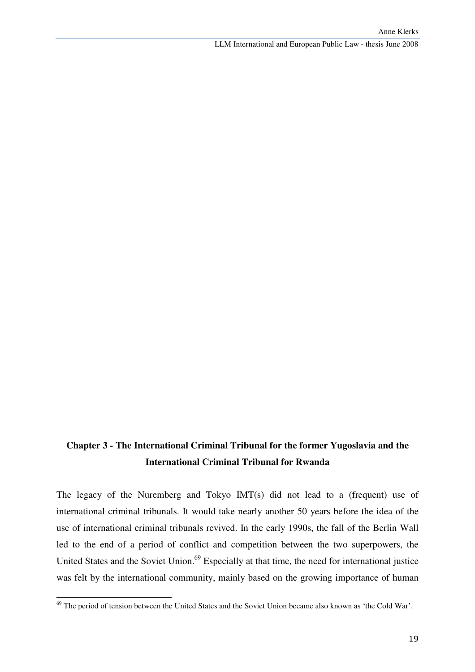# **Chapter 3 - The International Criminal Tribunal for the former Yugoslavia and the International Criminal Tribunal for Rwanda**

The legacy of the Nuremberg and Tokyo IMT(s) did not lead to a (frequent) use of international criminal tribunals. It would take nearly another 50 years before the idea of the use of international criminal tribunals revived. In the early 1990s, the fall of the Berlin Wall led to the end of a period of conflict and competition between the two superpowers, the United States and the Soviet Union.<sup>69</sup> Especially at that time, the need for international justice was felt by the international community, mainly based on the growing importance of human

<sup>&</sup>lt;sup>69</sup> The period of tension between the United States and the Soviet Union became also known as 'the Cold War'.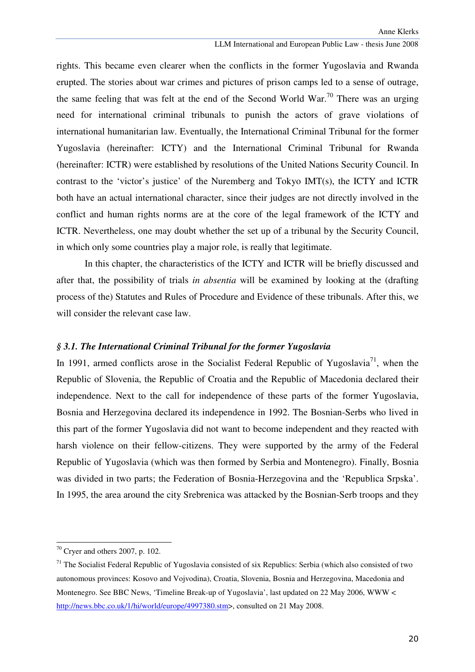rights. This became even clearer when the conflicts in the former Yugoslavia and Rwanda erupted. The stories about war crimes and pictures of prison camps led to a sense of outrage, the same feeling that was felt at the end of the Second World War.<sup>70</sup> There was an urging need for international criminal tribunals to punish the actors of grave violations of international humanitarian law. Eventually, the International Criminal Tribunal for the former Yugoslavia (hereinafter: ICTY) and the International Criminal Tribunal for Rwanda (hereinafter: ICTR) were established by resolutions of the United Nations Security Council. In contrast to the 'victor's justice' of the Nuremberg and Tokyo IMT(s), the ICTY and ICTR both have an actual international character, since their judges are not directly involved in the conflict and human rights norms are at the core of the legal framework of the ICTY and ICTR. Nevertheless, one may doubt whether the set up of a tribunal by the Security Council, in which only some countries play a major role, is really that legitimate.

In this chapter, the characteristics of the ICTY and ICTR will be briefly discussed and after that, the possibility of trials *in absentia* will be examined by looking at the (drafting process of the) Statutes and Rules of Procedure and Evidence of these tribunals. After this, we will consider the relevant case law.

#### *§ 3.1. The International Criminal Tribunal for the former Yugoslavia*

In 1991, armed conflicts arose in the Socialist Federal Republic of Yugoslavia<sup>71</sup>, when the Republic of Slovenia, the Republic of Croatia and the Republic of Macedonia declared their independence. Next to the call for independence of these parts of the former Yugoslavia, Bosnia and Herzegovina declared its independence in 1992. The Bosnian-Serbs who lived in this part of the former Yugoslavia did not want to become independent and they reacted with harsh violence on their fellow-citizens. They were supported by the army of the Federal Republic of Yugoslavia (which was then formed by Serbia and Montenegro). Finally, Bosnia was divided in two parts; the Federation of Bosnia-Herzegovina and the 'Republica Srpska'. In 1995, the area around the city Srebrenica was attacked by the Bosnian-Serb troops and they

<sup>70</sup> Cryer and others 2007, p. 102.

 $71$  The Socialist Federal Republic of Yugoslavia consisted of six Republics: Serbia (which also consisted of two autonomous provinces: Kosovo and Vojvodina), Croatia, Slovenia, Bosnia and Herzegovina, Macedonia and Montenegro. See BBC News, 'Timeline Break-up of Yugoslavia', last updated on 22 May 2006, WWW < http://news.bbc.co.uk/1/hi/world/europe/4997380.stm>, consulted on 21 May 2008.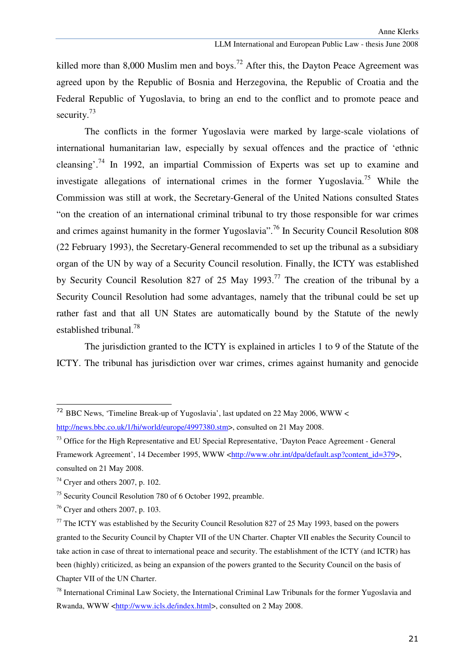killed more than 8,000 Muslim men and boys.<sup>72</sup> After this, the Dayton Peace Agreement was agreed upon by the Republic of Bosnia and Herzegovina, the Republic of Croatia and the Federal Republic of Yugoslavia, to bring an end to the conflict and to promote peace and security.<sup>73</sup>

The conflicts in the former Yugoslavia were marked by large-scale violations of international humanitarian law, especially by sexual offences and the practice of 'ethnic cleansing'.<sup>74</sup> In 1992, an impartial Commission of Experts was set up to examine and investigate allegations of international crimes in the former Yugoslavia.<sup>75</sup> While the Commission was still at work, the Secretary-General of the United Nations consulted States "on the creation of an international criminal tribunal to try those responsible for war crimes and crimes against humanity in the former Yugoslavia".<sup>76</sup> In Security Council Resolution 808 (22 February 1993), the Secretary-General recommended to set up the tribunal as a subsidiary organ of the UN by way of a Security Council resolution. Finally, the ICTY was established by Security Council Resolution 827 of 25 May 1993.<sup>77</sup> The creation of the tribunal by a Security Council Resolution had some advantages, namely that the tribunal could be set up rather fast and that all UN States are automatically bound by the Statute of the newly established tribunal.<sup>78</sup>

 The jurisdiction granted to the ICTY is explained in articles 1 to 9 of the Statute of the ICTY. The tribunal has jurisdiction over war crimes, crimes against humanity and genocide

<sup>72</sup> BBC News, 'Timeline Break-up of Yugoslavia', last updated on 22 May 2006, WWW < http://news.bbc.co.uk/1/hi/world/europe/4997380.stm>, consulted on 21 May 2008.

<sup>&</sup>lt;sup>73</sup> Office for the High Representative and EU Special Representative, 'Dayton Peace Agreement - General Framework Agreement', 14 December 1995, WWW <http://www.ohr.int/dpa/default.asp?content\_id=379>. consulted on 21 May 2008.

 $74$  Cryer and others 2007, p. 102.

<sup>75</sup> Security Council Resolution 780 of 6 October 1992, preamble.

 $76$  Cryer and others 2007, p. 103.

 $77$  The ICTY was established by the Security Council Resolution 827 of 25 May 1993, based on the powers granted to the Security Council by Chapter VII of the UN Charter. Chapter VII enables the Security Council to take action in case of threat to international peace and security. The establishment of the ICTY (and ICTR) has been (highly) criticized, as being an expansion of the powers granted to the Security Council on the basis of Chapter VII of the UN Charter.

 $78$  International Criminal Law Society, the International Criminal Law Tribunals for the former Yugoslavia and Rwanda, WWW <http://www.icls.de/index.html>, consulted on 2 May 2008.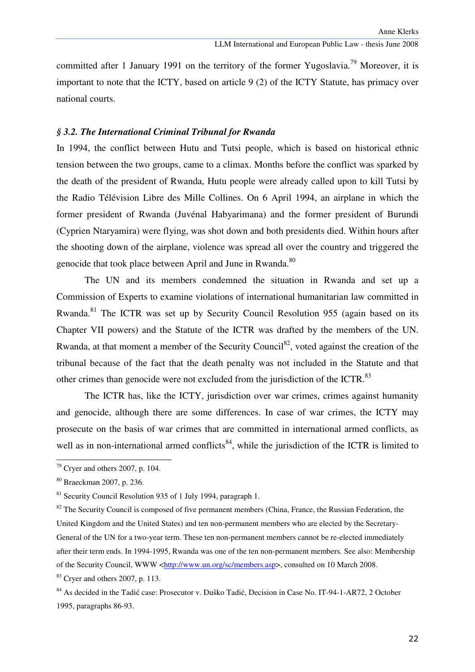committed after 1 January 1991 on the territory of the former Yugoslavia.<sup>79</sup> Moreover, it is important to note that the ICTY, based on article 9 (2) of the ICTY Statute, has primacy over national courts.

## *§ 3.2. The International Criminal Tribunal for Rwanda*

In 1994, the conflict between Hutu and Tutsi people, which is based on historical ethnic tension between the two groups, came to a climax. Months before the conflict was sparked by the death of the president of Rwanda, Hutu people were already called upon to kill Tutsi by the Radio Télévision Libre des Mille Collines. On 6 April 1994, an airplane in which the former president of Rwanda (Juvénal Habyarimana) and the former president of Burundi (Cyprien Ntaryamira) were flying, was shot down and both presidents died. Within hours after the shooting down of the airplane, violence was spread all over the country and triggered the genocide that took place between April and June in Rwanda.<sup>80</sup>

 The UN and its members condemned the situation in Rwanda and set up a Commission of Experts to examine violations of international humanitarian law committed in Rwanda.<sup>81</sup> The ICTR was set up by Security Council Resolution 955 (again based on its Chapter VII powers) and the Statute of the ICTR was drafted by the members of the UN. Rwanda, at that moment a member of the Security Council<sup>82</sup>, voted against the creation of the tribunal because of the fact that the death penalty was not included in the Statute and that other crimes than genocide were not excluded from the jurisdiction of the ICTR.<sup>83</sup>

 The ICTR has, like the ICTY, jurisdiction over war crimes, crimes against humanity and genocide, although there are some differences. In case of war crimes, the ICTY may prosecute on the basis of war crimes that are committed in international armed conflicts, as well as in non-international armed conflicts<sup>84</sup>, while the jurisdiction of the ICTR is limited to

ı

 $83$  Cryer and others 2007, p. 113.

 $79$  Cryer and others 2007, p. 104.

<sup>80</sup> Braeckman 2007, p. 236.

 $81$  Security Council Resolution 935 of 1 July 1994, paragraph 1.

 $82$  The Security Council is composed of five permanent members (China, France, the Russian Federation, the United Kingdom and the United States) and ten non-permanent members who are elected by the Secretary-General of the UN for a two-year term. These ten non-permanent members cannot be re-elected immediately after their term ends. In 1994-1995, Rwanda was one of the ten non-permanent members. See also: Membership of the Security Council, WWW <http://www.un.org/sc/members.asp>, consulted on 10 March 2008.

<sup>&</sup>lt;sup>84</sup> As decided in the Tadić case: Prosecutor v. Duŝko Tadić, Decision in Case No. IT-94-1-AR72, 2 October 1995, paragraphs 86-93.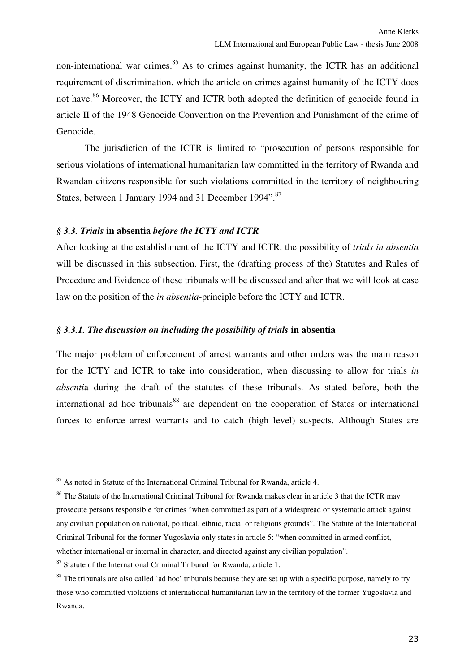non-international war crimes. $85$  As to crimes against humanity, the ICTR has an additional requirement of discrimination, which the article on crimes against humanity of the ICTY does not have.<sup>86</sup> Moreover, the ICTY and ICTR both adopted the definition of genocide found in article II of the 1948 Genocide Convention on the Prevention and Punishment of the crime of Genocide.

The jurisdiction of the ICTR is limited to "prosecution of persons responsible for serious violations of international humanitarian law committed in the territory of Rwanda and Rwandan citizens responsible for such violations committed in the territory of neighbouring States, between 1 January 1994 and 31 December 1994".<sup>87</sup>

#### *§ 3.3. Trials* **in absentia** *before the ICTY and ICTR*

After looking at the establishment of the ICTY and ICTR, the possibility of *trials in absentia* will be discussed in this subsection. First, the (drafting process of the) Statutes and Rules of Procedure and Evidence of these tribunals will be discussed and after that we will look at case law on the position of the *in absentia-*principle before the ICTY and ICTR.

## *§ 3.3.1. The discussion on including the possibility of trials* **in absentia**

The major problem of enforcement of arrest warrants and other orders was the main reason for the ICTY and ICTR to take into consideration, when discussing to allow for trials *in absenti*a during the draft of the statutes of these tribunals. As stated before, both the international ad hoc tribunals<sup>88</sup> are dependent on the cooperation of States or international forces to enforce arrest warrants and to catch (high level) suspects. Although States are

<sup>&</sup>lt;sup>85</sup> As noted in Statute of the International Criminal Tribunal for Rwanda, article 4.

<sup>&</sup>lt;sup>86</sup> The Statute of the International Criminal Tribunal for Rwanda makes clear in article 3 that the ICTR may prosecute persons responsible for crimes "when committed as part of a widespread or systematic attack against any civilian population on national, political, ethnic, racial or religious grounds". The Statute of the International Criminal Tribunal for the former Yugoslavia only states in article 5: "when committed in armed conflict, whether international or internal in character, and directed against any civilian population".

 $87$  Statute of the International Criminal Tribunal for Rwanda, article 1.

<sup>&</sup>lt;sup>88</sup> The tribunals are also called 'ad hoc' tribunals because they are set up with a specific purpose, namely to try those who committed violations of international humanitarian law in the territory of the former Yugoslavia and Rwanda.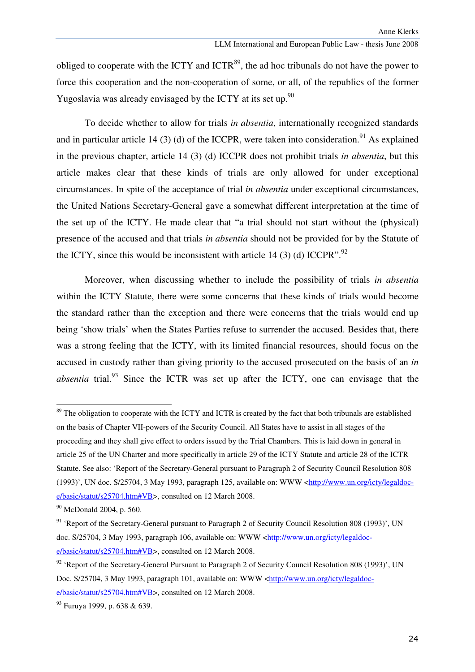obliged to cooperate with the ICTY and ICTR<sup>89</sup>, the ad hoc tribunals do not have the power to force this cooperation and the non-cooperation of some, or all, of the republics of the former Yugoslavia was already envisaged by the ICTY at its set up. $90$ 

To decide whether to allow for trials *in absentia*, internationally recognized standards and in particular article 14 (3) (d) of the ICCPR, were taken into consideration.<sup>91</sup> As explained in the previous chapter, article 14 (3) (d) ICCPR does not prohibit trials *in absentia*, but this article makes clear that these kinds of trials are only allowed for under exceptional circumstances. In spite of the acceptance of trial *in absentia* under exceptional circumstances, the United Nations Secretary-General gave a somewhat different interpretation at the time of the set up of the ICTY. He made clear that "a trial should not start without the (physical) presence of the accused and that trials *in absentia* should not be provided for by the Statute of the ICTY, since this would be inconsistent with article 14 (3) (d) ICCPR".<sup>92</sup>

Moreover, when discussing whether to include the possibility of trials *in absentia*  within the ICTY Statute, there were some concerns that these kinds of trials would become the standard rather than the exception and there were concerns that the trials would end up being 'show trials' when the States Parties refuse to surrender the accused. Besides that, there was a strong feeling that the ICTY, with its limited financial resources, should focus on the accused in custody rather than giving priority to the accused prosecuted on the basis of an *in absentia* trial.<sup>93</sup> Since the ICTR was set up after the ICTY, one can envisage that the

<sup>&</sup>lt;sup>89</sup> The obligation to cooperate with the ICTY and ICTR is created by the fact that both tribunals are established on the basis of Chapter VII-powers of the Security Council. All States have to assist in all stages of the proceeding and they shall give effect to orders issued by the Trial Chambers. This is laid down in general in article 25 of the UN Charter and more specifically in article 29 of the ICTY Statute and article 28 of the ICTR Statute. See also: 'Report of the Secretary-General pursuant to Paragraph 2 of Security Council Resolution 808 (1993)', UN doc. S/25704, 3 May 1993, paragraph 125, available on: WWW <http://www.un.org/icty/legaldoce/basic/statut/s25704.htm#VB>, consulted on 12 March 2008.

<sup>90</sup> McDonald 2004, p. 560.

 $91$  'Report of the Secretary-General pursuant to Paragraph 2 of Security Council Resolution 808 (1993)', UN doc. S/25704, 3 May 1993, paragraph 106, available on: WWW <http://www.un.org/icty/legaldoce/basic/statut/s25704.htm#VB>, consulted on 12 March 2008.

<sup>&</sup>lt;sup>92</sup> 'Report of the Secretary-General Pursuant to Paragraph 2 of Security Council Resolution 808 (1993)', UN Doc. S/25704, 3 May 1993, paragraph 101, available on: WWW <http://www.un.org/icty/legaldoce/basic/statut/s25704.htm#VB>, consulted on 12 March 2008.

<sup>93</sup> Furuya 1999, p. 638 & 639.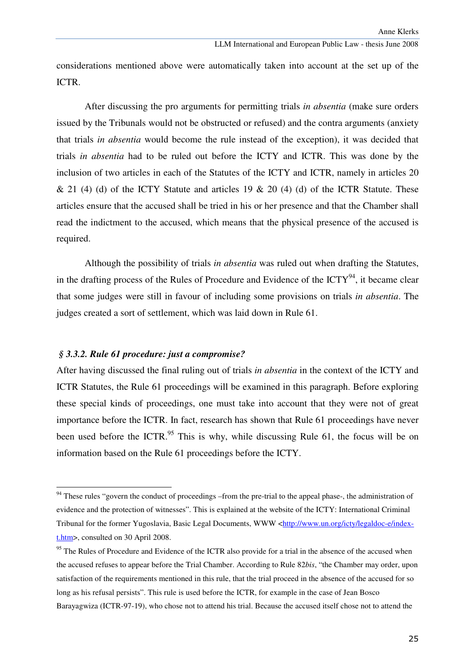considerations mentioned above were automatically taken into account at the set up of the ICTR.

After discussing the pro arguments for permitting trials *in absentia* (make sure orders issued by the Tribunals would not be obstructed or refused) and the contra arguments (anxiety that trials *in absentia* would become the rule instead of the exception), it was decided that trials *in absentia* had to be ruled out before the ICTY and ICTR. This was done by the inclusion of two articles in each of the Statutes of the ICTY and ICTR, namely in articles 20  $\&$  21 (4) (d) of the ICTY Statute and articles 19  $\&$  20 (4) (d) of the ICTR Statute. These articles ensure that the accused shall be tried in his or her presence and that the Chamber shall read the indictment to the accused, which means that the physical presence of the accused is required.

Although the possibility of trials *in absentia* was ruled out when drafting the Statutes, in the drafting process of the Rules of Procedure and Evidence of the  $\text{ICTY}^{94}$ , it became clear that some judges were still in favour of including some provisions on trials *in absentia*. The judges created a sort of settlement, which was laid down in Rule 61.

# *§ 3.3.2. Rule 61 procedure: just a compromise?*

ı

After having discussed the final ruling out of trials *in absentia* in the context of the ICTY and ICTR Statutes, the Rule 61 proceedings will be examined in this paragraph. Before exploring these special kinds of proceedings, one must take into account that they were not of great importance before the ICTR. In fact, research has shown that Rule 61 proceedings have never been used before the ICTR.<sup>95</sup> This is why, while discussing Rule 61, the focus will be on information based on the Rule 61 proceedings before the ICTY.

<sup>&</sup>lt;sup>94</sup> These rules "govern the conduct of proceedings –from the pre-trial to the appeal phase-, the administration of evidence and the protection of witnesses". This is explained at the website of the ICTY: International Criminal Tribunal for the former Yugoslavia, Basic Legal Documents, WWW <http://www.un.org/icty/legaldoc-e/indext.htm>, consulted on 30 April 2008.

<sup>&</sup>lt;sup>95</sup> The Rules of Procedure and Evidence of the ICTR also provide for a trial in the absence of the accused when the accused refuses to appear before the Trial Chamber. According to Rule 82*bis*, "the Chamber may order, upon satisfaction of the requirements mentioned in this rule, that the trial proceed in the absence of the accused for so long as his refusal persists". This rule is used before the ICTR, for example in the case of Jean Bosco Barayagwiza (ICTR-97-19), who chose not to attend his trial. Because the accused itself chose not to attend the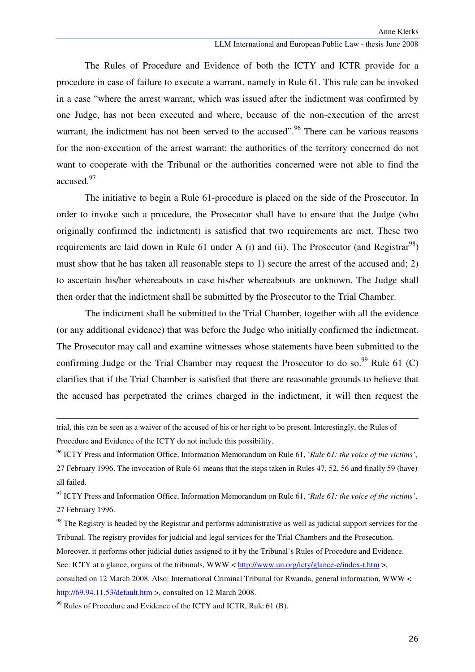The Rules of Procedure and Evidence of both the ICTY and ICTR provide for a procedure in case of failure to execute a warrant, namely in Rule 61. This rule can be invoked in a case "where the arrest warrant, which was issued after the indictment was confirmed by one Judge, has not been executed and where, because of the non-execution of the arrest warrant, the indictment has not been served to the accused".<sup>96</sup> There can be various reasons for the non-execution of the arrest warrant: the authorities of the territory concerned do not want to cooperate with the Tribunal or the authorities concerned were not able to find the accused.<sup>97</sup>

The initiative to begin a Rule 61-procedure is placed on the side of the Prosecutor. In order to invoke such a procedure, the Prosecutor shall have to ensure that the Judge (who originally confirmed the indictment) is satisfied that two requirements are met. These two requirements are laid down in Rule 61 under A (i) and (ii). The Prosecutor (and Registrar<sup>98</sup>) must show that he has taken all reasonable steps to 1) secure the arrest of the accused and; 2) to ascertain his/her whereabouts in case his/her whereabouts are unknown. The Judge shall then order that the indictment shall be submitted by the Prosecutor to the Trial Chamber.

The indictment shall be submitted to the Trial Chamber, together with all the evidence (or any additional evidence) that was before the Judge who initially confirmed the indictment. The Prosecutor may call and examine witnesses whose statements have been submitted to the confirming Judge or the Trial Chamber may request the Prosecutor to do so. $99$  Rule 61 (C) clarifies that if the Trial Chamber is satisfied that there are reasonable grounds to believe that the accused has perpetrated the crimes charged in the indictment, it will then request the

<sup>97</sup> ICTY Press and Information Office, Information Memorandum on Rule 61, '*Rule 61: the voice of the victims'*, 27 February 1996.

<sup>98</sup> The Registry is headed by the Registrar and performs administrative as well as judicial support services for the Tribunal. The registry provides for judicial and legal services for the Trial Chambers and the Prosecution.

Moreover, it performs other judicial duties assigned to it by the Tribunal's Rules of Procedure and Evidence.

See: ICTY at a glance, organs of the tribunals, WWW < http://www.un.org/icty/glance-e/index-t.htm >,

 $\overline{a}$ 

trial, this can be seen as a waiver of the accused of his or her right to be present. Interestingly, the Rules of Procedure and Evidence of the ICTY do not include this possibility.

<sup>96</sup> ICTY Press and Information Office, Information Memorandum on Rule 61, '*Rule 61: the voice of the victims'*, 27 February 1996. The invocation of Rule 61 means that the steps taken in Rules 47, 52, 56 and finally 59 (have) all failed.

consulted on 12 March 2008. Also: International Criminal Tribunal for Rwanda, general information, WWW < http://69.94.11.53/default.htm >, consulted on 12 March 2008.

<sup>&</sup>lt;sup>99</sup> Rules of Procedure and Evidence of the ICTY and ICTR, Rule 61 (B).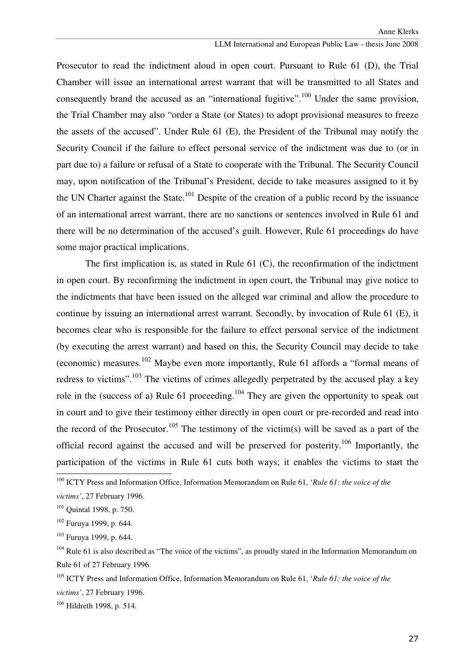Prosecutor to read the indictment aloud in open court. Pursuant to Rule 61 (D), the Trial Chamber will issue an international arrest warrant that will be transmitted to all States and consequently brand the accused as an "international fugitive".<sup>100</sup> Under the same provision, the Trial Chamber may also "order a State (or States) to adopt provisional measures to freeze the assets of the accused". Under Rule 61 (E), the President of the Tribunal may notify the Security Council if the failure to effect personal service of the indictment was due to (or in part due to) a failure or refusal of a State to cooperate with the Tribunal. The Security Council may, upon notification of the Tribunal's President, decide to take measures assigned to it by the UN Charter against the State.<sup>101</sup> Despite of the creation of a public record by the issuance of an international arrest warrant, there are no sanctions or sentences involved in Rule 61 and there will be no determination of the accused's guilt. However, Rule 61 proceedings do have some major practical implications.

The first implication is, as stated in Rule 61 (C), the reconfirmation of the indictment in open court. By reconfirming the indictment in open court, the Tribunal may give notice to the indictments that have been issued on the alleged war criminal and allow the procedure to continue by issuing an international arrest warrant. Secondly, by invocation of Rule 61 (E), it becomes clear who is responsible for the failure to effect personal service of the indictment (by executing the arrest warrant) and based on this, the Security Council may decide to take (economic) measures.<sup>102</sup> Maybe even more importantly, Rule 61 affords a "formal means of redress to victims".<sup>103</sup> The victims of crimes allegedly perpetrated by the accused play a key role in the (success of a) Rule 61 proceeding.<sup>104</sup> They are given the opportunity to speak out in court and to give their testimony either directly in open court or pre-recorded and read into the record of the Prosecutor.<sup>105</sup> The testimony of the victim(s) will be saved as a part of the official record against the accused and will be preserved for posterity.<sup>106</sup> Importantly, the participation of the victims in Rule 61 cuts both ways; it enables the victims to start the

<sup>100</sup> ICTY Press and Information Office, Information Memorandum on Rule 61, '*Rule 61: the voice of the* 

*victims'*, 27 February 1996.

<sup>&</sup>lt;sup>101</sup> Ouintal 1998, p. 750.

<sup>102</sup> Furuya 1999, p. 644.

<sup>103</sup> Furuya 1999, p. 644.

<sup>&</sup>lt;sup>104</sup> Rule 61 is also described as "The voice of the victims", as proudly stated in the Information Memorandum on Rule 61 of 27 February 1996.

<sup>105</sup> ICTY Press and Information Office, Information Memorandum on Rule 61, '*Rule 61: the voice of the victims'*, 27 February 1996.

<sup>106</sup> Hildreth 1998, p. 514.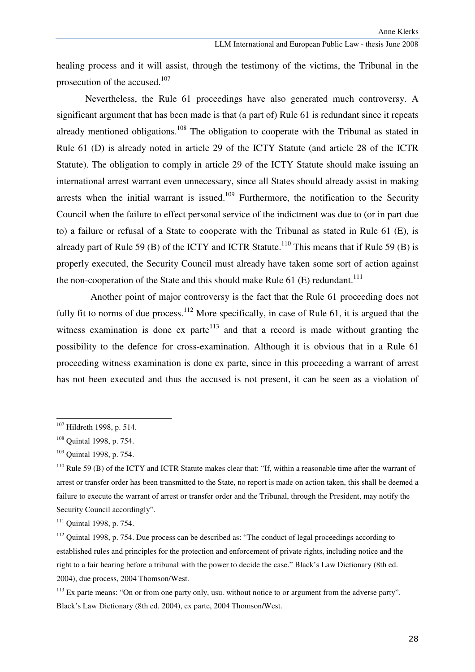healing process and it will assist, through the testimony of the victims, the Tribunal in the prosecution of the accused.<sup>107</sup>

Nevertheless, the Rule 61 proceedings have also generated much controversy. A significant argument that has been made is that (a part of) Rule 61 is redundant since it repeats already mentioned obligations.<sup>108</sup> The obligation to cooperate with the Tribunal as stated in Rule 61 (D) is already noted in article 29 of the ICTY Statute (and article 28 of the ICTR Statute). The obligation to comply in article 29 of the ICTY Statute should make issuing an international arrest warrant even unnecessary, since all States should already assist in making arrests when the initial warrant is issued. $109$  Furthermore, the notification to the Security Council when the failure to effect personal service of the indictment was due to (or in part due to) a failure or refusal of a State to cooperate with the Tribunal as stated in Rule 61 (E), is already part of Rule 59 (B) of the ICTY and ICTR Statute.<sup>110</sup> This means that if Rule 59 (B) is properly executed, the Security Council must already have taken some sort of action against the non-cooperation of the State and this should make Rule 61 (E) redundant.<sup>111</sup>

Another point of major controversy is the fact that the Rule 61 proceeding does not fully fit to norms of due process.<sup>112</sup> More specifically, in case of Rule 61, it is argued that the witness examination is done ex parte<sup> $113$ </sup> and that a record is made without granting the possibility to the defence for cross-examination. Although it is obvious that in a Rule 61 proceeding witness examination is done ex parte, since in this proceeding a warrant of arrest has not been executed and thus the accused is not present, it can be seen as a violation of

<sup>&</sup>lt;sup>107</sup> Hildreth 1998, p. 514.

<sup>108</sup> Quintal 1998, p. 754.

<sup>109</sup> Quintal 1998, p. 754.

<sup>&</sup>lt;sup>110</sup> Rule 59 (B) of the ICTY and ICTR Statute makes clear that: "If, within a reasonable time after the warrant of arrest or transfer order has been transmitted to the State, no report is made on action taken, this shall be deemed a failure to execute the warrant of arrest or transfer order and the Tribunal, through the President, may notify the Security Council accordingly".

<sup>&</sup>lt;sup>111</sup> Ouintal 1998, p. 754.

<sup>&</sup>lt;sup>112</sup> Ouintal 1998, p. 754. Due process can be described as: "The conduct of legal proceedings according to established rules and principles for the protection and enforcement of private rights, including notice and the right to a fair hearing before a tribunal with the power to decide the case." Black's Law Dictionary (8th ed. 2004), due process, 2004 Thomson/West.

 $113$  Ex parte means: "On or from one party only, usu, without notice to or argument from the adverse party". Black's Law Dictionary (8th ed. 2004), ex parte, 2004 Thomson/West.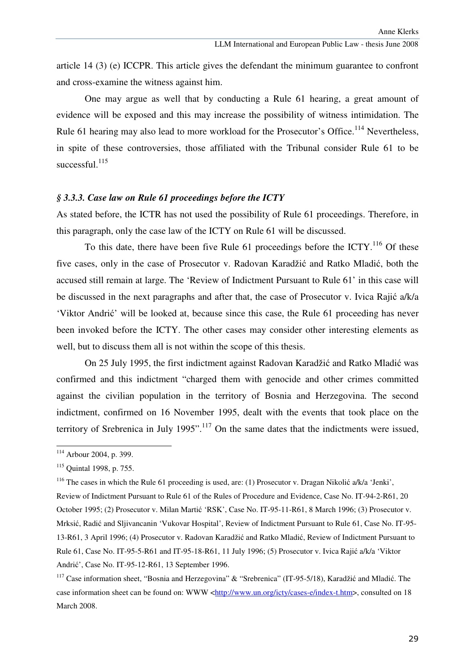article 14 (3) (e) ICCPR. This article gives the defendant the minimum guarantee to confront and cross-examine the witness against him.

 One may argue as well that by conducting a Rule 61 hearing, a great amount of evidence will be exposed and this may increase the possibility of witness intimidation. The Rule 61 hearing may also lead to more workload for the Prosecutor's Office.<sup>114</sup> Nevertheless, in spite of these controversies, those affiliated with the Tribunal consider Rule 61 to be successful. $^{115}$ 

## *§ 3.3.3. Case law on Rule 61 proceedings before the ICTY*

As stated before, the ICTR has not used the possibility of Rule 61 proceedings. Therefore, in this paragraph, only the case law of the ICTY on Rule 61 will be discussed.

To this date, there have been five Rule  $61$  proceedings before the ICTY.<sup>116</sup> Of these five cases, only in the case of Prosecutor v. Radovan Karadžić and Ratko Mladić, both the accused still remain at large. The 'Review of Indictment Pursuant to Rule 61' in this case will be discussed in the next paragraphs and after that, the case of Prosecutor v. Ivica Rajić a/k/a 'Viktor Andrić' will be looked at, because since this case, the Rule 61 proceeding has never been invoked before the ICTY. The other cases may consider other interesting elements as well, but to discuss them all is not within the scope of this thesis.

 On 25 July 1995, the first indictment against Radovan Karadžić and Ratko Mladić was confirmed and this indictment "charged them with genocide and other crimes committed against the civilian population in the territory of Bosnia and Herzegovina. The second indictment, confirmed on 16 November 1995, dealt with the events that took place on the territory of Srebrenica in July 1995".<sup>117</sup> On the same dates that the indictments were issued,

<sup>&</sup>lt;sup>114</sup> Arbour 2004, p. 399.

<sup>115</sup> Quintal 1998, p. 755.

<sup>&</sup>lt;sup>116</sup> The cases in which the Rule 61 proceeding is used, are: (1) Prosecutor v. Dragan Nikolić a/k/a 'Jenki', Review of Indictment Pursuant to Rule 61 of the Rules of Procedure and Evidence, Case No. IT-94-2-R61, 20 October 1995; (2) Prosecutor v. Milan Martić 'RSK', Case No. IT-95-11-R61, 8 March 1996; (3) Prosecutor v. Mrksić, Radić and Sljivancanin 'Vukovar Hospital', Review of Indictment Pursuant to Rule 61, Case No. IT-95- 13-R61, 3 April 1996; (4) Prosecutor v. Radovan Karadžić and Ratko Mladić, Review of Indictment Pursuant to Rule 61, Case No. IT-95-5-R61 and IT-95-18-R61, 11 July 1996; (5) Prosecutor v. Ivica Rajić a/k/a 'Viktor Andrić', Case No. IT-95-12-R61, 13 September 1996.

<sup>&</sup>lt;sup>117</sup> Case information sheet. "Bosnia and Herzegovina" & "Srebrenica" (IT-95-5/18), Karadžić and Mladić. The case information sheet can be found on: WWW <http://www.un.org/icty/cases-e/index-t.htm>, consulted on 18 March 2008.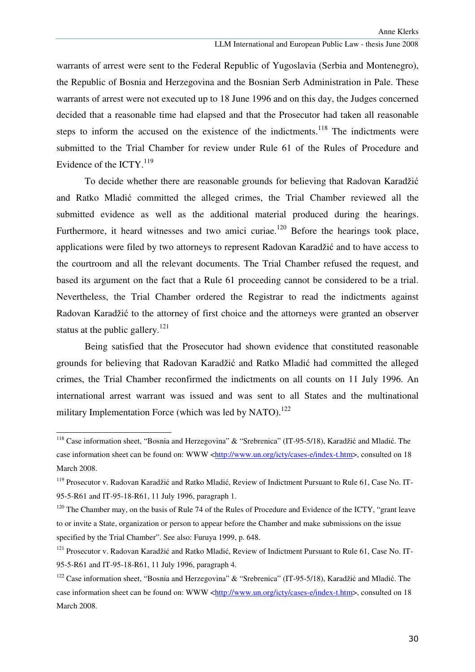warrants of arrest were sent to the Federal Republic of Yugoslavia (Serbia and Montenegro), the Republic of Bosnia and Herzegovina and the Bosnian Serb Administration in Pale. These warrants of arrest were not executed up to 18 June 1996 and on this day, the Judges concerned decided that a reasonable time had elapsed and that the Prosecutor had taken all reasonable steps to inform the accused on the existence of the indictments.<sup>118</sup> The indictments were submitted to the Trial Chamber for review under Rule 61 of the Rules of Procedure and Evidence of the ICTY. $^{119}$ 

 To decide whether there are reasonable grounds for believing that Radovan Karadžić and Ratko Mladić committed the alleged crimes, the Trial Chamber reviewed all the submitted evidence as well as the additional material produced during the hearings. Furthermore, it heard witnesses and two amici curiae.<sup>120</sup> Before the hearings took place, applications were filed by two attorneys to represent Radovan Karadžić and to have access to the courtroom and all the relevant documents. The Trial Chamber refused the request, and based its argument on the fact that a Rule 61 proceeding cannot be considered to be a trial. Nevertheless, the Trial Chamber ordered the Registrar to read the indictments against Radovan Karadžić to the attorney of first choice and the attorneys were granted an observer status at the public gallery.<sup>121</sup>

Being satisfied that the Prosecutor had shown evidence that constituted reasonable grounds for believing that Radovan Karadžić and Ratko Mladić had committed the alleged crimes, the Trial Chamber reconfirmed the indictments on all counts on 11 July 1996. An international arrest warrant was issued and was sent to all States and the multinational military Implementation Force (which was led by NATO).<sup>122</sup>

<sup>&</sup>lt;sup>118</sup> Case information sheet, "Bosnia and Herzegovina" & "Srebrenica" (IT-95-5/18), Karadžić and Mladić. The case information sheet can be found on: WWW <http://www.un.org/icty/cases-e/index-t.htm>, consulted on 18 March 2008.

<sup>&</sup>lt;sup>119</sup> Prosecutor v. Radovan Karadžić and Ratko Mladić, Review of Indictment Pursuant to Rule 61, Case No. IT-95-5-R61 and IT-95-18-R61, 11 July 1996, paragraph 1.

<sup>&</sup>lt;sup>120</sup> The Chamber may, on the basis of Rule 74 of the Rules of Procedure and Evidence of the ICTY, "grant leave to or invite a State, organization or person to appear before the Chamber and make submissions on the issue specified by the Trial Chamber". See also: Furuya 1999, p. 648.

<sup>&</sup>lt;sup>121</sup> Prosecutor v. Radovan Karadžić and Ratko Mladić, Review of Indictment Pursuant to Rule 61, Case No. IT-95-5-R61 and IT-95-18-R61, 11 July 1996, paragraph 4.

<sup>&</sup>lt;sup>122</sup> Case information sheet. "Bosnia and Herzegovina" & "Srebrenica" (IT-95-5/18), Karadžić and Mladić. The case information sheet can be found on: WWW <http://www.un.org/icty/cases-e/index-t.htm>, consulted on 18 March 2008.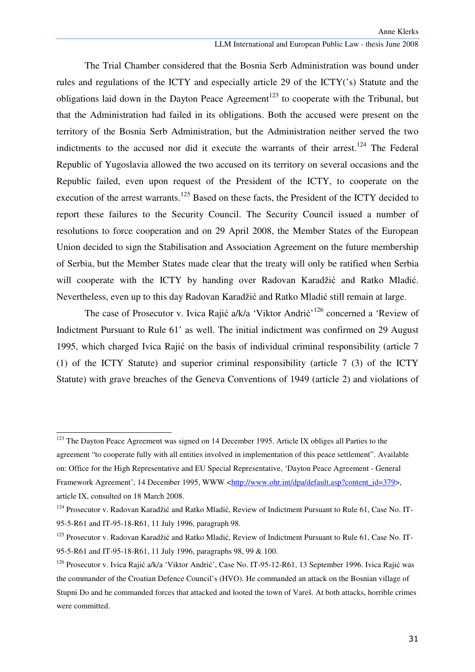#### LLM International and European Public Law - thesis June 2008

 The Trial Chamber considered that the Bosnia Serb Administration was bound under rules and regulations of the ICTY and especially article 29 of the ICTY('s) Statute and the obligations laid down in the Dayton Peace Agreement<sup>123</sup> to cooperate with the Tribunal, but that the Administration had failed in its obligations. Both the accused were present on the territory of the Bosnia Serb Administration, but the Administration neither served the two indictments to the accused nor did it execute the warrants of their arrest.<sup>124</sup> The Federal Republic of Yugoslavia allowed the two accused on its territory on several occasions and the Republic failed, even upon request of the President of the ICTY, to cooperate on the execution of the arrest warrants.<sup>125</sup> Based on these facts, the President of the ICTY decided to report these failures to the Security Council. The Security Council issued a number of resolutions to force cooperation and on 29 April 2008, the Member States of the European Union decided to sign the Stabilisation and Association Agreement on the future membership of Serbia, but the Member States made clear that the treaty will only be ratified when Serbia will cooperate with the ICTY by handing over Radovan Karadžić and Ratko Mladić. Nevertheless, even up to this day Radovan Karadžić and Ratko Mladić still remain at large.

The case of Prosecutor v. Ivica Rajić a/k/a 'Viktor Andrić'<sup>126</sup> concerned a 'Review of Indictment Pursuant to Rule 61' as well. The initial indictment was confirmed on 29 August 1995, which charged Ivica Rajić on the basis of individual criminal responsibility (article 7 (1) of the ICTY Statute) and superior criminal responsibility (article 7 (3) of the ICTY Statute) with grave breaches of the Geneva Conventions of 1949 (article 2) and violations of

<sup>&</sup>lt;sup>123</sup> The Dayton Peace Agreement was signed on 14 December 1995. Article IX obliges all Parties to the agreement "to cooperate fully with all entities involved in implementation of this peace settlement". Available on: Office for the High Representative and EU Special Representative, 'Dayton Peace Agreement - General Framework Agreement', 14 December 1995, WWW <http://www.ohr.int/dpa/default.asp?content\_id=379>, article IX, consulted on 18 March 2008.

<sup>&</sup>lt;sup>124</sup> Prosecutor v. Radovan Karadžić and Ratko Mladić, Review of Indictment Pursuant to Rule 61, Case No. IT-95-5-R61 and IT-95-18-R61, 11 July 1996, paragraph 98.

<sup>&</sup>lt;sup>125</sup> Prosecutor v. Radovan Karadžić and Ratko Mladić, Review of Indictment Pursuant to Rule 61, Case No. IT-95-5-R61 and IT-95-18-R61, 11 July 1996, paragraphs 98, 99 & 100.

<sup>&</sup>lt;sup>126</sup> Prosecutor v. Ivica Rajić a/k/a 'Viktor Andrić', Case No. IT-95-12-R61, 13 September 1996. Ivica Rajić was the commander of the Croatian Defence Council's (HVO). He commanded an attack on the Bosnian village of Stupni Do and he commanded forces that attacked and looted the town of Vareš. At both attacks, horrible crimes were committed.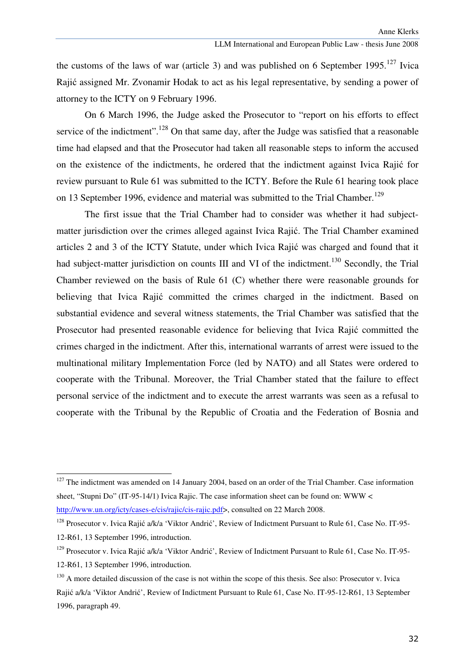the customs of the laws of war (article 3) and was published on 6 September 1995.<sup>127</sup> Ivica Rajić assigned Mr. Zvonamir Hodak to act as his legal representative, by sending a power of attorney to the ICTY on 9 February 1996.

On 6 March 1996, the Judge asked the Prosecutor to "report on his efforts to effect service of the indictment".<sup>128</sup> On that same day, after the Judge was satisfied that a reasonable time had elapsed and that the Prosecutor had taken all reasonable steps to inform the accused on the existence of the indictments, he ordered that the indictment against Ivica Rajić for review pursuant to Rule 61 was submitted to the ICTY. Before the Rule 61 hearing took place on 13 September 1996, evidence and material was submitted to the Trial Chamber.<sup>129</sup>

 The first issue that the Trial Chamber had to consider was whether it had subjectmatter jurisdiction over the crimes alleged against Ivica Rajić. The Trial Chamber examined articles 2 and 3 of the ICTY Statute, under which Ivica Rajić was charged and found that it had subject-matter jurisdiction on counts III and VI of the indictment.<sup>130</sup> Secondly, the Trial Chamber reviewed on the basis of Rule 61 (C) whether there were reasonable grounds for believing that Ivica Rajić committed the crimes charged in the indictment. Based on substantial evidence and several witness statements, the Trial Chamber was satisfied that the Prosecutor had presented reasonable evidence for believing that Ivica Rajić committed the crimes charged in the indictment. After this, international warrants of arrest were issued to the multinational military Implementation Force (led by NATO) and all States were ordered to cooperate with the Tribunal. Moreover, the Trial Chamber stated that the failure to effect personal service of the indictment and to execute the arrest warrants was seen as a refusal to cooperate with the Tribunal by the Republic of Croatia and the Federation of Bosnia and

<sup>&</sup>lt;sup>127</sup> The indictment was amended on 14 January 2004, based on an order of the Trial Chamber. Case information sheet, "Stupni Do" (IT-95-14/1) Ivica Rajic. The case information sheet can be found on: WWW < http://www.un.org/icty/cases-e/cis/rajic/cis-rajic.pdf>, consulted on 22 March 2008.

<sup>&</sup>lt;sup>128</sup> Prosecutor v. Ivica Rajić a/k/a 'Viktor Andrić', Review of Indictment Pursuant to Rule 61, Case No. IT-95-12-R61, 13 September 1996, introduction.

<sup>&</sup>lt;sup>129</sup> Prosecutor v. Ivica Rajić a/k/a 'Viktor Andrić', Review of Indictment Pursuant to Rule 61, Case No. IT-95-12-R61, 13 September 1996, introduction.

 $130$  A more detailed discussion of the case is not within the scope of this thesis. See also: Prosecutor v. Ivica Rajić a/k/a 'Viktor Andrić', Review of Indictment Pursuant to Rule 61, Case No. IT-95-12-R61, 13 September 1996, paragraph 49.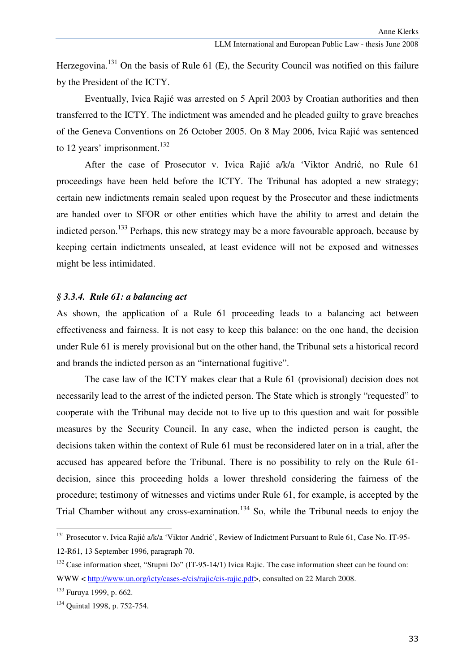Herzegovina.<sup>131</sup> On the basis of Rule 61 (E), the Security Council was notified on this failure by the President of the ICTY.

 Eventually, Ivica Rajić was arrested on 5 April 2003 by Croatian authorities and then transferred to the ICTY. The indictment was amended and he pleaded guilty to grave breaches of the Geneva Conventions on 26 October 2005. On 8 May 2006, Ivica Rajić was sentenced to 12 years' imprisonment.<sup>132</sup>

 After the case of Prosecutor v. Ivica Rajić a/k/a 'Viktor Andrić, no Rule 61 proceedings have been held before the ICTY. The Tribunal has adopted a new strategy; certain new indictments remain sealed upon request by the Prosecutor and these indictments are handed over to SFOR or other entities which have the ability to arrest and detain the indicted person.<sup>133</sup> Perhaps, this new strategy may be a more favourable approach, because by keeping certain indictments unsealed, at least evidence will not be exposed and witnesses might be less intimidated.

#### *§ 3.3.4. Rule 61: a balancing act*

As shown, the application of a Rule 61 proceeding leads to a balancing act between effectiveness and fairness. It is not easy to keep this balance: on the one hand, the decision under Rule 61 is merely provisional but on the other hand, the Tribunal sets a historical record and brands the indicted person as an "international fugitive".

 The case law of the ICTY makes clear that a Rule 61 (provisional) decision does not necessarily lead to the arrest of the indicted person. The State which is strongly "requested" to cooperate with the Tribunal may decide not to live up to this question and wait for possible measures by the Security Council. In any case, when the indicted person is caught, the decisions taken within the context of Rule 61 must be reconsidered later on in a trial, after the accused has appeared before the Tribunal. There is no possibility to rely on the Rule 61 decision, since this proceeding holds a lower threshold considering the fairness of the procedure; testimony of witnesses and victims under Rule 61, for example, is accepted by the Trial Chamber without any cross-examination.<sup>134</sup> So, while the Tribunal needs to enjoy the

<sup>&</sup>lt;sup>131</sup> Prosecutor v. Ivica Rajić a/k/a 'Viktor Andrić', Review of Indictment Pursuant to Rule 61, Case No. IT-95-12-R61, 13 September 1996, paragraph 70.

<sup>&</sup>lt;sup>132</sup> Case information sheet, "Stupni Do" (IT-95-14/1) Ivica Rajic. The case information sheet can be found on: WWW < http://www.un.org/icty/cases-e/cis/rajic/cis-rajic.pdf>, consulted on 22 March 2008.

<sup>133</sup> Furuya 1999, p. 662.

<sup>134</sup> Quintal 1998, p. 752-754.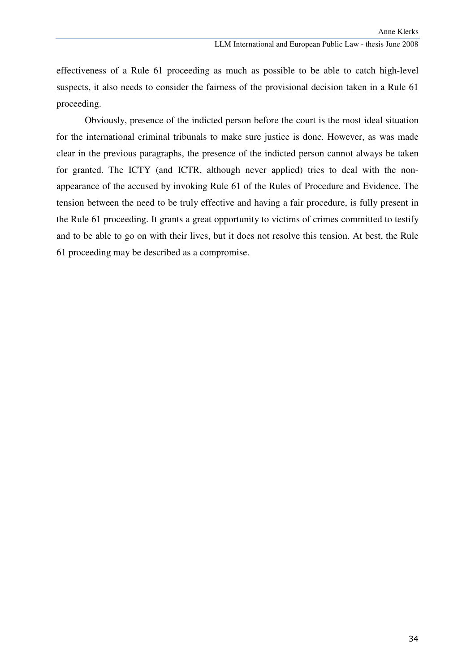effectiveness of a Rule 61 proceeding as much as possible to be able to catch high-level suspects, it also needs to consider the fairness of the provisional decision taken in a Rule 61 proceeding.

 Obviously, presence of the indicted person before the court is the most ideal situation for the international criminal tribunals to make sure justice is done. However, as was made clear in the previous paragraphs, the presence of the indicted person cannot always be taken for granted. The ICTY (and ICTR, although never applied) tries to deal with the nonappearance of the accused by invoking Rule 61 of the Rules of Procedure and Evidence. The tension between the need to be truly effective and having a fair procedure, is fully present in the Rule 61 proceeding. It grants a great opportunity to victims of crimes committed to testify and to be able to go on with their lives, but it does not resolve this tension. At best, the Rule 61 proceeding may be described as a compromise.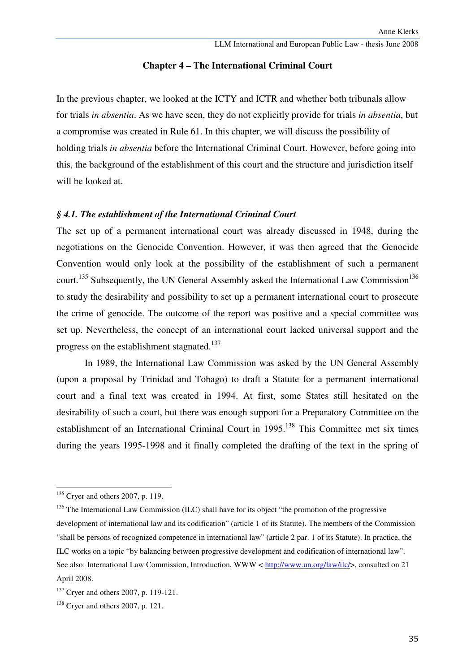# **Chapter 4 – The International Criminal Court**

In the previous chapter, we looked at the ICTY and ICTR and whether both tribunals allow for trials *in absentia*. As we have seen, they do not explicitly provide for trials *in absentia*, but a compromise was created in Rule 61. In this chapter, we will discuss the possibility of holding trials *in absentia* before the International Criminal Court. However, before going into this, the background of the establishment of this court and the structure and jurisdiction itself will be looked at.

# *§ 4.1. The establishment of the International Criminal Court*

The set up of a permanent international court was already discussed in 1948, during the negotiations on the Genocide Convention. However, it was then agreed that the Genocide Convention would only look at the possibility of the establishment of such a permanent court.<sup>135</sup> Subsequently, the UN General Assembly asked the International Law Commission<sup>136</sup> to study the desirability and possibility to set up a permanent international court to prosecute the crime of genocide. The outcome of the report was positive and a special committee was set up. Nevertheless, the concept of an international court lacked universal support and the progress on the establishment stagnated.<sup>137</sup>

 In 1989, the International Law Commission was asked by the UN General Assembly (upon a proposal by Trinidad and Tobago) to draft a Statute for a permanent international court and a final text was created in 1994. At first, some States still hesitated on the desirability of such a court, but there was enough support for a Preparatory Committee on the establishment of an International Criminal Court in 1995.<sup>138</sup> This Committee met six times during the years 1995-1998 and it finally completed the drafting of the text in the spring of

 $135$  Cryer and others 2007, p. 119.

 $136$  The International Law Commission (ILC) shall have for its object "the promotion of the progressive development of international law and its codification" (article 1 of its Statute). The members of the Commission "shall be persons of recognized competence in international law" (article 2 par. 1 of its Statute). In practice, the ILC works on a topic "by balancing between progressive development and codification of international law". See also: International Law Commission, Introduction, WWW < http://www.un.org/law/ilc/>, consulted on 21 April 2008.

<sup>&</sup>lt;sup>137</sup> Cryer and others 2007, p. 119-121.

<sup>138</sup> Cryer and others 2007, p. 121.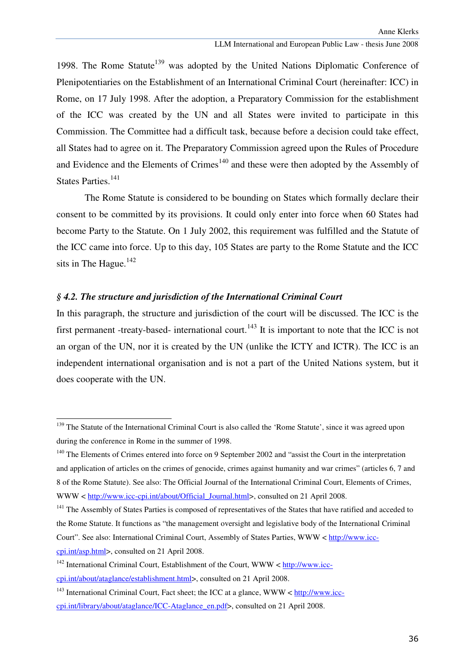1998. The Rome Statute<sup>139</sup> was adopted by the United Nations Diplomatic Conference of Plenipotentiaries on the Establishment of an International Criminal Court (hereinafter: ICC) in Rome, on 17 July 1998. After the adoption, a Preparatory Commission for the establishment of the ICC was created by the UN and all States were invited to participate in this Commission. The Committee had a difficult task, because before a decision could take effect, all States had to agree on it. The Preparatory Commission agreed upon the Rules of Procedure and Evidence and the Elements of Crimes<sup>140</sup> and these were then adopted by the Assembly of States Parties.<sup>141</sup>

 The Rome Statute is considered to be bounding on States which formally declare their consent to be committed by its provisions. It could only enter into force when 60 States had become Party to the Statute. On 1 July 2002, this requirement was fulfilled and the Statute of the ICC came into force. Up to this day, 105 States are party to the Rome Statute and the ICC sits in The Hague.<sup>142</sup>

## *§ 4.2. The structure and jurisdiction of the International Criminal Court*

ł

In this paragraph, the structure and jurisdiction of the court will be discussed. The ICC is the first permanent -treaty-based- international court.<sup>143</sup> It is important to note that the ICC is not an organ of the UN, nor it is created by the UN (unlike the ICTY and ICTR). The ICC is an independent international organisation and is not a part of the United Nations system, but it does cooperate with the UN.

<sup>&</sup>lt;sup>139</sup> The Statute of the International Criminal Court is also called the 'Rome Statute', since it was agreed upon during the conference in Rome in the summer of 1998.

<sup>&</sup>lt;sup>140</sup> The Elements of Crimes entered into force on 9 September 2002 and "assist the Court in the interpretation and application of articles on the crimes of genocide, crimes against humanity and war crimes" (articles 6, 7 and 8 of the Rome Statute). See also: The Official Journal of the International Criminal Court, Elements of Crimes, WWW < http://www.icc-cpi.int/about/Official Journal.html>, consulted on 21 April 2008.

<sup>&</sup>lt;sup>141</sup> The Assembly of States Parties is composed of representatives of the States that have ratified and acceded to the Rome Statute. It functions as "the management oversight and legislative body of the International Criminal Court". See also: International Criminal Court, Assembly of States Parties, WWW < http://www.icccpi.int/asp.html>, consulted on 21 April 2008.

 $142$  International Criminal Court, Establishment of the Court, WWW < http://www.icccpi.int/about/ataglance/establishment.html>, consulted on 21 April 2008.

 $143$  International Criminal Court, Fact sheet; the ICC at a glance, WWW < http://www.icccpi.int/library/about/ataglance/ICC-Ataglance\_en.pdf>, consulted on 21 April 2008.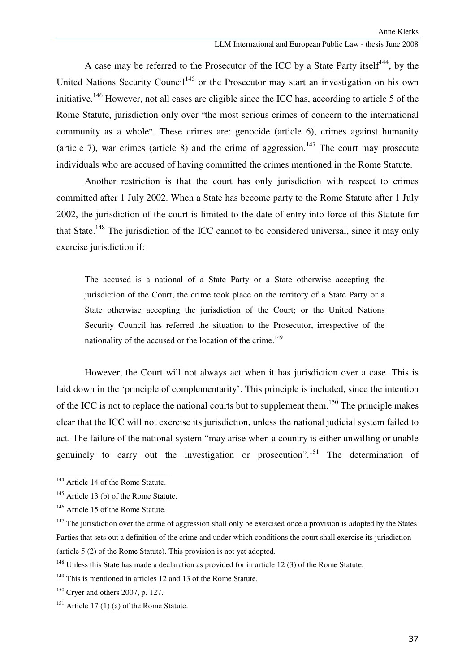A case may be referred to the Prosecutor of the ICC by a State Party itself<sup>144</sup>, by the United Nations Security Council<sup>145</sup> or the Prosecutor may start an investigation on his own initiative.<sup>146</sup> However, not all cases are eligible since the ICC has, according to article 5 of the Rome Statute, jurisdiction only over "the most serious crimes of concern to the international community as a whole". These crimes are: genocide (article 6), crimes against humanity (article 7), war crimes (article 8) and the crime of aggression.<sup>147</sup> The court may prosecute individuals who are accused of having committed the crimes mentioned in the Rome Statute.

 Another restriction is that the court has only jurisdiction with respect to crimes committed after 1 July 2002. When a State has become party to the Rome Statute after 1 July 2002, the jurisdiction of the court is limited to the date of entry into force of this Statute for that State.<sup>148</sup> The jurisdiction of the ICC cannot to be considered universal, since it may only exercise jurisdiction if:

The accused is a national of a State Party or a State otherwise accepting the jurisdiction of the Court; the crime took place on the territory of a State Party or a State otherwise accepting the jurisdiction of the Court; or the United Nations Security Council has referred the situation to the Prosecutor, irrespective of the nationality of the accused or the location of the crime.<sup>149</sup>

 However, the Court will not always act when it has jurisdiction over a case. This is laid down in the 'principle of complementarity'. This principle is included, since the intention of the ICC is not to replace the national courts but to supplement them.<sup>150</sup> The principle makes clear that the ICC will not exercise its jurisdiction, unless the national judicial system failed to act. The failure of the national system "may arise when a country is either unwilling or unable genuinely to carry out the investigation or prosecution".<sup>151</sup> The determination of

<sup>&</sup>lt;sup>144</sup> Article 14 of the Rome Statute.

<sup>&</sup>lt;sup>145</sup> Article 13 (b) of the Rome Statute.

<sup>&</sup>lt;sup>146</sup> Article 15 of the Rome Statute.

 $147$  The jurisdiction over the crime of aggression shall only be exercised once a provision is adopted by the States Parties that sets out a definition of the crime and under which conditions the court shall exercise its jurisdiction (article 5 (2) of the Rome Statute). This provision is not yet adopted.

 $148$  Unless this State has made a declaration as provided for in article 12 (3) of the Rome Statute.

 $149$  This is mentioned in articles 12 and 13 of the Rome Statute.

 $150$  Cryer and others 2007, p. 127.

<sup>&</sup>lt;sup>151</sup> Article 17 (1) (a) of the Rome Statute.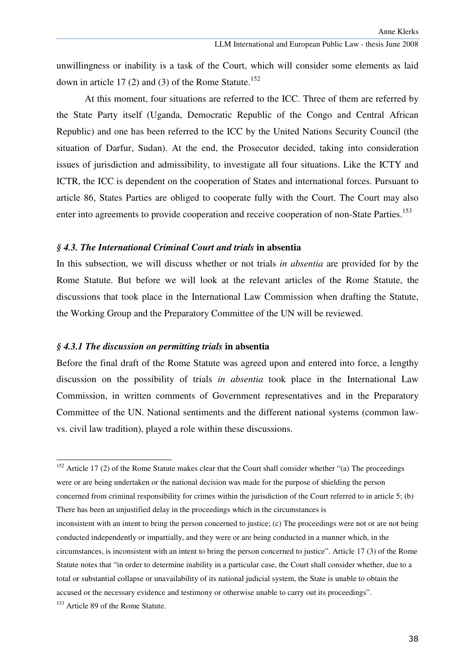unwillingness or inability is a task of the Court, which will consider some elements as laid down in article 17 (2) and (3) of the Rome Statute.<sup>152</sup>

 At this moment, four situations are referred to the ICC. Three of them are referred by the State Party itself (Uganda, Democratic Republic of the Congo and Central African Republic) and one has been referred to the ICC by the United Nations Security Council (the situation of Darfur, Sudan). At the end, the Prosecutor decided, taking into consideration issues of jurisdiction and admissibility, to investigate all four situations. Like the ICTY and ICTR, the ICC is dependent on the cooperation of States and international forces. Pursuant to article 86, States Parties are obliged to cooperate fully with the Court. The Court may also enter into agreements to provide cooperation and receive cooperation of non-State Parties.<sup>153</sup>

### *§ 4.3. The International Criminal Court and trials* **in absentia**

In this subsection, we will discuss whether or not trials *in absentia* are provided for by the Rome Statute. But before we will look at the relevant articles of the Rome Statute, the discussions that took place in the International Law Commission when drafting the Statute, the Working Group and the Preparatory Committee of the UN will be reviewed.

## *§ 4.3.1 The discussion on permitting trials* **in absentia**

Before the final draft of the Rome Statute was agreed upon and entered into force, a lengthy discussion on the possibility of trials *in absentia* took place in the International Law Commission, in written comments of Government representatives and in the Preparatory Committee of the UN. National sentiments and the different national systems (common lawvs. civil law tradition), played a role within these discussions.

<sup>&</sup>lt;sup>152</sup> Article 17 (2) of the Rome Statute makes clear that the Court shall consider whether "(a) The proceedings were or are being undertaken or the national decision was made for the purpose of shielding the person concerned from criminal responsibility for crimes within the jurisdiction of the Court referred to in article 5; (b) There has been an unjustified delay in the proceedings which in the circumstances is

inconsistent with an intent to bring the person concerned to justice; (c) The proceedings were not or are not being conducted independently or impartially, and they were or are being conducted in a manner which, in the circumstances, is inconsistent with an intent to bring the person concerned to justice". Article 17 (3) of the Rome Statute notes that "in order to determine inability in a particular case, the Court shall consider whether, due to a total or substantial collapse or unavailability of its national judicial system, the State is unable to obtain the accused or the necessary evidence and testimony or otherwise unable to carry out its proceedings".

<sup>&</sup>lt;sup>153</sup> Article 89 of the Rome Statute.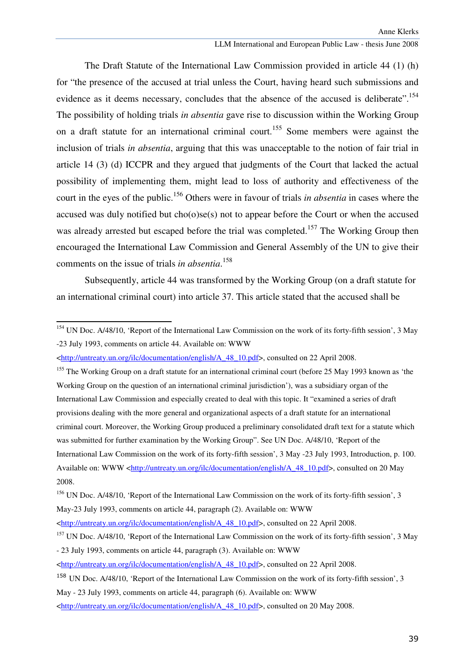#### LLM International and European Public Law - thesis June 2008

The Draft Statute of the International Law Commission provided in article 44 (1) (h) for "the presence of the accused at trial unless the Court, having heard such submissions and evidence as it deems necessary, concludes that the absence of the accused is deliberate".<sup>154</sup> The possibility of holding trials *in absentia* gave rise to discussion within the Working Group on a draft statute for an international criminal court.<sup>155</sup> Some members were against the inclusion of trials *in absentia*, arguing that this was unacceptable to the notion of fair trial in article 14 (3) (d) ICCPR and they argued that judgments of the Court that lacked the actual possibility of implementing them, might lead to loss of authority and effectiveness of the court in the eyes of the public.<sup>156</sup> Others were in favour of trials *in absentia* in cases where the accused was duly notified but cho(o)se(s) not to appear before the Court or when the accused was already arrested but escaped before the trial was completed.<sup>157</sup> The Working Group then encouraged the International Law Commission and General Assembly of the UN to give their comments on the issue of trials *in absentia*. 158

 Subsequently, article 44 was transformed by the Working Group (on a draft statute for an international criminal court) into article 37. This article stated that the accused shall be

<sup>&</sup>lt;sup>154</sup> UN Doc. A/48/10. 'Report of the International Law Commission on the work of its forty-fifth session', 3 May -23 July 1993, comments on article 44. Available on: WWW

<sup>&</sup>lt;http://untreaty.un.org/ilc/documentation/english/A\_48\_10.pdf>, consulted on 22 April 2008.

<sup>&</sup>lt;sup>155</sup> The Working Group on a draft statute for an international criminal court (before 25 May 1993 known as 'the Working Group on the question of an international criminal jurisdiction'), was a subsidiary organ of the International Law Commission and especially created to deal with this topic. It "examined a series of draft provisions dealing with the more general and organizational aspects of a draft statute for an international criminal court. Moreover, the Working Group produced a preliminary consolidated draft text for a statute which was submitted for further examination by the Working Group". See UN Doc. A/48/10, 'Report of the International Law Commission on the work of its forty-fifth session', 3 May -23 July 1993, Introduction, p. 100. Available on: WWW <http://untreaty.un.org/ilc/documentation/english/A\_48\_10.pdf>, consulted on 20 May 2008.

<sup>&</sup>lt;sup>156</sup> UN Doc. A/48/10, 'Report of the International Law Commission on the work of its forty-fifth session', 3 May-23 July 1993, comments on article 44, paragraph (2). Available on: WWW

<sup>&</sup>lt;http://untreaty.un.org/ilc/documentation/english/A\_48\_10.pdf>, consulted on 22 April 2008.

<sup>&</sup>lt;sup>157</sup> UN Doc. A/48/10, 'Report of the International Law Commission on the work of its forty-fifth session', 3 May - 23 July 1993, comments on article 44, paragraph (3). Available on: WWW

<sup>&</sup>lt;http://untreaty.un.org/ilc/documentation/english/A\_48\_10.pdf>, consulted on 22 April 2008.

<sup>158</sup> UN Doc. A/48/10, 'Report of the International Law Commission on the work of its forty-fifth session', 3

May - 23 July 1993, comments on article 44, paragraph (6). Available on: WWW

<sup>&</sup>lt;http://untreaty.un.org/ilc/documentation/english/A\_48\_10.pdf>, consulted on 20 May 2008.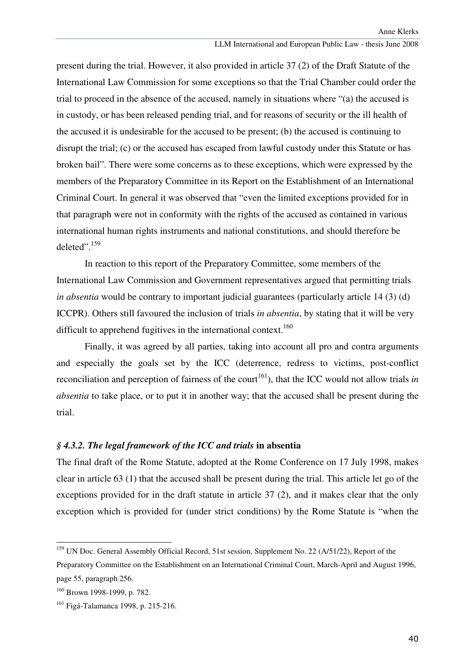present during the trial. However, it also provided in article 37 (2) of the Draft Statute of the International Law Commission for some exceptions so that the Trial Chamber could order the trial to proceed in the absence of the accused, namely in situations where "(a) the accused is in custody, or has been released pending trial, and for reasons of security or the ill health of the accused it is undesirable for the accused to be present; (b) the accused is continuing to disrupt the trial; (c) or the accused has escaped from lawful custody under this Statute or has broken bail". There were some concerns as to these exceptions, which were expressed by the members of the Preparatory Committee in its Report on the Establishment of an International Criminal Court. In general it was observed that "even the limited exceptions provided for in that paragraph were not in conformity with the rights of the accused as contained in various international human rights instruments and national constitutions, and should therefore be deleted".<sup>159</sup>

In reaction to this report of the Preparatory Committee, some members of the International Law Commission and Government representatives argued that permitting trials *in absentia* would be contrary to important judicial guarantees (particularly article 14 (3) (d) ICCPR). Others still favoured the inclusion of trials *in absentia*, by stating that it will be very difficult to apprehend fugitives in the international context.<sup>160</sup>

Finally, it was agreed by all parties, taking into account all pro and contra arguments and especially the goals set by the ICC (deterrence, redress to victims, post-conflict reconciliation and perception of fairness of the court<sup>161</sup>), that the ICC would not allow trials *in absentia* to take place, or to put it in another way; that the accused shall be present during the trial.

#### *§ 4.3.2. The legal framework of the ICC and trials* **in absentia**

The final draft of the Rome Statute, adopted at the Rome Conference on 17 July 1998, makes clear in article 63 (1) that the accused shall be present during the trial. This article let go of the exceptions provided for in the draft statute in article 37 (2), and it makes clear that the only exception which is provided for (under strict conditions) by the Rome Statute is "when the

<sup>&</sup>lt;sup>159</sup> UN Doc. General Assembly Official Record, 51st session, Supplement No. 22 (A/51/22), Report of the

Preparatory Committee on the Establishment on an International Criminal Court, March-April and August 1996, page 55, paragraph 256.

<sup>160</sup> Brown 1998-1999, p. 782.

<sup>&</sup>lt;sup>161</sup> Figá-Talamanca 1998, p. 215-216.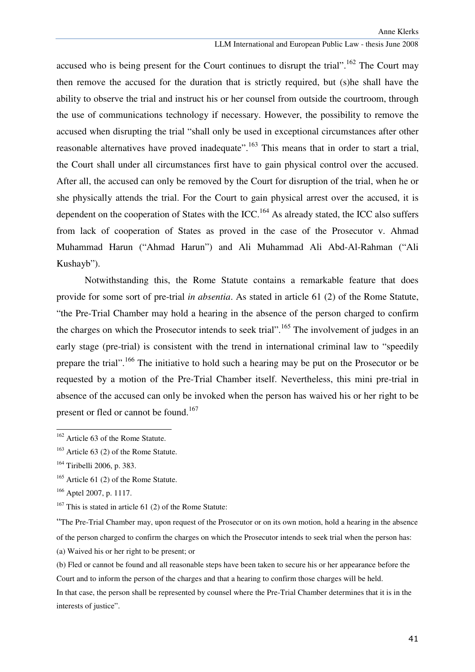### LLM International and European Public Law - thesis June 2008

accused who is being present for the Court continues to disrupt the trial".<sup>162</sup> The Court may then remove the accused for the duration that is strictly required, but (s)he shall have the ability to observe the trial and instruct his or her counsel from outside the courtroom, through the use of communications technology if necessary. However, the possibility to remove the accused when disrupting the trial "shall only be used in exceptional circumstances after other reasonable alternatives have proved inadequate".<sup>163</sup> This means that in order to start a trial, the Court shall under all circumstances first have to gain physical control over the accused. After all, the accused can only be removed by the Court for disruption of the trial, when he or she physically attends the trial. For the Court to gain physical arrest over the accused, it is dependent on the cooperation of States with the ICC.<sup>164</sup> As already stated, the ICC also suffers from lack of cooperation of States as proved in the case of the Prosecutor v. Ahmad Muhammad Harun ("Ahmad Harun") and Ali Muhammad Ali Abd-Al-Rahman ("Ali Kushayb").

Notwithstanding this, the Rome Statute contains a remarkable feature that does provide for some sort of pre-trial *in absentia*. As stated in article 61 (2) of the Rome Statute, "the Pre-Trial Chamber may hold a hearing in the absence of the person charged to confirm the charges on which the Prosecutor intends to seek trial".<sup>165</sup> The involvement of judges in an early stage (pre-trial) is consistent with the trend in international criminal law to "speedily prepare the trial".<sup>166</sup> The initiative to hold such a hearing may be put on the Prosecutor or be requested by a motion of the Pre-Trial Chamber itself. Nevertheless, this mini pre-trial in absence of the accused can only be invoked when the person has waived his or her right to be present or fled or cannot be found.<sup>167</sup>

ı

"The Pre-Trial Chamber may, upon request of the Prosecutor or on its own motion, hold a hearing in the absence of the person charged to confirm the charges on which the Prosecutor intends to seek trial when the person has:

(a) Waived his or her right to be present; or

(b) Fled or cannot be found and all reasonable steps have been taken to secure his or her appearance before the Court and to inform the person of the charges and that a hearing to confirm those charges will be held.

In that case, the person shall be represented by counsel where the Pre-Trial Chamber determines that it is in the interests of justice".

<sup>&</sup>lt;sup>162</sup> Article 63 of the Rome Statute.

<sup>&</sup>lt;sup>163</sup> Article 63 (2) of the Rome Statute.

<sup>164</sup> Tiribelli 2006, p. 383.

<sup>&</sup>lt;sup>165</sup> Article 61 (2) of the Rome Statute.

<sup>166</sup> Aptel 2007, p. 1117.

 $167$  This is stated in article 61 (2) of the Rome Statute: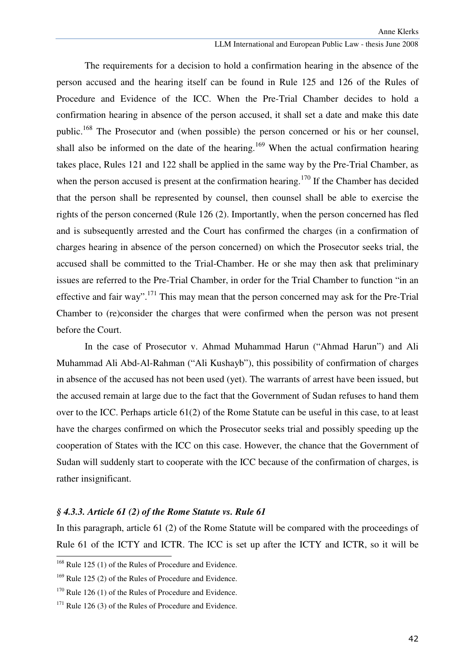#### LLM International and European Public Law - thesis June 2008

The requirements for a decision to hold a confirmation hearing in the absence of the person accused and the hearing itself can be found in Rule 125 and 126 of the Rules of Procedure and Evidence of the ICC. When the Pre-Trial Chamber decides to hold a confirmation hearing in absence of the person accused, it shall set a date and make this date public.<sup>168</sup> The Prosecutor and (when possible) the person concerned or his or her counsel, shall also be informed on the date of the hearing.<sup>169</sup> When the actual confirmation hearing takes place, Rules 121 and 122 shall be applied in the same way by the Pre-Trial Chamber, as when the person accused is present at the confirmation hearing.<sup>170</sup> If the Chamber has decided that the person shall be represented by counsel, then counsel shall be able to exercise the rights of the person concerned (Rule 126 (2). Importantly, when the person concerned has fled and is subsequently arrested and the Court has confirmed the charges (in a confirmation of charges hearing in absence of the person concerned) on which the Prosecutor seeks trial, the accused shall be committed to the Trial-Chamber. He or she may then ask that preliminary issues are referred to the Pre-Trial Chamber, in order for the Trial Chamber to function "in an effective and fair way".<sup>171</sup> This may mean that the person concerned may ask for the Pre-Trial Chamber to (re)consider the charges that were confirmed when the person was not present before the Court.

In the case of Prosecutor v. Ahmad Muhammad Harun ("Ahmad Harun") and Ali Muhammad Ali Abd-Al-Rahman ("Ali Kushayb"), this possibility of confirmation of charges in absence of the accused has not been used (yet). The warrants of arrest have been issued, but the accused remain at large due to the fact that the Government of Sudan refuses to hand them over to the ICC. Perhaps article 61(2) of the Rome Statute can be useful in this case, to at least have the charges confirmed on which the Prosecutor seeks trial and possibly speeding up the cooperation of States with the ICC on this case. However, the chance that the Government of Sudan will suddenly start to cooperate with the ICC because of the confirmation of charges, is rather insignificant.

### *§ 4.3.3. Article 61 (2) of the Rome Statute vs. Rule 61*

In this paragraph, article 61 (2) of the Rome Statute will be compared with the proceedings of Rule 61 of the ICTY and ICTR. The ICC is set up after the ICTY and ICTR, so it will be

 $168$  Rule 125 (1) of the Rules of Procedure and Evidence.

 $169$  Rule 125 (2) of the Rules of Procedure and Evidence.

 $170$  Rule 126 (1) of the Rules of Procedure and Evidence.

 $171$  Rule 126 (3) of the Rules of Procedure and Evidence.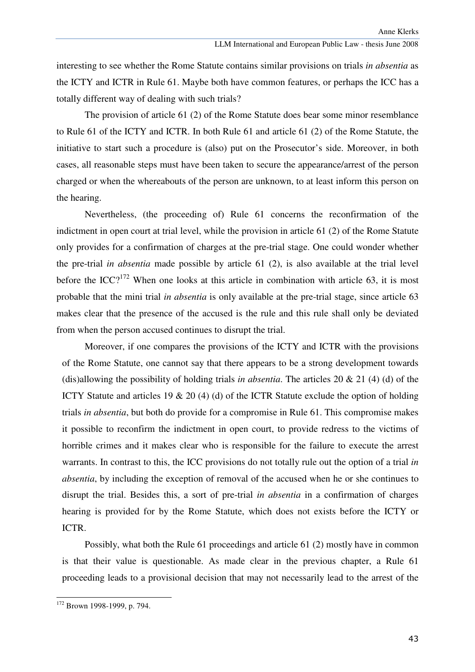interesting to see whether the Rome Statute contains similar provisions on trials *in absentia* as the ICTY and ICTR in Rule 61. Maybe both have common features, or perhaps the ICC has a totally different way of dealing with such trials?

The provision of article 61 (2) of the Rome Statute does bear some minor resemblance to Rule 61 of the ICTY and ICTR. In both Rule 61 and article 61 (2) of the Rome Statute, the initiative to start such a procedure is (also) put on the Prosecutor's side. Moreover, in both cases, all reasonable steps must have been taken to secure the appearance/arrest of the person charged or when the whereabouts of the person are unknown, to at least inform this person on the hearing.

Nevertheless, (the proceeding of) Rule 61 concerns the reconfirmation of the indictment in open court at trial level, while the provision in article 61 (2) of the Rome Statute only provides for a confirmation of charges at the pre-trial stage. One could wonder whether the pre-trial *in absentia* made possible by article 61 (2), is also available at the trial level before the ICC?<sup>172</sup> When one looks at this article in combination with article 63, it is most probable that the mini trial *in absentia* is only available at the pre-trial stage, since article 63 makes clear that the presence of the accused is the rule and this rule shall only be deviated from when the person accused continues to disrupt the trial.

Moreover, if one compares the provisions of the ICTY and ICTR with the provisions of the Rome Statute, one cannot say that there appears to be a strong development towards (dis)allowing the possibility of holding trials *in absentia*. The articles 20 & 21 (4) (d) of the ICTY Statute and articles 19 & 20 (4) (d) of the ICTR Statute exclude the option of holding trials *in absentia*, but both do provide for a compromise in Rule 61. This compromise makes it possible to reconfirm the indictment in open court, to provide redress to the victims of horrible crimes and it makes clear who is responsible for the failure to execute the arrest warrants. In contrast to this, the ICC provisions do not totally rule out the option of a trial *in absentia*, by including the exception of removal of the accused when he or she continues to disrupt the trial. Besides this, a sort of pre-trial *in absentia* in a confirmation of charges hearing is provided for by the Rome Statute, which does not exists before the ICTY or ICTR.

Possibly, what both the Rule 61 proceedings and article 61 (2) mostly have in common is that their value is questionable. As made clear in the previous chapter, a Rule 61 proceeding leads to a provisional decision that may not necessarily lead to the arrest of the

<sup>&</sup>lt;sup>172</sup> Brown 1998-1999, p. 794.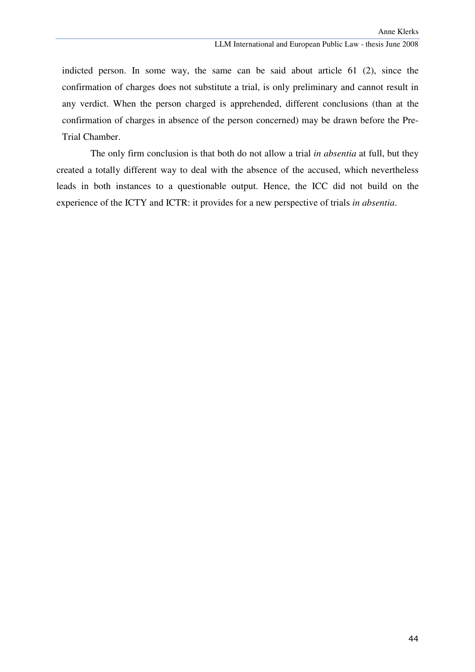indicted person. In some way, the same can be said about article 61 (2), since the confirmation of charges does not substitute a trial, is only preliminary and cannot result in any verdict. When the person charged is apprehended, different conclusions (than at the confirmation of charges in absence of the person concerned) may be drawn before the Pre-Trial Chamber.

The only firm conclusion is that both do not allow a trial *in absentia* at full, but they created a totally different way to deal with the absence of the accused, which nevertheless leads in both instances to a questionable output. Hence, the ICC did not build on the experience of the ICTY and ICTR: it provides for a new perspective of trials *in absentia*.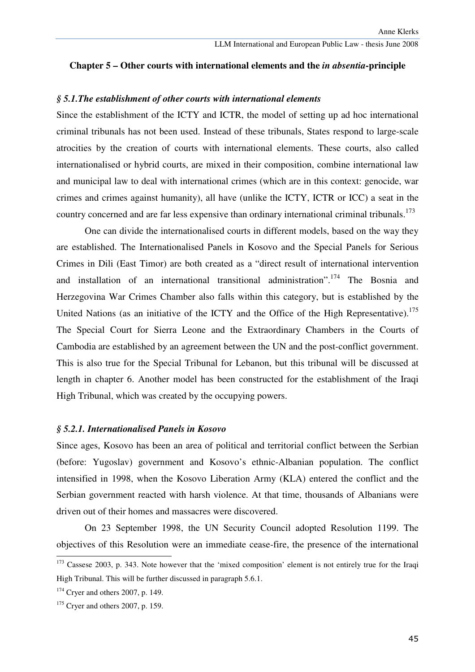### **Chapter 5 – Other courts with international elements and the** *in absentia***-principle**

#### *§ 5.1.The establishment of other courts with international elements*

Since the establishment of the ICTY and ICTR, the model of setting up ad hoc international criminal tribunals has not been used. Instead of these tribunals, States respond to large-scale atrocities by the creation of courts with international elements. These courts, also called internationalised or hybrid courts, are mixed in their composition, combine international law and municipal law to deal with international crimes (which are in this context: genocide, war crimes and crimes against humanity), all have (unlike the ICTY, ICTR or ICC) a seat in the country concerned and are far less expensive than ordinary international criminal tribunals.<sup>173</sup>

 One can divide the internationalised courts in different models, based on the way they are established. The Internationalised Panels in Kosovo and the Special Panels for Serious Crimes in Dili (East Timor) are both created as a "direct result of international intervention and installation of an international transitional administration".<sup>174</sup> The Bosnia and Herzegovina War Crimes Chamber also falls within this category, but is established by the United Nations (as an initiative of the ICTY and the Office of the High Representative).<sup>175</sup> The Special Court for Sierra Leone and the Extraordinary Chambers in the Courts of Cambodia are established by an agreement between the UN and the post-conflict government. This is also true for the Special Tribunal for Lebanon, but this tribunal will be discussed at length in chapter 6. Another model has been constructed for the establishment of the Iraqi High Tribunal, which was created by the occupying powers.

#### *§ 5.2.1. Internationalised Panels in Kosovo*

Since ages, Kosovo has been an area of political and territorial conflict between the Serbian (before: Yugoslav) government and Kosovo's ethnic-Albanian population. The conflict intensified in 1998, when the Kosovo Liberation Army (KLA) entered the conflict and the Serbian government reacted with harsh violence. At that time, thousands of Albanians were driven out of their homes and massacres were discovered.

 On 23 September 1998, the UN Security Council adopted Resolution 1199. The objectives of this Resolution were an immediate cease-fire, the presence of the international

<sup>&</sup>lt;sup>173</sup> Cassese 2003, p. 343. Note however that the 'mixed composition' element is not entirely true for the Iraqi High Tribunal. This will be further discussed in paragraph 5.6.1.

 $174$  Cryer and others 2007, p. 149.

<sup>175</sup> Cryer and others 2007, p. 159.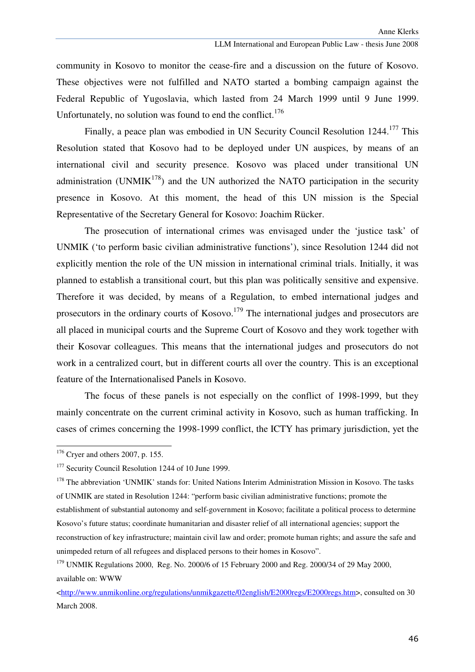community in Kosovo to monitor the cease-fire and a discussion on the future of Kosovo. These objectives were not fulfilled and NATO started a bombing campaign against the Federal Republic of Yugoslavia, which lasted from 24 March 1999 until 9 June 1999. Unfortunately, no solution was found to end the conflict.<sup>176</sup>

Finally, a peace plan was embodied in UN Security Council Resolution 1244.<sup>177</sup> This Resolution stated that Kosovo had to be deployed under UN auspices, by means of an international civil and security presence. Kosovo was placed under transitional UN administration (UNMI $K^{178}$ ) and the UN authorized the NATO participation in the security presence in Kosovo. At this moment, the head of this UN mission is the Special Representative of the Secretary General for Kosovo: Joachim Rücker.

 The prosecution of international crimes was envisaged under the 'justice task' of UNMIK ('to perform basic civilian administrative functions'), since Resolution 1244 did not explicitly mention the role of the UN mission in international criminal trials. Initially, it was planned to establish a transitional court, but this plan was politically sensitive and expensive. Therefore it was decided, by means of a Regulation, to embed international judges and prosecutors in the ordinary courts of  $Kosovo$ .<sup>179</sup> The international judges and prosecutors are all placed in municipal courts and the Supreme Court of Kosovo and they work together with their Kosovar colleagues. This means that the international judges and prosecutors do not work in a centralized court, but in different courts all over the country. This is an exceptional feature of the Internationalised Panels in Kosovo.

The focus of these panels is not especially on the conflict of 1998-1999, but they mainly concentrate on the current criminal activity in Kosovo, such as human trafficking. In cases of crimes concerning the 1998-1999 conflict, the ICTY has primary jurisdiction, yet the

ı

 $176$  Cryer and others 2007, p. 155.

<sup>&</sup>lt;sup>177</sup> Security Council Resolution 1244 of 10 June 1999.

<sup>&</sup>lt;sup>178</sup> The abbreviation 'UNMIK' stands for: United Nations Interim Administration Mission in Kosovo. The tasks of UNMIK are stated in Resolution 1244: "perform basic civilian administrative functions; promote the establishment of substantial autonomy and self-government in Kosovo; facilitate a political process to determine Kosovo's future status; coordinate humanitarian and disaster relief of all international agencies; support the reconstruction of key infrastructure; maintain civil law and order; promote human rights; and assure the safe and unimpeded return of all refugees and displaced persons to their homes in Kosovo".

 $179$  UNMIK Regulations 2000, Reg. No. 2000/6 of 15 February 2000 and Reg. 2000/34 of 29 May 2000, available on: WWW

<sup>&</sup>lt;http://www.unmikonline.org/regulations/unmikgazette/02english/E2000regs/E2000regs.htm>, consulted on 30 March 2008.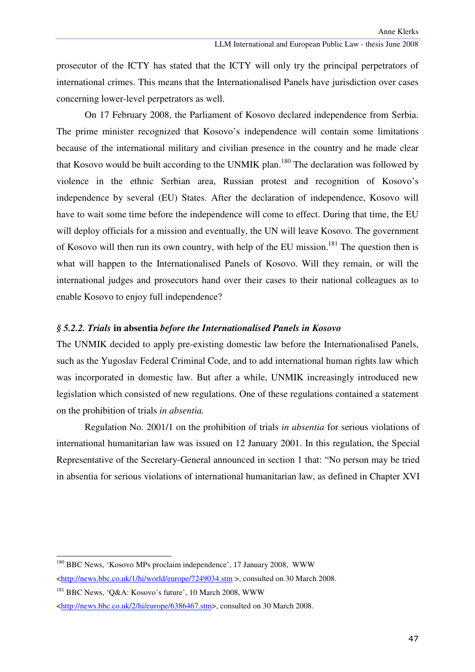prosecutor of the ICTY has stated that the ICTY will only try the principal perpetrators of international crimes. This means that the Internationalised Panels have jurisdiction over cases concerning lower-level perpetrators as well.

On 17 February 2008, the Parliament of Kosovo declared independence from Serbia. The prime minister recognized that Kosovo's independence will contain some limitations because of the international military and civilian presence in the country and he made clear that Kosovo would be built according to the UNMIK plan.<sup>180</sup> The declaration was followed by violence in the ethnic Serbian area, Russian protest and recognition of Kosovo's independence by several (EU) States. After the declaration of independence, Kosovo will have to wait some time before the independence will come to effect. During that time, the EU will deploy officials for a mission and eventually, the UN will leave Kosovo. The government of Kosovo will then run its own country, with help of the EU mission.<sup>181</sup> The question then is what will happen to the Internationalised Panels of Kosovo. Will they remain, or will the international judges and prosecutors hand over their cases to their national colleagues as to enable Kosovo to enjoy full independence?

### *§ 5.2.2. Trials* **in absentia** *before the Internationalised Panels in Kosovo*

The UNMIK decided to apply pre-existing domestic law before the Internationalised Panels, such as the Yugoslav Federal Criminal Code, and to add international human rights law which was incorporated in domestic law. But after a while, UNMIK increasingly introduced new legislation which consisted of new regulations. One of these regulations contained a statement on the prohibition of trials *in absentia.*

Regulation No. 2001/1 on the prohibition of trials *in absentia* for serious violations of international humanitarian law was issued on 12 January 2001. In this regulation, the Special Representative of the Secretary-General announced in section 1 that: "No person may be tried in absentia for serious violations of international humanitarian law, as defined in Chapter XVI

<sup>180</sup> BBC News, 'Kosovo MPs proclaim independence', 17 January 2008, WWW <http://news.bbc.co.uk/1/hi/world/europe/7249034.stm >, consulted on 30 March 2008.

<sup>&</sup>lt;sup>181</sup> BBC News, 'O&A: Kosovo's future', 10 March 2008, WWW

<sup>&</sup>lt;http://news.bbc.co.uk/2/hi/europe/6386467.stm>, consulted on 30 March 2008.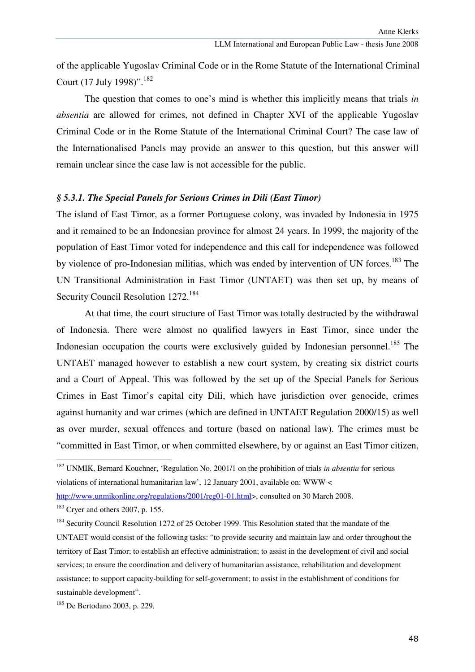of the applicable Yugoslav Criminal Code or in the Rome Statute of the International Criminal Court (17 July 1998)".<sup>182</sup>

The question that comes to one's mind is whether this implicitly means that trials *in absentia* are allowed for crimes, not defined in Chapter XVI of the applicable Yugoslav Criminal Code or in the Rome Statute of the International Criminal Court? The case law of the Internationalised Panels may provide an answer to this question, but this answer will remain unclear since the case law is not accessible for the public.

## *§ 5.3.1. The Special Panels for Serious Crimes in Dili (East Timor)*

The island of East Timor, as a former Portuguese colony, was invaded by Indonesia in 1975 and it remained to be an Indonesian province for almost 24 years. In 1999, the majority of the population of East Timor voted for independence and this call for independence was followed by violence of pro-Indonesian militias, which was ended by intervention of UN forces.<sup>183</sup> The UN Transitional Administration in East Timor (UNTAET) was then set up, by means of Security Council Resolution 1272.<sup>184</sup>

At that time, the court structure of East Timor was totally destructed by the withdrawal of Indonesia. There were almost no qualified lawyers in East Timor, since under the Indonesian occupation the courts were exclusively guided by Indonesian personnel.<sup>185</sup> The UNTAET managed however to establish a new court system, by creating six district courts and a Court of Appeal. This was followed by the set up of the Special Panels for Serious Crimes in East Timor's capital city Dili, which have jurisdiction over genocide, crimes against humanity and war crimes (which are defined in UNTAET Regulation 2000/15) as well as over murder, sexual offences and torture (based on national law). The crimes must be "committed in East Timor, or when committed elsewhere, by or against an East Timor citizen,

<sup>182</sup> UNMIK, Bernard Kouchner, 'Regulation No. 2001/1 on the prohibition of trials *in absentia* for serious violations of international humanitarian law', 12 January 2001, available on: WWW <

http://www.unmikonline.org/regulations/2001/reg01-01.html>, consulted on 30 March 2008.

<sup>183</sup> Cryer and others 2007, p. 155.

<sup>&</sup>lt;sup>184</sup> Security Council Resolution 1272 of 25 October 1999. This Resolution stated that the mandate of the UNTAET would consist of the following tasks: "to provide security and maintain law and order throughout the territory of East Timor; to establish an effective administration; to assist in the development of civil and social services; to ensure the coordination and delivery of humanitarian assistance, rehabilitation and development assistance; to support capacity-building for self-government; to assist in the establishment of conditions for sustainable development".

<sup>185</sup> De Bertodano 2003, p. 229.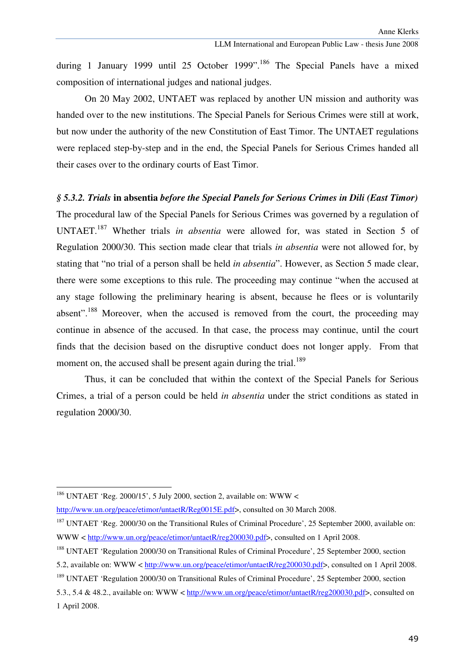during 1 January 1999 until 25 October 1999".<sup>186</sup> The Special Panels have a mixed composition of international judges and national judges.

 On 20 May 2002, UNTAET was replaced by another UN mission and authority was handed over to the new institutions. The Special Panels for Serious Crimes were still at work, but now under the authority of the new Constitution of East Timor. The UNTAET regulations were replaced step-by-step and in the end, the Special Panels for Serious Crimes handed all their cases over to the ordinary courts of East Timor.

### *§ 5.3.2. Trials* **in absentia** *before the Special Panels for Serious Crimes in Dili (East Timor)*

The procedural law of the Special Panels for Serious Crimes was governed by a regulation of UNTAET.<sup>187</sup> Whether trials *in absentia* were allowed for, was stated in Section 5 of Regulation 2000/30. This section made clear that trials *in absentia* were not allowed for, by stating that "no trial of a person shall be held *in absentia*". However, as Section 5 made clear, there were some exceptions to this rule. The proceeding may continue "when the accused at any stage following the preliminary hearing is absent, because he flees or is voluntarily absent".<sup>188</sup> Moreover, when the accused is removed from the court, the proceeding may continue in absence of the accused. In that case, the process may continue, until the court finds that the decision based on the disruptive conduct does not longer apply. From that moment on, the accused shall be present again during the trial.<sup>189</sup>

 Thus, it can be concluded that within the context of the Special Panels for Serious Crimes, a trial of a person could be held *in absentia* under the strict conditions as stated in regulation 2000/30.

ı

<sup>&</sup>lt;sup>186</sup> UNTAET 'Reg. 2000/15', 5 July 2000, section 2, available on: WWW <

http://www.un.org/peace/etimor/untaetR/Reg0015E.pdf>, consulted on 30 March 2008.

<sup>&</sup>lt;sup>187</sup> UNTAET 'Reg. 2000/30 on the Transitional Rules of Criminal Procedure', 25 September 2000, available on: WWW < http://www.un.org/peace/etimor/untaetR/reg200030.pdf>, consulted on 1 April 2008.

<sup>188</sup> UNTAET 'Regulation 2000/30 on Transitional Rules of Criminal Procedure', 25 September 2000, section

<sup>5.2,</sup> available on: WWW < http://www.un.org/peace/etimor/untaetR/reg200030.pdf>, consulted on 1 April 2008.

<sup>&</sup>lt;sup>189</sup> UNTAET 'Regulation 2000/30 on Transitional Rules of Criminal Procedure', 25 September 2000, section

<sup>5.3., 5.4 &</sup>amp; 48.2., available on: WWW < http://www.un.org/peace/etimor/untaetR/reg200030.pdf>, consulted on 1 April 2008.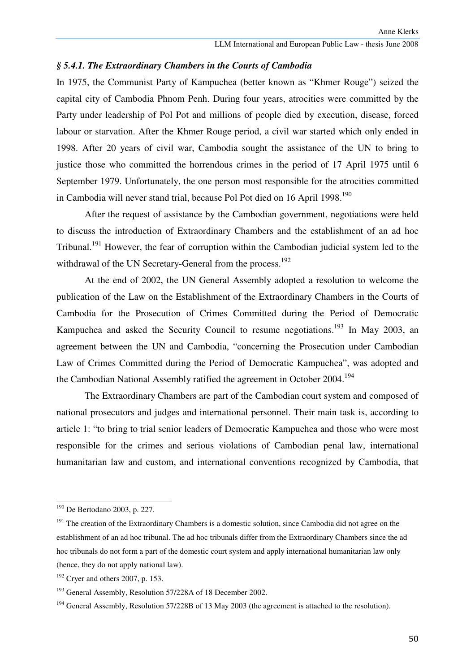## *§ 5.4.1. The Extraordinary Chambers in the Courts of Cambodia*

In 1975, the Communist Party of Kampuchea (better known as "Khmer Rouge") seized the capital city of Cambodia Phnom Penh. During four years, atrocities were committed by the Party under leadership of Pol Pot and millions of people died by execution, disease, forced labour or starvation. After the Khmer Rouge period, a civil war started which only ended in 1998. After 20 years of civil war, Cambodia sought the assistance of the UN to bring to justice those who committed the horrendous crimes in the period of 17 April 1975 until 6 September 1979. Unfortunately, the one person most responsible for the atrocities committed in Cambodia will never stand trial, because Pol Pot died on 16 April 1998.<sup>190</sup>

 After the request of assistance by the Cambodian government, negotiations were held to discuss the introduction of Extraordinary Chambers and the establishment of an ad hoc Tribunal.<sup>191</sup> However, the fear of corruption within the Cambodian judicial system led to the withdrawal of the UN Secretary-General from the process.<sup>192</sup>

 At the end of 2002, the UN General Assembly adopted a resolution to welcome the publication of the Law on the Establishment of the Extraordinary Chambers in the Courts of Cambodia for the Prosecution of Crimes Committed during the Period of Democratic Kampuchea and asked the Security Council to resume negotiations.<sup>193</sup> In May 2003, an agreement between the UN and Cambodia, "concerning the Prosecution under Cambodian Law of Crimes Committed during the Period of Democratic Kampuchea", was adopted and the Cambodian National Assembly ratified the agreement in October 2004.<sup>194</sup>

 The Extraordinary Chambers are part of the Cambodian court system and composed of national prosecutors and judges and international personnel. Their main task is, according to article 1: "to bring to trial senior leaders of Democratic Kampuchea and those who were most responsible for the crimes and serious violations of Cambodian penal law, international humanitarian law and custom, and international conventions recognized by Cambodia, that

<sup>190</sup> De Bertodano 2003, p. 227.

 $191$  The creation of the Extraordinary Chambers is a domestic solution, since Cambodia did not agree on the establishment of an ad hoc tribunal. The ad hoc tribunals differ from the Extraordinary Chambers since the ad hoc tribunals do not form a part of the domestic court system and apply international humanitarian law only (hence, they do not apply national law).

 $192$  Cryer and others 2007, p. 153.

<sup>&</sup>lt;sup>193</sup> General Assembly, Resolution 57/228A of 18 December 2002.

<sup>&</sup>lt;sup>194</sup> General Assembly. Resolution 57/228B of 13 May 2003 (the agreement is attached to the resolution).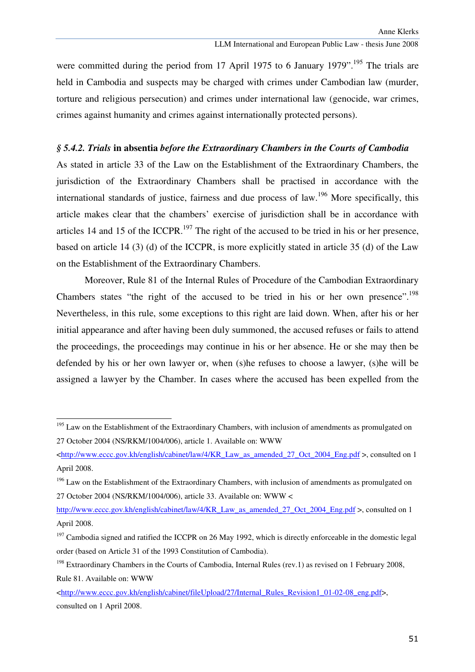were committed during the period from 17 April 1975 to 6 January 1979".<sup>195</sup> The trials are held in Cambodia and suspects may be charged with crimes under Cambodian law (murder, torture and religious persecution) and crimes under international law (genocide, war crimes, crimes against humanity and crimes against internationally protected persons).

## *§ 5.4.2. Trials* **in absentia** *before the Extraordinary Chambers in the Courts of Cambodia*

As stated in article 33 of the Law on the Establishment of the Extraordinary Chambers, the jurisdiction of the Extraordinary Chambers shall be practised in accordance with the international standards of justice, fairness and due process of law.<sup>196</sup> More specifically, this article makes clear that the chambers' exercise of jurisdiction shall be in accordance with articles 14 and 15 of the ICCPR.<sup>197</sup> The right of the accused to be tried in his or her presence, based on article 14 (3) (d) of the ICCPR, is more explicitly stated in article 35 (d) of the Law on the Establishment of the Extraordinary Chambers.

 Moreover, Rule 81 of the Internal Rules of Procedure of the Cambodian Extraordinary Chambers states "the right of the accused to be tried in his or her own presence".<sup>198</sup> Nevertheless, in this rule, some exceptions to this right are laid down. When, after his or her initial appearance and after having been duly summoned, the accused refuses or fails to attend the proceedings, the proceedings may continue in his or her absence. He or she may then be defended by his or her own lawyer or, when (s)he refuses to choose a lawyer, (s)he will be assigned a lawyer by the Chamber. In cases where the accused has been expelled from the

<sup>&</sup>lt;sup>195</sup> Law on the Establishment of the Extraordinary Chambers, with inclusion of amendments as promulgated on 27 October 2004 (NS/RKM/1004/006), article 1. Available on: WWW

 $\text{thtn://www.eccc.gov.kh/english/cabinet/law/4/KR}$  Law as amended 27 Oct 2004 Eng.pdf  $>$ , consulted on 1 April 2008.

<sup>&</sup>lt;sup>196</sup> Law on the Establishment of the Extraordinary Chambers, with inclusion of amendments as promulgated on 27 October 2004 (NS/RKM/1004/006), article 33. Available on: WWW <

http://www.eccc.gov.kh/english/cabinet/law/4/KR\_Law\_as\_amended\_27\_Oct\_2004\_Eng.pdf >, consulted on 1 April 2008.

 $197$  Cambodia signed and ratified the ICCPR on 26 May 1992, which is directly enforceable in the domestic legal order (based on Article 31 of the 1993 Constitution of Cambodia).

<sup>&</sup>lt;sup>198</sup> Extraordinary Chambers in the Courts of Cambodia, Internal Rules (rev.1) as revised on 1 February 2008, Rule 81. Available on: WWW

<sup>&</sup>lt;http://www.eccc.gov.kh/english/cabinet/fileUpload/27/Internal\_Rules\_Revision1\_01-02-08\_eng.pdf>, consulted on 1 April 2008.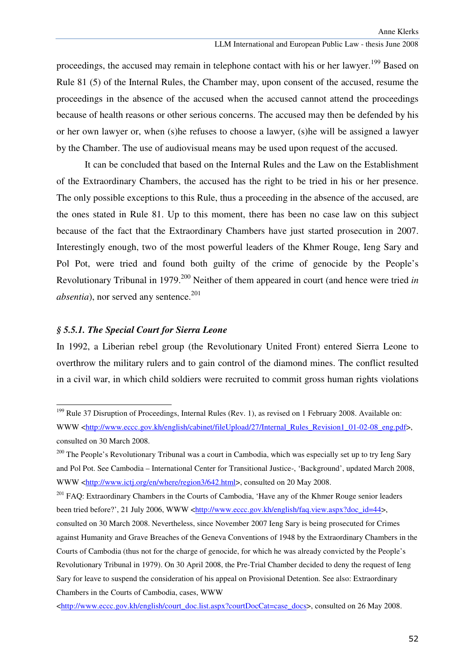proceedings, the accused may remain in telephone contact with his or her lawyer.<sup>199</sup> Based on Rule 81 (5) of the Internal Rules, the Chamber may, upon consent of the accused, resume the proceedings in the absence of the accused when the accused cannot attend the proceedings because of health reasons or other serious concerns. The accused may then be defended by his or her own lawyer or, when (s)he refuses to choose a lawyer, (s)he will be assigned a lawyer by the Chamber. The use of audiovisual means may be used upon request of the accused.

 It can be concluded that based on the Internal Rules and the Law on the Establishment of the Extraordinary Chambers, the accused has the right to be tried in his or her presence. The only possible exceptions to this Rule, thus a proceeding in the absence of the accused, are the ones stated in Rule 81. Up to this moment, there has been no case law on this subject because of the fact that the Extraordinary Chambers have just started prosecution in 2007. Interestingly enough, two of the most powerful leaders of the Khmer Rouge, Ieng Sary and Pol Pot, were tried and found both guilty of the crime of genocide by the People's Revolutionary Tribunal in 1979.<sup>200</sup> Neither of them appeared in court (and hence were tried *in absentia*), nor served any sentence.<sup>201</sup>

## *§ 5.5.1. The Special Court for Sierra Leone*

ł

In 1992, a Liberian rebel group (the Revolutionary United Front) entered Sierra Leone to overthrow the military rulers and to gain control of the diamond mines. The conflict resulted in a civil war, in which child soldiers were recruited to commit gross human rights violations

<sup>&</sup>lt;sup>199</sup> Rule 37 Disruption of Proceedings, Internal Rules (Rev. 1), as revised on 1 February 2008. Available on: WWW <http://www.eccc.gov.kh/english/cabinet/fileUpload/27/Internal\_Rules\_Revision1\_01-02-08\_eng.pdf>, consulted on 30 March 2008.

<sup>&</sup>lt;sup>200</sup> The People's Revolutionary Tribunal was a court in Cambodia, which was especially set up to try Ieng Sary and Pol Pot. See Cambodia – International Center for Transitional Justice-, 'Background', updated March 2008, WWW <http://www.ictj.org/en/where/region3/642.html>, consulted on 20 May 2008.

<sup>&</sup>lt;sup>201</sup> FAQ: Extraordinary Chambers in the Courts of Cambodia, 'Have any of the Khmer Rouge senior leaders been tried before?', 21 July 2006, WWW <http://www.eccc.gov.kh/english/faq.view.aspx?doc\_id=44>,

consulted on 30 March 2008. Nevertheless, since November 2007 Ieng Sary is being prosecuted for Crimes against Humanity and Grave Breaches of the Geneva Conventions of 1948 by the Extraordinary Chambers in the Courts of Cambodia (thus not for the charge of genocide, for which he was already convicted by the People's Revolutionary Tribunal in 1979). On 30 April 2008, the Pre-Trial Chamber decided to deny the request of Ieng Sary for leave to suspend the consideration of his appeal on Provisional Detention. See also: Extraordinary Chambers in the Courts of Cambodia, cases, WWW

 $\text{thtn://www.eccc.gov.kh/english/court doc.list.aspx?courtDocCat=case: docs>}, \text{consider on 26 May 2008}.$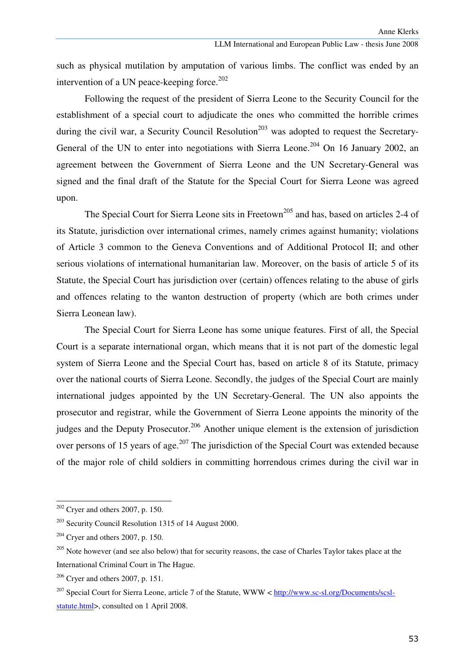such as physical mutilation by amputation of various limbs. The conflict was ended by an intervention of a UN peace-keeping force. $202$ 

 Following the request of the president of Sierra Leone to the Security Council for the establishment of a special court to adjudicate the ones who committed the horrible crimes during the civil war, a Security Council Resolution<sup>203</sup> was adopted to request the Secretary-General of the UN to enter into negotiations with Sierra Leone.<sup>204</sup> On 16 January 2002, an agreement between the Government of Sierra Leone and the UN Secretary-General was signed and the final draft of the Statute for the Special Court for Sierra Leone was agreed upon.

The Special Court for Sierra Leone sits in Freetown<sup>205</sup> and has, based on articles 2-4 of its Statute, jurisdiction over international crimes, namely crimes against humanity; violations of Article 3 common to the Geneva Conventions and of Additional Protocol II; and other serious violations of international humanitarian law. Moreover, on the basis of article 5 of its Statute, the Special Court has jurisdiction over (certain) offences relating to the abuse of girls and offences relating to the wanton destruction of property (which are both crimes under Sierra Leonean law).

The Special Court for Sierra Leone has some unique features. First of all, the Special Court is a separate international organ, which means that it is not part of the domestic legal system of Sierra Leone and the Special Court has, based on article 8 of its Statute, primacy over the national courts of Sierra Leone. Secondly, the judges of the Special Court are mainly international judges appointed by the UN Secretary-General. The UN also appoints the prosecutor and registrar, while the Government of Sierra Leone appoints the minority of the judges and the Deputy Prosecutor.<sup>206</sup> Another unique element is the extension of jurisdiction over persons of 15 years of age.<sup>207</sup> The jurisdiction of the Special Court was extended because of the major role of child soldiers in committing horrendous crimes during the civil war in

 $202$  Cryer and others 2007, p. 150.

 $203$  Security Council Resolution 1315 of 14 August 2000.

 $204$  Cryer and others 2007, p. 150.

<sup>&</sup>lt;sup>205</sup> Note however (and see also below) that for security reasons, the case of Charles Taylor takes place at the International Criminal Court in The Hague.

 $206$  Cryer and others 2007, p. 151.

<sup>&</sup>lt;sup>207</sup> Special Court for Sierra Leone, article 7 of the Statute, WWW < http://www.sc-sl.org/Documents/scslstatute.html>, consulted on 1 April 2008.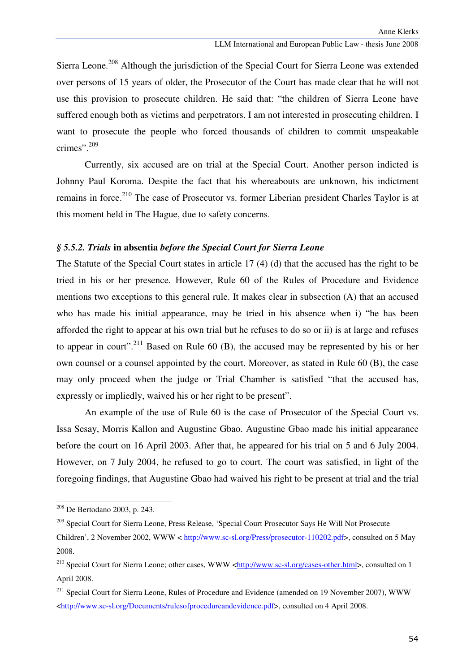Sierra Leone.<sup>208</sup> Although the jurisdiction of the Special Court for Sierra Leone was extended over persons of 15 years of older, the Prosecutor of the Court has made clear that he will not use this provision to prosecute children. He said that: "the children of Sierra Leone have suffered enough both as victims and perpetrators. I am not interested in prosecuting children. I want to prosecute the people who forced thousands of children to commit unspeakable crimes".<sup>209</sup>

Currently, six accused are on trial at the Special Court. Another person indicted is Johnny Paul Koroma. Despite the fact that his whereabouts are unknown, his indictment remains in force.<sup>210</sup> The case of Prosecutor vs. former Liberian president Charles Taylor is at this moment held in The Hague, due to safety concerns.

### *§ 5.5.2. Trials* **in absentia** *before the Special Court for Sierra Leone*

The Statute of the Special Court states in article 17 (4) (d) that the accused has the right to be tried in his or her presence. However, Rule 60 of the Rules of Procedure and Evidence mentions two exceptions to this general rule. It makes clear in subsection (A) that an accused who has made his initial appearance, may be tried in his absence when i) "he has been afforded the right to appear at his own trial but he refuses to do so or ii) is at large and refuses to appear in court".<sup>211</sup> Based on Rule 60 (B), the accused may be represented by his or her own counsel or a counsel appointed by the court. Moreover, as stated in Rule 60 (B), the case may only proceed when the judge or Trial Chamber is satisfied "that the accused has, expressly or impliedly, waived his or her right to be present".

 An example of the use of Rule 60 is the case of Prosecutor of the Special Court vs. Issa Sesay, Morris Kallon and Augustine Gbao. Augustine Gbao made his initial appearance before the court on 16 April 2003. After that, he appeared for his trial on 5 and 6 July 2004. However, on 7 July 2004, he refused to go to court. The court was satisfied, in light of the foregoing findings, that Augustine Gbao had waived his right to be present at trial and the trial

<sup>208</sup> De Bertodano 2003, p. 243.

<sup>209</sup> Special Court for Sierra Leone, Press Release, 'Special Court Prosecutor Says He Will Not Prosecute Children', 2 November 2002, WWW < http://www.sc-sl.org/Press/prosecutor-110202.pdf>, consulted on 5 May 2008.

<sup>&</sup>lt;sup>210</sup> Special Court for Sierra Leone; other cases, WWW <http://www.sc-sl.org/cases-other.html>, consulted on 1 April 2008.

<sup>&</sup>lt;sup>211</sup> Special Court for Sierra Leone, Rules of Procedure and Evidence (amended on 19 November 2007), WWW <http://www.sc-sl.org/Documents/rulesofprocedureandevidence.pdf>, consulted on 4 April 2008.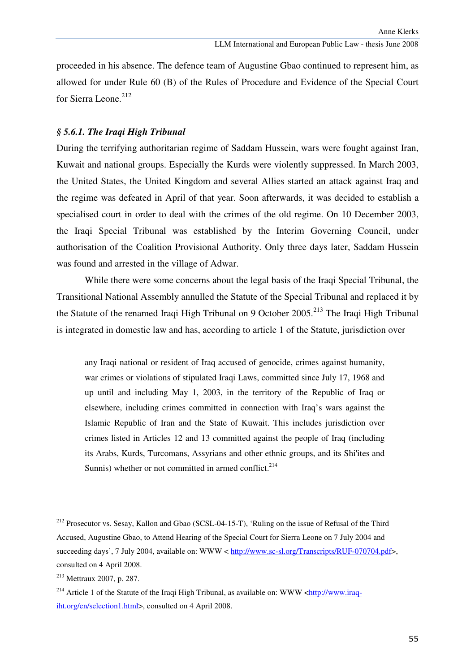proceeded in his absence. The defence team of Augustine Gbao continued to represent him, as allowed for under Rule 60 (B) of the Rules of Procedure and Evidence of the Special Court for Sierra Leone.<sup>212</sup>

### *§ 5.6.1. The Iraqi High Tribunal*

During the terrifying authoritarian regime of Saddam Hussein, wars were fought against Iran, Kuwait and national groups. Especially the Kurds were violently suppressed. In March 2003, the United States, the United Kingdom and several Allies started an attack against Iraq and the regime was defeated in April of that year. Soon afterwards, it was decided to establish a specialised court in order to deal with the crimes of the old regime. On 10 December 2003, the Iraqi Special Tribunal was established by the Interim Governing Council, under authorisation of the Coalition Provisional Authority. Only three days later, Saddam Hussein was found and arrested in the village of Adwar.

 While there were some concerns about the legal basis of the Iraqi Special Tribunal, the Transitional National Assembly annulled the Statute of the Special Tribunal and replaced it by the Statute of the renamed Iraqi High Tribunal on 9 October 2005.<sup>213</sup> The Iraqi High Tribunal is integrated in domestic law and has, according to article 1 of the Statute, jurisdiction over

any Iraqi national or resident of Iraq accused of genocide, crimes against humanity, war crimes or violations of stipulated Iraqi Laws, committed since July 17, 1968 and up until and including May 1, 2003, in the territory of the Republic of Iraq or elsewhere, including crimes committed in connection with Iraq's wars against the Islamic Republic of Iran and the State of Kuwait. This includes jurisdiction over crimes listed in Articles 12 and 13 committed against the people of Iraq (including its Arabs, Kurds, Turcomans, Assyrians and other ethnic groups, and its Shi'ites and Sunnis) whether or not committed in armed conflict. $2^{14}$ 

<sup>&</sup>lt;sup>212</sup> Prosecutor vs. Sesay, Kallon and Gbao (SCSL-04-15-T), 'Ruling on the issue of Refusal of the Third Accused, Augustine Gbao, to Attend Hearing of the Special Court for Sierra Leone on 7 July 2004 and succeeding days', 7 July 2004, available on: WWW < http://www.sc-sl.org/Transcripts/RUF-070704.pdf>, consulted on 4 April 2008.

<sup>213</sup> Mettraux 2007, p. 287.

<sup>&</sup>lt;sup>214</sup> Article 1 of the Statute of the Iraqi High Tribunal, as available on: WWW <http://www.iraqiht.org/en/selection1.html>, consulted on 4 April 2008.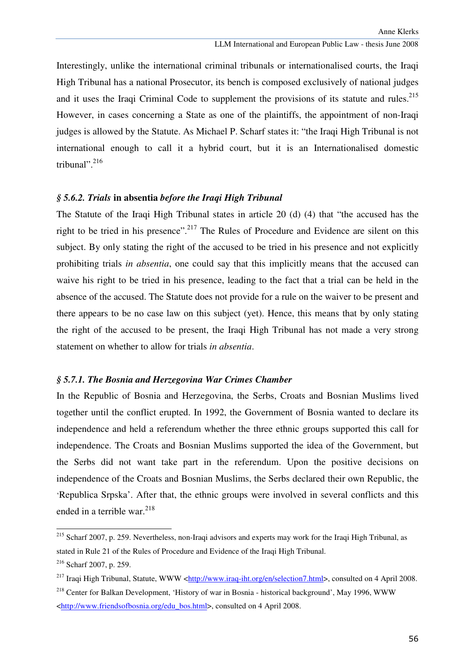Interestingly, unlike the international criminal tribunals or internationalised courts, the Iraqi High Tribunal has a national Prosecutor, its bench is composed exclusively of national judges and it uses the Iraqi Criminal Code to supplement the provisions of its statute and rules.<sup>215</sup> However, in cases concerning a State as one of the plaintiffs, the appointment of non-Iraqi judges is allowed by the Statute. As Michael P. Scharf states it: "the Iraqi High Tribunal is not international enough to call it a hybrid court, but it is an Internationalised domestic tribunal". $^{216}$ 

## *§ 5.6.2. Trials* **in absentia** *before the Iraqi High Tribunal*

The Statute of the Iraqi High Tribunal states in article 20 (d) (4) that "the accused has the right to be tried in his presence".<sup>217</sup> The Rules of Procedure and Evidence are silent on this subject. By only stating the right of the accused to be tried in his presence and not explicitly prohibiting trials *in absentia*, one could say that this implicitly means that the accused can waive his right to be tried in his presence, leading to the fact that a trial can be held in the absence of the accused. The Statute does not provide for a rule on the waiver to be present and there appears to be no case law on this subject (yet). Hence, this means that by only stating the right of the accused to be present, the Iraqi High Tribunal has not made a very strong statement on whether to allow for trials *in absentia*.

## *§ 5.7.1. The Bosnia and Herzegovina War Crimes Chamber*

In the Republic of Bosnia and Herzegovina, the Serbs, Croats and Bosnian Muslims lived together until the conflict erupted. In 1992, the Government of Bosnia wanted to declare its independence and held a referendum whether the three ethnic groups supported this call for independence. The Croats and Bosnian Muslims supported the idea of the Government, but the Serbs did not want take part in the referendum. Upon the positive decisions on independence of the Croats and Bosnian Muslims, the Serbs declared their own Republic, the 'Republica Srpska'. After that, the ethnic groups were involved in several conflicts and this ended in a terrible war.<sup>218</sup>

<sup>215</sup> Scharf 2007, p. 259. Nevertheless, non-Iraqi advisors and experts may work for the Iraqi High Tribunal, as stated in Rule 21 of the Rules of Procedure and Evidence of the Iraqi High Tribunal.

<sup>216</sup> Scharf 2007, p. 259.

<sup>&</sup>lt;sup>217</sup> Iraqi High Tribunal, Statute, WWW <http://www.iraq-iht.org/en/selection7.html>, consulted on 4 April 2008.

<sup>&</sup>lt;sup>218</sup> Center for Balkan Development, 'History of war in Bosnia - historical background', May 1996, WWW <http://www.friendsofbosnia.org/edu\_bos.html>, consulted on 4 April 2008.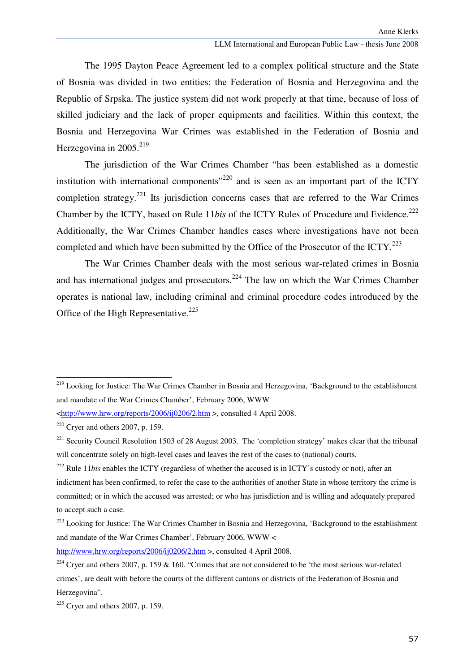The 1995 Dayton Peace Agreement led to a complex political structure and the State of Bosnia was divided in two entities: the Federation of Bosnia and Herzegovina and the Republic of Srpska. The justice system did not work properly at that time, because of loss of skilled judiciary and the lack of proper equipments and facilities. Within this context, the Bosnia and Herzegovina War Crimes was established in the Federation of Bosnia and Herzegovina in 2005.<sup>219</sup>

The jurisdiction of the War Crimes Chamber "has been established as a domestic institution with international components<sup> $220$ </sup> and is seen as an important part of the ICTY completion strategy.<sup>221</sup> Its jurisdiction concerns cases that are referred to the War Crimes Chamber by the ICTY, based on Rule 11*bis* of the ICTY Rules of Procedure and Evidence.<sup>222</sup> Additionally, the War Crimes Chamber handles cases where investigations have not been completed and which have been submitted by the Office of the Prosecutor of the ICTY. $^{223}$ 

 The War Crimes Chamber deals with the most serious war-related crimes in Bosnia and has international judges and prosecutors.<sup>224</sup> The law on which the War Crimes Chamber operates is national law, including criminal and criminal procedure codes introduced by the Office of the High Representative.<sup>225</sup>

ł

<sup>222</sup> Rule 11*bis* enables the ICTY (regardless of whether the accused is in ICTY's custody or not), after an

http://www.hrw.org/reports/2006/ij0206/2.htm >, consulted 4 April 2008.

<sup>&</sup>lt;sup>219</sup> Looking for Justice: The War Crimes Chamber in Bosnia and Herzegovina, 'Background to the establishment and mandate of the War Crimes Chamber', February 2006, WWW

<sup>&</sup>lt;http://www.hrw.org/reports/2006/ij0206/2.htm >, consulted 4 April 2008.

 $220$  Cryer and others 2007, p. 159.

<sup>&</sup>lt;sup>221</sup> Security Council Resolution 1503 of 28 August 2003. The 'completion strategy' makes clear that the tribunal will concentrate solely on high-level cases and leaves the rest of the cases to (national) courts.

indictment has been confirmed, to refer the case to the authorities of another State in whose territory the crime is committed; or in which the accused was arrested; or who has jurisdiction and is willing and adequately prepared to accept such a case.

 $^{223}$  Looking for Justice: The War Crimes Chamber in Bosnia and Herzegovina, 'Background to the establishment and mandate of the War Crimes Chamber', February 2006, WWW <

<sup>&</sup>lt;sup>224</sup> Cryer and others 2007, p. 159 & 160. "Crimes that are not considered to be 'the most serious war-related crimes', are dealt with before the courts of the different cantons or districts of the Federation of Bosnia and Herzegovina".

 $225$  Cryer and others 2007, p. 159.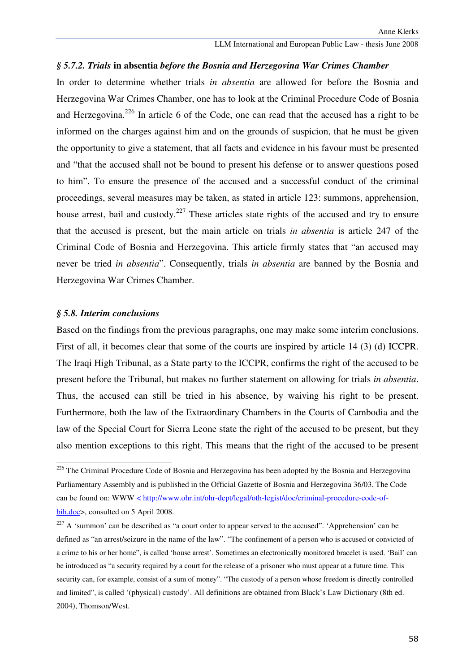## *§ 5.7.2. Trials* **in absentia** *before the Bosnia and Herzegovina War Crimes Chamber*

In order to determine whether trials *in absentia* are allowed for before the Bosnia and Herzegovina War Crimes Chamber, one has to look at the Criminal Procedure Code of Bosnia and Herzegovina.<sup>226</sup> In article 6 of the Code, one can read that the accused has a right to be informed on the charges against him and on the grounds of suspicion, that he must be given the opportunity to give a statement, that all facts and evidence in his favour must be presented and "that the accused shall not be bound to present his defense or to answer questions posed to him". To ensure the presence of the accused and a successful conduct of the criminal proceedings, several measures may be taken, as stated in article 123: summons, apprehension, house arrest, bail and custody.<sup>227</sup> These articles state rights of the accused and try to ensure that the accused is present, but the main article on trials *in absentia* is article 247 of the Criminal Code of Bosnia and Herzegovina. This article firmly states that "an accused may never be tried *in absentia*". Consequently, trials *in absentia* are banned by the Bosnia and Herzegovina War Crimes Chamber.

#### *§ 5.8. Interim conclusions*

ł

Based on the findings from the previous paragraphs, one may make some interim conclusions. First of all, it becomes clear that some of the courts are inspired by article 14 (3) (d) ICCPR. The Iraqi High Tribunal, as a State party to the ICCPR, confirms the right of the accused to be present before the Tribunal, but makes no further statement on allowing for trials *in absentia*. Thus, the accused can still be tried in his absence, by waiving his right to be present. Furthermore, both the law of the Extraordinary Chambers in the Courts of Cambodia and the law of the Special Court for Sierra Leone state the right of the accused to be present, but they also mention exceptions to this right. This means that the right of the accused to be present

<sup>&</sup>lt;sup>226</sup> The Criminal Procedure Code of Bosnia and Herzegovina has been adopted by the Bosnia and Herzegovina Parliamentary Assembly and is published in the Official Gazette of Bosnia and Herzegovina 36/03. The Code can be found on: WWW  $\leq$  http://www.ohr.int/ohr-dept/legal/oth-legist/doc/criminal-procedure-code-ofbih.doc>, consulted on 5 April 2008.

 $227$  A 'summon' can be described as "a court order to appear served to the accused". 'Apprehension' can be defined as "an arrest/seizure in the name of the law". "The confinement of a person who is accused or convicted of a crime to his or her home", is called 'house arrest'. Sometimes an electronically monitored bracelet is used. 'Bail' can be introduced as "a security required by a court for the release of a prisoner who must appear at a future time. This security can, for example, consist of a sum of money". "The custody of a person whose freedom is directly controlled and limited", is called '(physical) custody'. All definitions are obtained from Black's Law Dictionary (8th ed. 2004), Thomson/West.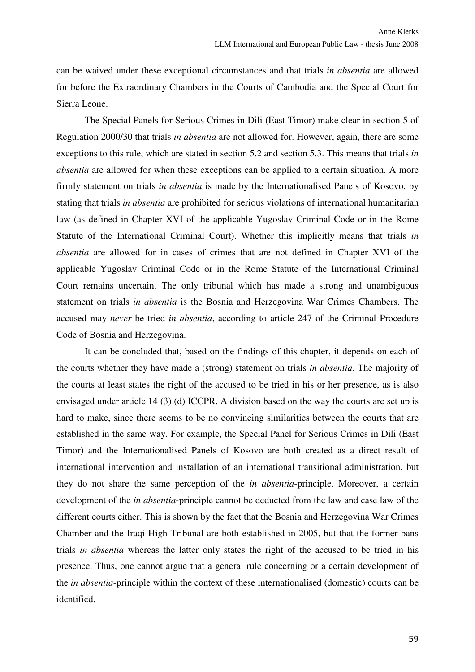can be waived under these exceptional circumstances and that trials *in absentia* are allowed for before the Extraordinary Chambers in the Courts of Cambodia and the Special Court for Sierra Leone.

 The Special Panels for Serious Crimes in Dili (East Timor) make clear in section 5 of Regulation 2000/30 that trials *in absentia* are not allowed for. However, again, there are some exceptions to this rule, which are stated in section 5.2 and section 5.3. This means that trials *in absentia* are allowed for when these exceptions can be applied to a certain situation. A more firmly statement on trials *in absentia* is made by the Internationalised Panels of Kosovo, by stating that trials *in absentia* are prohibited for serious violations of international humanitarian law (as defined in Chapter XVI of the applicable Yugoslav Criminal Code or in the Rome Statute of the International Criminal Court). Whether this implicitly means that trials *in absentia* are allowed for in cases of crimes that are not defined in Chapter XVI of the applicable Yugoslav Criminal Code or in the Rome Statute of the International Criminal Court remains uncertain. The only tribunal which has made a strong and unambiguous statement on trials *in absentia* is the Bosnia and Herzegovina War Crimes Chambers. The accused may *never* be tried *in absentia*, according to article 247 of the Criminal Procedure Code of Bosnia and Herzegovina.

 It can be concluded that, based on the findings of this chapter, it depends on each of the courts whether they have made a (strong) statement on trials *in absentia*. The majority of the courts at least states the right of the accused to be tried in his or her presence, as is also envisaged under article 14 (3) (d) ICCPR. A division based on the way the courts are set up is hard to make, since there seems to be no convincing similarities between the courts that are established in the same way. For example, the Special Panel for Serious Crimes in Dili (East Timor) and the Internationalised Panels of Kosovo are both created as a direct result of international intervention and installation of an international transitional administration, but they do not share the same perception of the *in absentia*-principle. Moreover, a certain development of the *in absentia*-principle cannot be deducted from the law and case law of the different courts either. This is shown by the fact that the Bosnia and Herzegovina War Crimes Chamber and the Iraqi High Tribunal are both established in 2005, but that the former bans trials *in absentia* whereas the latter only states the right of the accused to be tried in his presence. Thus, one cannot argue that a general rule concerning or a certain development of the *in absentia*-principle within the context of these internationalised (domestic) courts can be identified.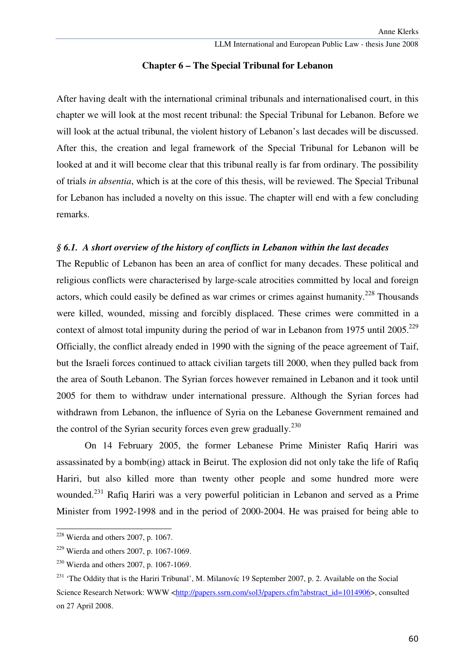# **Chapter 6 – The Special Tribunal for Lebanon**

After having dealt with the international criminal tribunals and internationalised court, in this chapter we will look at the most recent tribunal: the Special Tribunal for Lebanon. Before we will look at the actual tribunal, the violent history of Lebanon's last decades will be discussed. After this, the creation and legal framework of the Special Tribunal for Lebanon will be looked at and it will become clear that this tribunal really is far from ordinary. The possibility of trials *in absentia*, which is at the core of this thesis, will be reviewed. The Special Tribunal for Lebanon has included a novelty on this issue. The chapter will end with a few concluding remarks.

## *§ 6.1. A short overview of the history of conflicts in Lebanon within the last decades*

The Republic of Lebanon has been an area of conflict for many decades. These political and religious conflicts were characterised by large-scale atrocities committed by local and foreign actors, which could easily be defined as war crimes or crimes against humanity.<sup>228</sup> Thousands were killed, wounded, missing and forcibly displaced. These crimes were committed in a context of almost total impunity during the period of war in Lebanon from 1975 until  $2005.<sup>229</sup>$ Officially, the conflict already ended in 1990 with the signing of the peace agreement of Taif, but the Israeli forces continued to attack civilian targets till 2000, when they pulled back from the area of South Lebanon. The Syrian forces however remained in Lebanon and it took until 2005 for them to withdraw under international pressure. Although the Syrian forces had withdrawn from Lebanon, the influence of Syria on the Lebanese Government remained and the control of the Syrian security forces even grew gradually.<sup>230</sup>

On 14 February 2005, the former Lebanese Prime Minister Rafiq Hariri was assassinated by a bomb(ing) attack in Beirut. The explosion did not only take the life of Rafiq Hariri, but also killed more than twenty other people and some hundred more were wounded.<sup>231</sup> Rafiq Hariri was a very powerful politician in Lebanon and served as a Prime Minister from 1992-1998 and in the period of 2000-2004. He was praised for being able to

 $228$  Wierda and others 2007, p. 1067.

 $229$  Wierda and others 2007, p. 1067-1069.

 $230$  Wierda and others 2007, p. 1067-1069.

<sup>&</sup>lt;sup>231</sup> 'The Oddity that is the Hariri Tribunal', M. Milanovíc 19 September 2007, p. 2. Available on the Social Science Research Network: WWW <http://papers.ssrn.com/sol3/papers.cfm?abstract\_id=1014906>, consulted on 27 April 2008.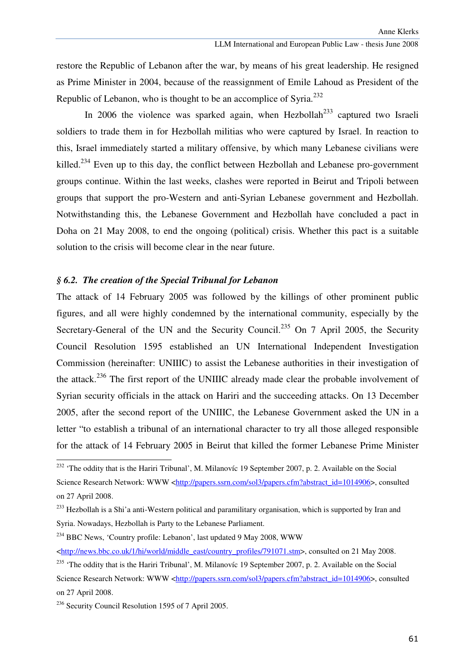restore the Republic of Lebanon after the war, by means of his great leadership. He resigned as Prime Minister in 2004, because of the reassignment of Emile Lahoud as President of the Republic of Lebanon, who is thought to be an accomplice of Syria.<sup>232</sup>

In 2006 the violence was sparked again, when Hezbollah<sup>233</sup> captured two Israeli soldiers to trade them in for Hezbollah militias who were captured by Israel. In reaction to this, Israel immediately started a military offensive, by which many Lebanese civilians were killed.<sup>234</sup> Even up to this day, the conflict between Hezbollah and Lebanese pro-government groups continue. Within the last weeks, clashes were reported in Beirut and Tripoli between groups that support the pro-Western and anti-Syrian Lebanese government and Hezbollah. Notwithstanding this, the Lebanese Government and Hezbollah have concluded a pact in Doha on 21 May 2008, to end the ongoing (political) crisis. Whether this pact is a suitable solution to the crisis will become clear in the near future.

# *§ 6.2. The creation of the Special Tribunal for Lebanon*

The attack of 14 February 2005 was followed by the killings of other prominent public figures, and all were highly condemned by the international community, especially by the Secretary-General of the UN and the Security Council.<sup>235</sup> On 7 April 2005, the Security Council Resolution 1595 established an UN International Independent Investigation Commission (hereinafter: UNIIIC) to assist the Lebanese authorities in their investigation of the attack.<sup>236</sup> The first report of the UNIIIC already made clear the probable involvement of Syrian security officials in the attack on Hariri and the succeeding attacks. On 13 December 2005, after the second report of the UNIIIC, the Lebanese Government asked the UN in a letter "to establish a tribunal of an international character to try all those alleged responsible for the attack of 14 February 2005 in Beirut that killed the former Lebanese Prime Minister

<sup>234</sup> BBC News, 'Country profile: Lebanon', last updated 9 May 2008, WWW

<sup>&</sup>lt;sup>232</sup> 'The oddity that is the Hariri Tribunal', M. Milanovíc 19 September 2007, p. 2. Available on the Social Science Research Network: WWW <http://papers.ssrn.com/sol3/papers.cfm?abstract\_id=1014906>, consulted on 27 April 2008.

<sup>&</sup>lt;sup>233</sup> Hezbollah is a Shi'a anti-Western political and paramilitary organisation, which is supported by Iran and Syria. Nowadays, Hezbollah is Party to the Lebanese Parliament.

<sup>&</sup>lt;http://news.bbc.co.uk/1/hi/world/middle\_east/country\_profiles/791071.stm>, consulted on 21 May 2008. <sup>235</sup> 'The oddity that is the Hariri Tribunal', M. Milanovíc 19 September 2007, p. 2. Available on the Social

Science Research Network: WWW <http://papers.ssrn.com/sol3/papers.cfm?abstract\_id=1014906>, consulted on 27 April 2008.

<sup>&</sup>lt;sup>236</sup> Security Council Resolution 1595 of 7 April 2005.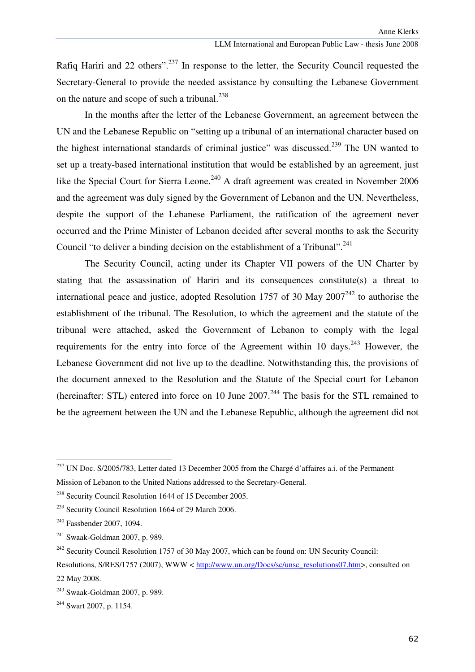Rafig Hariri and 22 others".<sup>237</sup> In response to the letter, the Security Council requested the Secretary-General to provide the needed assistance by consulting the Lebanese Government on the nature and scope of such a tribunal. $^{238}$ 

In the months after the letter of the Lebanese Government, an agreement between the UN and the Lebanese Republic on "setting up a tribunal of an international character based on the highest international standards of criminal justice" was discussed.<sup>239</sup> The UN wanted to set up a treaty-based international institution that would be established by an agreement, just like the Special Court for Sierra Leone.<sup>240</sup> A draft agreement was created in November 2006 and the agreement was duly signed by the Government of Lebanon and the UN. Nevertheless, despite the support of the Lebanese Parliament, the ratification of the agreement never occurred and the Prime Minister of Lebanon decided after several months to ask the Security Council "to deliver a binding decision on the establishment of a Tribunal".<sup>241</sup>

The Security Council, acting under its Chapter VII powers of the UN Charter by stating that the assassination of Hariri and its consequences constitute(s) a threat to international peace and justice, adopted Resolution 1757 of 30 May  $2007<sup>242</sup>$  to authorise the establishment of the tribunal. The Resolution, to which the agreement and the statute of the tribunal were attached, asked the Government of Lebanon to comply with the legal requirements for the entry into force of the Agreement within 10 days.  $243$  However, the Lebanese Government did not live up to the deadline. Notwithstanding this, the provisions of the document annexed to the Resolution and the Statute of the Special court for Lebanon (hereinafter: STL) entered into force on 10 June  $2007$ <sup>244</sup>. The basis for the STL remained to be the agreement between the UN and the Lebanese Republic, although the agreement did not

<sup>237</sup> UN Doc. S/2005/783, Letter dated 13 December 2005 from the Chargé d'affaires a.i. of the Permanent Mission of Lebanon to the United Nations addressed to the Secretary-General.

<sup>238</sup> Security Council Resolution 1644 of 15 December 2005.

<sup>&</sup>lt;sup>239</sup> Security Council Resolution 1664 of 29 March 2006.

<sup>240</sup> Fassbender 2007, 1094.

<sup>241</sup> Swaak-Goldman 2007, p. 989.

<sup>&</sup>lt;sup>242</sup> Security Council Resolution 1757 of 30 May 2007, which can be found on: UN Security Council:

Resolutions, S/RES/1757 (2007), WWW < http://www.un.org/Docs/sc/unsc\_resolutions07.htm>, consulted on 22 May 2008.

<sup>243</sup> Swaak-Goldman 2007, p. 989.

<sup>&</sup>lt;sup>244</sup> Swart 2007, p. 1154.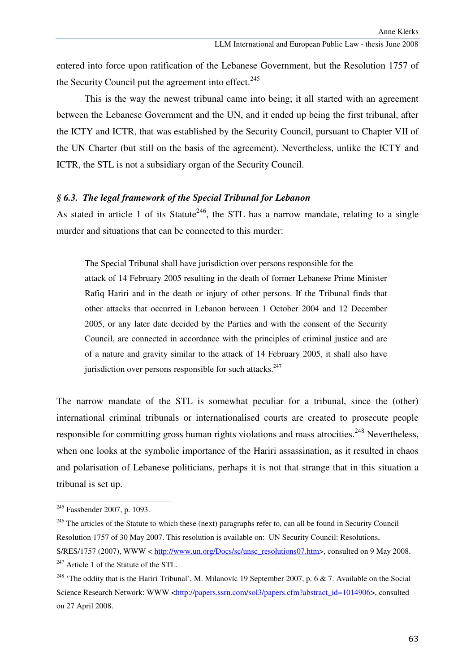entered into force upon ratification of the Lebanese Government, but the Resolution 1757 of the Security Council put the agreement into effect. $245$ 

This is the way the newest tribunal came into being; it all started with an agreement between the Lebanese Government and the UN, and it ended up being the first tribunal, after the ICTY and ICTR, that was established by the Security Council, pursuant to Chapter VII of the UN Charter (but still on the basis of the agreement). Nevertheless, unlike the ICTY and ICTR, the STL is not a subsidiary organ of the Security Council.

## *§ 6.3. The legal framework of the Special Tribunal for Lebanon*

As stated in article 1 of its Statute<sup>246</sup>, the STL has a narrow mandate, relating to a single murder and situations that can be connected to this murder:

The Special Tribunal shall have jurisdiction over persons responsible for the attack of 14 February 2005 resulting in the death of former Lebanese Prime Minister Rafiq Hariri and in the death or injury of other persons. If the Tribunal finds that other attacks that occurred in Lebanon between 1 October 2004 and 12 December 2005, or any later date decided by the Parties and with the consent of the Security Council, are connected in accordance with the principles of criminal justice and are of a nature and gravity similar to the attack of 14 February 2005, it shall also have jurisdiction over persons responsible for such attacks. $247$ 

The narrow mandate of the STL is somewhat peculiar for a tribunal, since the (other) international criminal tribunals or internationalised courts are created to prosecute people responsible for committing gross human rights violations and mass atrocities.<sup>248</sup> Nevertheless, when one looks at the symbolic importance of the Hariri assassination, as it resulted in chaos and polarisation of Lebanese politicians, perhaps it is not that strange that in this situation a tribunal is set up.

<sup>245</sup> Fassbender 2007, p. 1093.

 $^{246}$  The articles of the Statute to which these (next) paragraphs refer to, can all be found in Security Council Resolution 1757 of 30 May 2007. This resolution is available on: UN Security Council: Resolutions, S/RES/1757 (2007), WWW < http://www.un.org/Docs/sc/unsc\_resolutions07.htm>, consulted on 9 May 2008.  $^{247}$  Article 1 of the Statute of the STL.

<sup>&</sup>lt;sup>248</sup> 'The oddity that is the Hariri Tribunal', M. Milanovíc 19 September 2007, p. 6 & 7. Available on the Social Science Research Network: WWW <http://papers.ssrn.com/sol3/papers.cfm?abstract\_id=1014906>, consulted on 27 April 2008.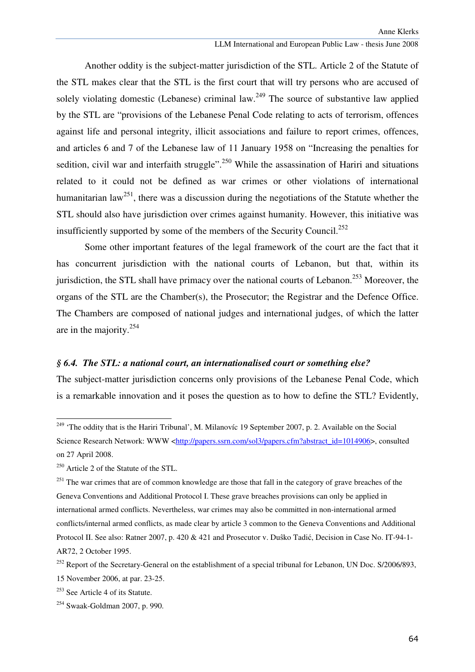Another oddity is the subject-matter jurisdiction of the STL. Article 2 of the Statute of the STL makes clear that the STL is the first court that will try persons who are accused of solely violating domestic (Lebanese) criminal law.<sup>249</sup> The source of substantive law applied by the STL are "provisions of the Lebanese Penal Code relating to acts of terrorism, offences against life and personal integrity, illicit associations and failure to report crimes, offences, and articles 6 and 7 of the Lebanese law of 11 January 1958 on "Increasing the penalties for sedition, civil war and interfaith struggle".<sup>250</sup> While the assassination of Hariri and situations related to it could not be defined as war crimes or other violations of international humanitarian law<sup>251</sup>, there was a discussion during the negotiations of the Statute whether the STL should also have jurisdiction over crimes against humanity. However, this initiative was insufficiently supported by some of the members of the Security Council.<sup>252</sup>

Some other important features of the legal framework of the court are the fact that it has concurrent jurisdiction with the national courts of Lebanon, but that, within its jurisdiction, the STL shall have primacy over the national courts of Lebanon.<sup>253</sup> Moreover, the organs of the STL are the Chamber(s), the Prosecutor; the Registrar and the Defence Office. The Chambers are composed of national judges and international judges, of which the latter are in the majority.<sup>254</sup>

### *§ 6.4. The STL: a national court, an internationalised court or something else?*

The subject-matter jurisdiction concerns only provisions of the Lebanese Penal Code, which is a remarkable innovation and it poses the question as to how to define the STL? Evidently,

<sup>&</sup>lt;sup>249</sup> 'The oddity that is the Hariri Tribunal', M. Milanovíc 19 September 2007, p. 2. Available on the Social Science Research Network: WWW <http://papers.ssrn.com/sol3/papers.cfm?abstract\_id=1014906>, consulted on 27 April 2008.

 $^{250}$  Article 2 of the Statute of the STL.

<sup>&</sup>lt;sup>251</sup> The war crimes that are of common knowledge are those that fall in the category of grave breaches of the Geneva Conventions and Additional Protocol I. These grave breaches provisions can only be applied in international armed conflicts. Nevertheless, war crimes may also be committed in non-international armed conflicts/internal armed conflicts, as made clear by article 3 common to the Geneva Conventions and Additional Protocol II. See also: Ratner 2007, p. 420 & 421 and Prosecutor v. Duŝko Tadić, Decision in Case No. IT-94-1- AR72, 2 October 1995.

<sup>&</sup>lt;sup>252</sup> Report of the Secretary-General on the establishment of a special tribunal for Lebanon, UN Doc. S/2006/893,

<sup>15</sup> November 2006, at par. 23-25.

<sup>253</sup> See Article 4 of its Statute.

<sup>254</sup> Swaak-Goldman 2007, p. 990.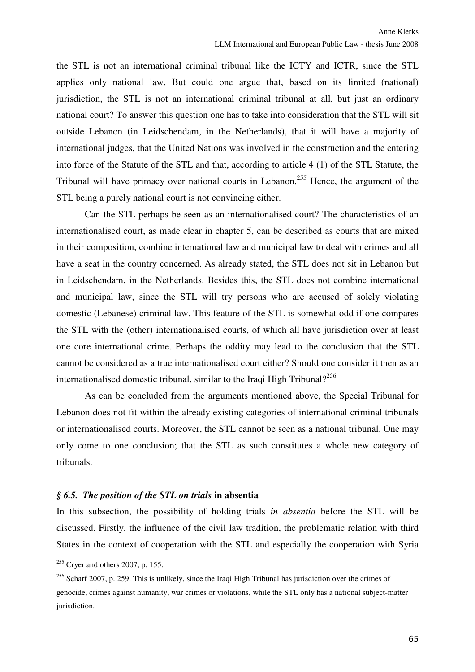the STL is not an international criminal tribunal like the ICTY and ICTR, since the STL applies only national law. But could one argue that, based on its limited (national) jurisdiction, the STL is not an international criminal tribunal at all, but just an ordinary national court? To answer this question one has to take into consideration that the STL will sit outside Lebanon (in Leidschendam, in the Netherlands), that it will have a majority of international judges, that the United Nations was involved in the construction and the entering into force of the Statute of the STL and that, according to article 4 (1) of the STL Statute, the Tribunal will have primacy over national courts in Lebanon.<sup>255</sup> Hence, the argument of the STL being a purely national court is not convincing either.

Can the STL perhaps be seen as an internationalised court? The characteristics of an internationalised court, as made clear in chapter 5, can be described as courts that are mixed in their composition, combine international law and municipal law to deal with crimes and all have a seat in the country concerned. As already stated, the STL does not sit in Lebanon but in Leidschendam, in the Netherlands. Besides this, the STL does not combine international and municipal law, since the STL will try persons who are accused of solely violating domestic (Lebanese) criminal law. This feature of the STL is somewhat odd if one compares the STL with the (other) internationalised courts, of which all have jurisdiction over at least one core international crime. Perhaps the oddity may lead to the conclusion that the STL cannot be considered as a true internationalised court either? Should one consider it then as an internationalised domestic tribunal, similar to the Iraqi High Tribunal $2^{256}$ 

As can be concluded from the arguments mentioned above, the Special Tribunal for Lebanon does not fit within the already existing categories of international criminal tribunals or internationalised courts. Moreover, the STL cannot be seen as a national tribunal. One may only come to one conclusion; that the STL as such constitutes a whole new category of tribunals.

### *§ 6.5. The position of the STL on trials* **in absentia**

In this subsection, the possibility of holding trials *in absentia* before the STL will be discussed. Firstly, the influence of the civil law tradition, the problematic relation with third States in the context of cooperation with the STL and especially the cooperation with Syria

 $255$  Cryer and others 2007, p. 155.

 $^{256}$  Scharf 2007, p. 259. This is unlikely, since the Iraqi High Tribunal has jurisdiction over the crimes of genocide, crimes against humanity, war crimes or violations, while the STL only has a national subject-matter jurisdiction.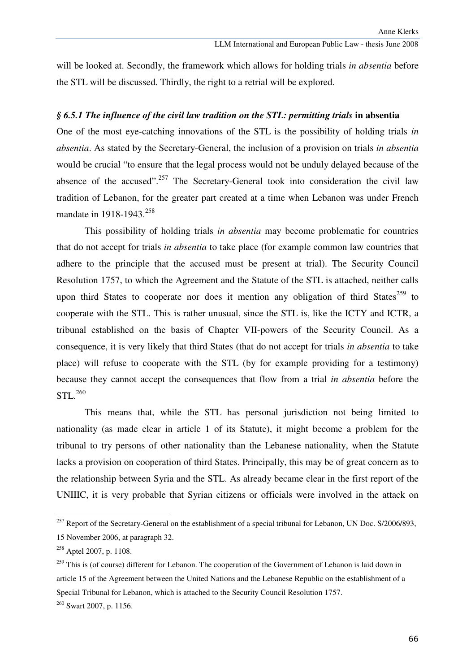will be looked at. Secondly, the framework which allows for holding trials *in absentia* before the STL will be discussed. Thirdly, the right to a retrial will be explored.

#### *§ 6.5.1 The influence of the civil law tradition on the STL: permitting trials* **in absentia**

One of the most eye-catching innovations of the STL is the possibility of holding trials *in absentia*. As stated by the Secretary-General, the inclusion of a provision on trials *in absentia* would be crucial "to ensure that the legal process would not be unduly delayed because of the absence of the accused".<sup>257</sup> The Secretary-General took into consideration the civil law tradition of Lebanon, for the greater part created at a time when Lebanon was under French mandate in 1918-1943.<sup>258</sup>

 This possibility of holding trials *in absentia* may become problematic for countries that do not accept for trials *in absentia* to take place (for example common law countries that adhere to the principle that the accused must be present at trial). The Security Council Resolution 1757, to which the Agreement and the Statute of the STL is attached, neither calls upon third States to cooperate nor does it mention any obligation of third States<sup>259</sup> to cooperate with the STL. This is rather unusual, since the STL is, like the ICTY and ICTR, a tribunal established on the basis of Chapter VII-powers of the Security Council. As a consequence, it is very likely that third States (that do not accept for trials *in absentia* to take place) will refuse to cooperate with the STL (by for example providing for a testimony) because they cannot accept the consequences that flow from a trial *in absentia* before the STL.<sup>260</sup>

This means that, while the STL has personal jurisdiction not being limited to nationality (as made clear in article 1 of its Statute), it might become a problem for the tribunal to try persons of other nationality than the Lebanese nationality, when the Statute lacks a provision on cooperation of third States. Principally, this may be of great concern as to the relationship between Syria and the STL. As already became clear in the first report of the UNIIIC, it is very probable that Syrian citizens or officials were involved in the attack on

<sup>&</sup>lt;sup>257</sup> Report of the Secretary-General on the establishment of a special tribunal for Lebanon, UN Doc. S/2006/893, 15 November 2006, at paragraph 32.

<sup>&</sup>lt;sup>258</sup> Aptel 2007, p. 1108.

<sup>&</sup>lt;sup>259</sup> This is (of course) different for Lebanon. The cooperation of the Government of Lebanon is laid down in article 15 of the Agreement between the United Nations and the Lebanese Republic on the establishment of a Special Tribunal for Lebanon, which is attached to the Security Council Resolution 1757.

<sup>260</sup> Swart 2007, p. 1156.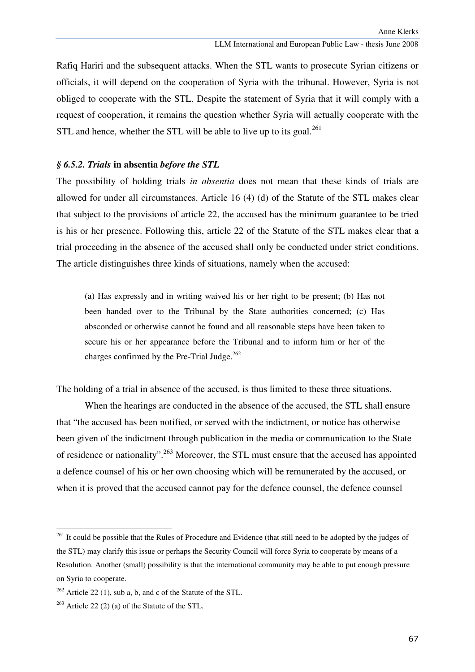Rafiq Hariri and the subsequent attacks. When the STL wants to prosecute Syrian citizens or officials, it will depend on the cooperation of Syria with the tribunal. However, Syria is not obliged to cooperate with the STL. Despite the statement of Syria that it will comply with a request of cooperation, it remains the question whether Syria will actually cooperate with the STL and hence, whether the STL will be able to live up to its goal. $^{261}$ 

#### *§ 6.5.2. Trials* **in absentia** *before the STL*

The possibility of holding trials *in absentia* does not mean that these kinds of trials are allowed for under all circumstances. Article 16 (4) (d) of the Statute of the STL makes clear that subject to the provisions of article 22, the accused has the minimum guarantee to be tried is his or her presence. Following this, article 22 of the Statute of the STL makes clear that a trial proceeding in the absence of the accused shall only be conducted under strict conditions. The article distinguishes three kinds of situations, namely when the accused:

(a) Has expressly and in writing waived his or her right to be present; (b) Has not been handed over to the Tribunal by the State authorities concerned; (c) Has absconded or otherwise cannot be found and all reasonable steps have been taken to secure his or her appearance before the Tribunal and to inform him or her of the charges confirmed by the Pre-Trial Judge. $262$ 

The holding of a trial in absence of the accused, is thus limited to these three situations.

 When the hearings are conducted in the absence of the accused, the STL shall ensure that "the accused has been notified, or served with the indictment, or notice has otherwise been given of the indictment through publication in the media or communication to the State of residence or nationality".<sup>263</sup> Moreover, the STL must ensure that the accused has appointed a defence counsel of his or her own choosing which will be remunerated by the accused, or when it is proved that the accused cannot pay for the defence counsel, the defence counsel

<sup>&</sup>lt;sup>261</sup> It could be possible that the Rules of Procedure and Evidence (that still need to be adopted by the judges of the STL) may clarify this issue or perhaps the Security Council will force Syria to cooperate by means of a Resolution. Another (small) possibility is that the international community may be able to put enough pressure on Syria to cooperate.

 $262$  Article 22 (1), sub a, b, and c of the Statute of the STL.

 $263$  Article 22 (2) (a) of the Statute of the STL.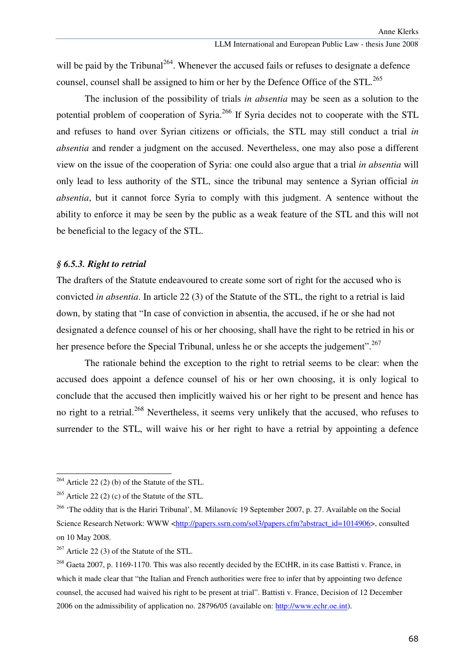will be paid by the Tribunal<sup>264</sup>. Whenever the accused fails or refuses to designate a defence counsel, counsel shall be assigned to him or her by the Defence Office of the STL.<sup>265</sup>

The inclusion of the possibility of trials *in absentia* may be seen as a solution to the potential problem of cooperation of Syria.<sup>266</sup> If Syria decides not to cooperate with the STL and refuses to hand over Syrian citizens or officials, the STL may still conduct a trial *in absentia* and render a judgment on the accused. Nevertheless, one may also pose a different view on the issue of the cooperation of Syria: one could also argue that a trial *in absentia* will only lead to less authority of the STL, since the tribunal may sentence a Syrian official *in absentia*, but it cannot force Syria to comply with this judgment. A sentence without the ability to enforce it may be seen by the public as a weak feature of the STL and this will not be beneficial to the legacy of the STL.

#### *§ 6.5.3. Right to retrial*

The drafters of the Statute endeavoured to create some sort of right for the accused who is convicted *in absentia*. In article 22 (3) of the Statute of the STL, the right to a retrial is laid down, by stating that "In case of conviction in absentia, the accused, if he or she had not designated a defence counsel of his or her choosing, shall have the right to be retried in his or her presence before the Special Tribunal, unless he or she accepts the judgement".<sup>267</sup>

The rationale behind the exception to the right to retrial seems to be clear: when the accused does appoint a defence counsel of his or her own choosing, it is only logical to conclude that the accused then implicitly waived his or her right to be present and hence has no right to a retrial.<sup>268</sup> Nevertheless, it seems very unlikely that the accused, who refuses to surrender to the STL, will waive his or her right to have a retrial by appointing a defence

<sup>264</sup> Article 22 (2) (b) of the Statute of the STL.

 $^{265}$  Article 22 (2) (c) of the Statute of the STL.

<sup>&</sup>lt;sup>266</sup> 'The oddity that is the Hariri Tribunal', M. Milanovíc 19 September 2007, p. 27. Available on the Social Science Research Network: WWW <http://papers.ssrn.com/sol3/papers.cfm?abstract\_id=1014906>, consulted on 10 May 2008.

<sup>&</sup>lt;sup>267</sup> Article 22 (3) of the Statute of the STL.

<sup>&</sup>lt;sup>268</sup> Gaeta 2007, p. 1169-1170. This was also recently decided by the ECtHR, in its case Battisti v. France, in which it made clear that "the Italian and French authorities were free to infer that by appointing two defence counsel, the accused had waived his right to be present at trial". Battisti v. France, Decision of 12 December 2006 on the admissibility of application no. 28796/05 (available on: http://www.echr.oe.int).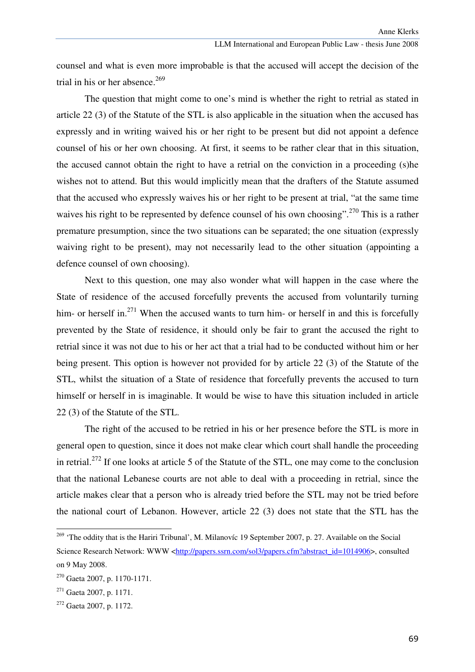counsel and what is even more improbable is that the accused will accept the decision of the trial in his or her absence. $269$ 

 The question that might come to one's mind is whether the right to retrial as stated in article 22 (3) of the Statute of the STL is also applicable in the situation when the accused has expressly and in writing waived his or her right to be present but did not appoint a defence counsel of his or her own choosing. At first, it seems to be rather clear that in this situation, the accused cannot obtain the right to have a retrial on the conviction in a proceeding (s)he wishes not to attend. But this would implicitly mean that the drafters of the Statute assumed that the accused who expressly waives his or her right to be present at trial, "at the same time waives his right to be represented by defence counsel of his own choosing".<sup>270</sup> This is a rather premature presumption, since the two situations can be separated; the one situation (expressly waiving right to be present), may not necessarily lead to the other situation (appointing a defence counsel of own choosing).

Next to this question, one may also wonder what will happen in the case where the State of residence of the accused forcefully prevents the accused from voluntarily turning him- or herself in.<sup>271</sup> When the accused wants to turn him- or herself in and this is forcefully prevented by the State of residence, it should only be fair to grant the accused the right to retrial since it was not due to his or her act that a trial had to be conducted without him or her being present. This option is however not provided for by article 22 (3) of the Statute of the STL, whilst the situation of a State of residence that forcefully prevents the accused to turn himself or herself in is imaginable. It would be wise to have this situation included in article 22 (3) of the Statute of the STL.

 The right of the accused to be retried in his or her presence before the STL is more in general open to question, since it does not make clear which court shall handle the proceeding in retrial.<sup>272</sup> If one looks at article 5 of the Statute of the STL, one may come to the conclusion that the national Lebanese courts are not able to deal with a proceeding in retrial, since the article makes clear that a person who is already tried before the STL may not be tried before the national court of Lebanon. However, article 22 (3) does not state that the STL has the

<sup>&</sup>lt;sup>269</sup> 'The oddity that is the Hariri Tribunal', M. Milanovíc 19 September 2007, p. 27. Available on the Social Science Research Network: WWW <http://papers.ssrn.com/sol3/papers.cfm?abstract\_id=1014906>, consulted on 9 May 2008.

<sup>270</sup> Gaeta 2007, p. 1170-1171.

 $271$  Gaeta 2007, p. 1171.

<sup>272</sup> Gaeta 2007, p. 1172.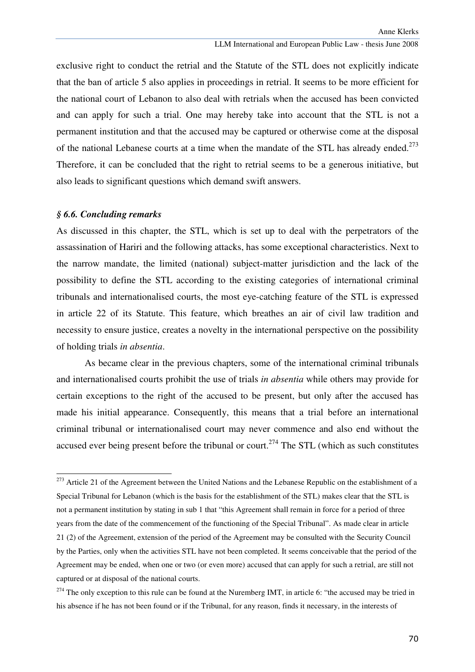exclusive right to conduct the retrial and the Statute of the STL does not explicitly indicate that the ban of article 5 also applies in proceedings in retrial. It seems to be more efficient for the national court of Lebanon to also deal with retrials when the accused has been convicted and can apply for such a trial. One may hereby take into account that the STL is not a permanent institution and that the accused may be captured or otherwise come at the disposal of the national Lebanese courts at a time when the mandate of the STL has already ended.<sup>273</sup> Therefore, it can be concluded that the right to retrial seems to be a generous initiative, but also leads to significant questions which demand swift answers.

#### *§ 6.6. Concluding remarks*

ł

As discussed in this chapter, the STL, which is set up to deal with the perpetrators of the assassination of Hariri and the following attacks, has some exceptional characteristics. Next to the narrow mandate, the limited (national) subject-matter jurisdiction and the lack of the possibility to define the STL according to the existing categories of international criminal tribunals and internationalised courts, the most eye-catching feature of the STL is expressed in article 22 of its Statute. This feature, which breathes an air of civil law tradition and necessity to ensure justice, creates a novelty in the international perspective on the possibility of holding trials *in absentia*.

As became clear in the previous chapters, some of the international criminal tribunals and internationalised courts prohibit the use of trials *in absentia* while others may provide for certain exceptions to the right of the accused to be present, but only after the accused has made his initial appearance. Consequently, this means that a trial before an international criminal tribunal or internationalised court may never commence and also end without the accused ever being present before the tribunal or court.<sup>274</sup> The STL (which as such constitutes

<sup>&</sup>lt;sup>273</sup> Article 21 of the Agreement between the United Nations and the Lebanese Republic on the establishment of a Special Tribunal for Lebanon (which is the basis for the establishment of the STL) makes clear that the STL is not a permanent institution by stating in sub 1 that "this Agreement shall remain in force for a period of three years from the date of the commencement of the functioning of the Special Tribunal". As made clear in article 21 (2) of the Agreement, extension of the period of the Agreement may be consulted with the Security Council by the Parties, only when the activities STL have not been completed. It seems conceivable that the period of the Agreement may be ended, when one or two (or even more) accused that can apply for such a retrial, are still not captured or at disposal of the national courts.

 $274$  The only exception to this rule can be found at the Nuremberg IMT, in article 6: "the accused may be tried in his absence if he has not been found or if the Tribunal, for any reason, finds it necessary, in the interests of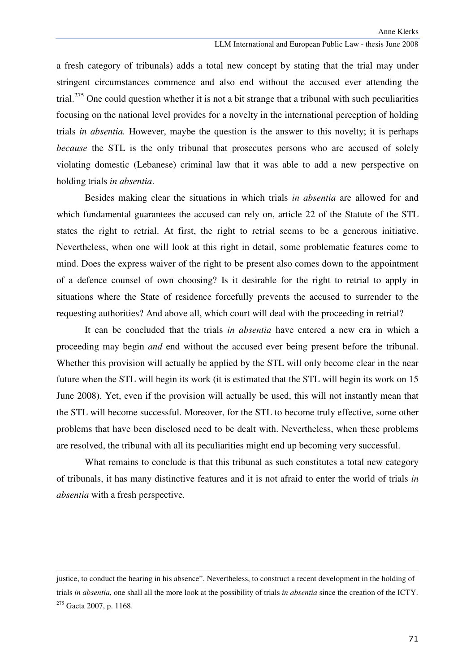#### LLM International and European Public Law - thesis June 2008

a fresh category of tribunals) adds a total new concept by stating that the trial may under stringent circumstances commence and also end without the accused ever attending the trial.<sup>275</sup> One could question whether it is not a bit strange that a tribunal with such peculiarities focusing on the national level provides for a novelty in the international perception of holding trials *in absentia.* However, maybe the question is the answer to this novelty; it is perhaps *because* the STL is the only tribunal that prosecutes persons who are accused of solely violating domestic (Lebanese) criminal law that it was able to add a new perspective on holding trials *in absentia*.

Besides making clear the situations in which trials *in absentia* are allowed for and which fundamental guarantees the accused can rely on, article 22 of the Statute of the STL states the right to retrial. At first, the right to retrial seems to be a generous initiative. Nevertheless, when one will look at this right in detail, some problematic features come to mind. Does the express waiver of the right to be present also comes down to the appointment of a defence counsel of own choosing? Is it desirable for the right to retrial to apply in situations where the State of residence forcefully prevents the accused to surrender to the requesting authorities? And above all, which court will deal with the proceeding in retrial?

It can be concluded that the trials *in absentia* have entered a new era in which a proceeding may begin *and* end without the accused ever being present before the tribunal. Whether this provision will actually be applied by the STL will only become clear in the near future when the STL will begin its work (it is estimated that the STL will begin its work on 15 June 2008). Yet, even if the provision will actually be used, this will not instantly mean that the STL will become successful. Moreover, for the STL to become truly effective, some other problems that have been disclosed need to be dealt with. Nevertheless, when these problems are resolved, the tribunal with all its peculiarities might end up becoming very successful.

What remains to conclude is that this tribunal as such constitutes a total new category of tribunals, it has many distinctive features and it is not afraid to enter the world of trials *in absentia* with a fresh perspective.

 $\overline{a}$ 

justice, to conduct the hearing in his absence". Nevertheless, to construct a recent development in the holding of trials *in absentia*, one shall all the more look at the possibility of trials *in absentia* since the creation of the ICTY. <sup>275</sup> Gaeta 2007, p. 1168.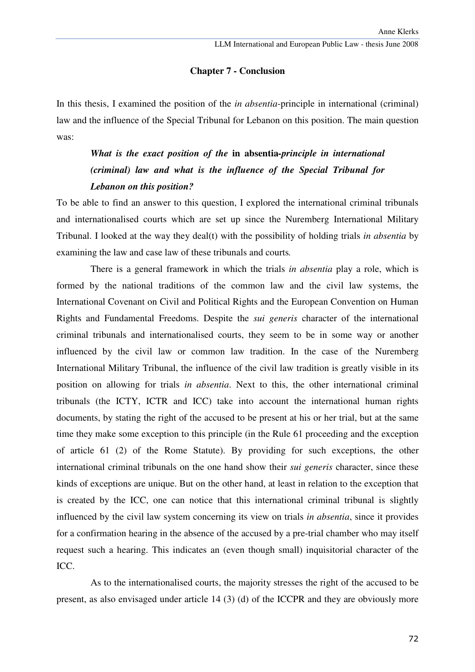# **Chapter 7 - Conclusion**

In this thesis, I examined the position of the *in absentia*-principle in international (criminal) law and the influence of the Special Tribunal for Lebanon on this position. The main question was:

# *What is the exact position of the* **in absentia***-principle in international (criminal) law and what is the influence of the Special Tribunal for Lebanon on this position?*

To be able to find an answer to this question, I explored the international criminal tribunals and internationalised courts which are set up since the Nuremberg International Military Tribunal. I looked at the way they deal(t) with the possibility of holding trials *in absentia* by examining the law and case law of these tribunals and courts*.*

There is a general framework in which the trials *in absentia* play a role, which is formed by the national traditions of the common law and the civil law systems, the International Covenant on Civil and Political Rights and the European Convention on Human Rights and Fundamental Freedoms. Despite the *sui generis* character of the international criminal tribunals and internationalised courts, they seem to be in some way or another influenced by the civil law or common law tradition. In the case of the Nuremberg International Military Tribunal, the influence of the civil law tradition is greatly visible in its position on allowing for trials *in absentia*. Next to this, the other international criminal tribunals (the ICTY, ICTR and ICC) take into account the international human rights documents, by stating the right of the accused to be present at his or her trial, but at the same time they make some exception to this principle (in the Rule 61 proceeding and the exception of article 61 (2) of the Rome Statute). By providing for such exceptions, the other international criminal tribunals on the one hand show their *sui generis* character, since these kinds of exceptions are unique. But on the other hand, at least in relation to the exception that is created by the ICC, one can notice that this international criminal tribunal is slightly influenced by the civil law system concerning its view on trials *in absentia*, since it provides for a confirmation hearing in the absence of the accused by a pre-trial chamber who may itself request such a hearing. This indicates an (even though small) inquisitorial character of the ICC.

As to the internationalised courts, the majority stresses the right of the accused to be present, as also envisaged under article 14 (3) (d) of the ICCPR and they are obviously more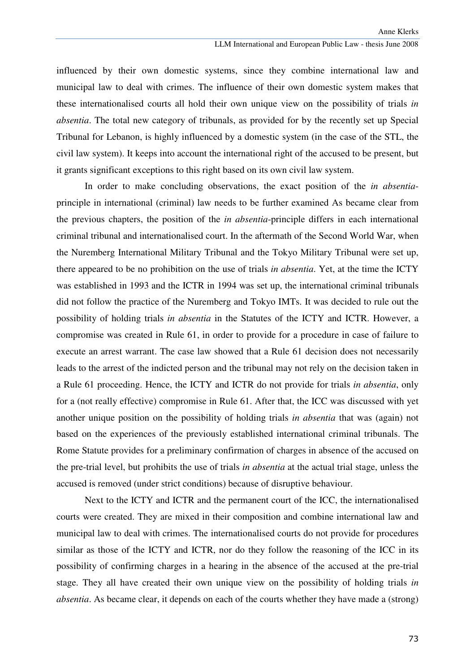influenced by their own domestic systems, since they combine international law and municipal law to deal with crimes. The influence of their own domestic system makes that these internationalised courts all hold their own unique view on the possibility of trials *in absentia*. The total new category of tribunals, as provided for by the recently set up Special Tribunal for Lebanon, is highly influenced by a domestic system (in the case of the STL, the civil law system). It keeps into account the international right of the accused to be present, but it grants significant exceptions to this right based on its own civil law system.

In order to make concluding observations, the exact position of the *in absentia*principle in international (criminal) law needs to be further examined As became clear from the previous chapters, the position of the *in absentia*-principle differs in each international criminal tribunal and internationalised court. In the aftermath of the Second World War, when the Nuremberg International Military Tribunal and the Tokyo Military Tribunal were set up, there appeared to be no prohibition on the use of trials *in absentia*. Yet, at the time the ICTY was established in 1993 and the ICTR in 1994 was set up, the international criminal tribunals did not follow the practice of the Nuremberg and Tokyo IMTs. It was decided to rule out the possibility of holding trials *in absentia* in the Statutes of the ICTY and ICTR. However, a compromise was created in Rule 61, in order to provide for a procedure in case of failure to execute an arrest warrant. The case law showed that a Rule 61 decision does not necessarily leads to the arrest of the indicted person and the tribunal may not rely on the decision taken in a Rule 61 proceeding. Hence, the ICTY and ICTR do not provide for trials *in absentia*, only for a (not really effective) compromise in Rule 61. After that, the ICC was discussed with yet another unique position on the possibility of holding trials *in absentia* that was (again) not based on the experiences of the previously established international criminal tribunals. The Rome Statute provides for a preliminary confirmation of charges in absence of the accused on the pre-trial level, but prohibits the use of trials *in absentia* at the actual trial stage, unless the accused is removed (under strict conditions) because of disruptive behaviour.

Next to the ICTY and ICTR and the permanent court of the ICC, the internationalised courts were created. They are mixed in their composition and combine international law and municipal law to deal with crimes. The internationalised courts do not provide for procedures similar as those of the ICTY and ICTR, nor do they follow the reasoning of the ICC in its possibility of confirming charges in a hearing in the absence of the accused at the pre-trial stage. They all have created their own unique view on the possibility of holding trials *in absentia*. As became clear, it depends on each of the courts whether they have made a (strong)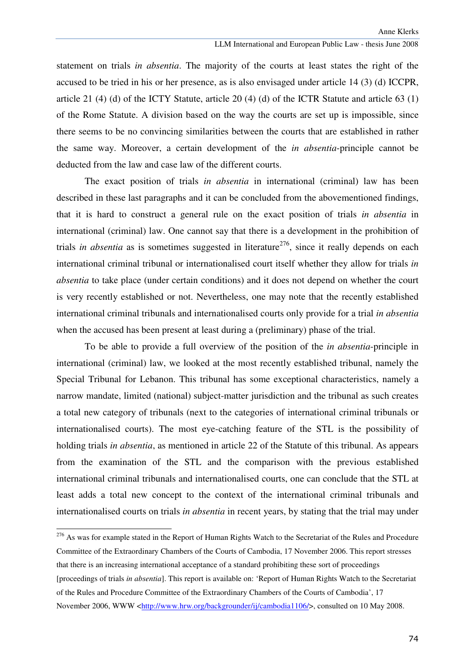statement on trials *in absentia*. The majority of the courts at least states the right of the accused to be tried in his or her presence, as is also envisaged under article 14 (3) (d) ICCPR, article 21 (4) (d) of the ICTY Statute, article 20 (4) (d) of the ICTR Statute and article 63 (1) of the Rome Statute. A division based on the way the courts are set up is impossible, since there seems to be no convincing similarities between the courts that are established in rather the same way. Moreover, a certain development of the *in absentia*-principle cannot be deducted from the law and case law of the different courts.

 The exact position of trials *in absentia* in international (criminal) law has been described in these last paragraphs and it can be concluded from the abovementioned findings, that it is hard to construct a general rule on the exact position of trials *in absentia* in international (criminal) law. One cannot say that there is a development in the prohibition of trials *in absentia* as is sometimes suggested in literature<sup>276</sup>, since it really depends on each international criminal tribunal or internationalised court itself whether they allow for trials *in absentia* to take place (under certain conditions) and it does not depend on whether the court is very recently established or not. Nevertheless, one may note that the recently established international criminal tribunals and internationalised courts only provide for a trial *in absentia* when the accused has been present at least during a (preliminary) phase of the trial.

 To be able to provide a full overview of the position of the *in absentia*-principle in international (criminal) law, we looked at the most recently established tribunal, namely the Special Tribunal for Lebanon. This tribunal has some exceptional characteristics, namely a narrow mandate, limited (national) subject-matter jurisdiction and the tribunal as such creates a total new category of tribunals (next to the categories of international criminal tribunals or internationalised courts). The most eye-catching feature of the STL is the possibility of holding trials *in absentia*, as mentioned in article 22 of the Statute of this tribunal. As appears from the examination of the STL and the comparison with the previous established international criminal tribunals and internationalised courts, one can conclude that the STL at least adds a total new concept to the context of the international criminal tribunals and internationalised courts on trials *in absentia* in recent years, by stating that the trial may under

ı

<sup>&</sup>lt;sup>276</sup> As was for example stated in the Report of Human Rights Watch to the Secretariat of the Rules and Procedure Committee of the Extraordinary Chambers of the Courts of Cambodia, 17 November 2006. This report stresses that there is an increasing international acceptance of a standard prohibiting these sort of proceedings [proceedings of trials *in absentia*]. This report is available on: 'Report of Human Rights Watch to the Secretariat of the Rules and Procedure Committee of the Extraordinary Chambers of the Courts of Cambodia', 17 November 2006, WWW <http://www.hrw.org/backgrounder/ij/cambodia1106/>, consulted on 10 May 2008.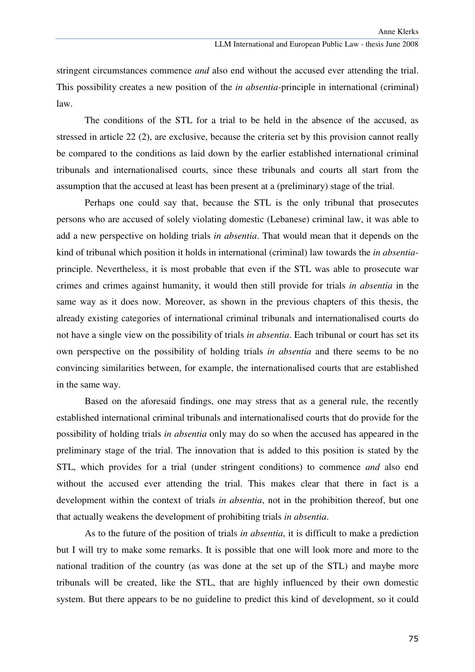stringent circumstances commence *and* also end without the accused ever attending the trial. This possibility creates a new position of the *in absentia-*principle in international (criminal) law.

The conditions of the STL for a trial to be held in the absence of the accused, as stressed in article 22 (2), are exclusive, because the criteria set by this provision cannot really be compared to the conditions as laid down by the earlier established international criminal tribunals and internationalised courts, since these tribunals and courts all start from the assumption that the accused at least has been present at a (preliminary) stage of the trial.

Perhaps one could say that, because the STL is the only tribunal that prosecutes persons who are accused of solely violating domestic (Lebanese) criminal law, it was able to add a new perspective on holding trials *in absentia*. That would mean that it depends on the kind of tribunal which position it holds in international (criminal) law towards the *in absentia*principle. Nevertheless, it is most probable that even if the STL was able to prosecute war crimes and crimes against humanity, it would then still provide for trials *in absentia* in the same way as it does now. Moreover, as shown in the previous chapters of this thesis, the already existing categories of international criminal tribunals and internationalised courts do not have a single view on the possibility of trials *in absentia*. Each tribunal or court has set its own perspective on the possibility of holding trials *in absentia* and there seems to be no convincing similarities between, for example, the internationalised courts that are established in the same way.

Based on the aforesaid findings, one may stress that as a general rule, the recently established international criminal tribunals and internationalised courts that do provide for the possibility of holding trials *in absentia* only may do so when the accused has appeared in the preliminary stage of the trial. The innovation that is added to this position is stated by the STL, which provides for a trial (under stringent conditions) to commence *and* also end without the accused ever attending the trial. This makes clear that there in fact is a development within the context of trials *in absentia*, not in the prohibition thereof, but one that actually weakens the development of prohibiting trials *in absentia*.

As to the future of the position of trials *in absentia*, it is difficult to make a prediction but I will try to make some remarks. It is possible that one will look more and more to the national tradition of the country (as was done at the set up of the STL) and maybe more tribunals will be created, like the STL, that are highly influenced by their own domestic system. But there appears to be no guideline to predict this kind of development, so it could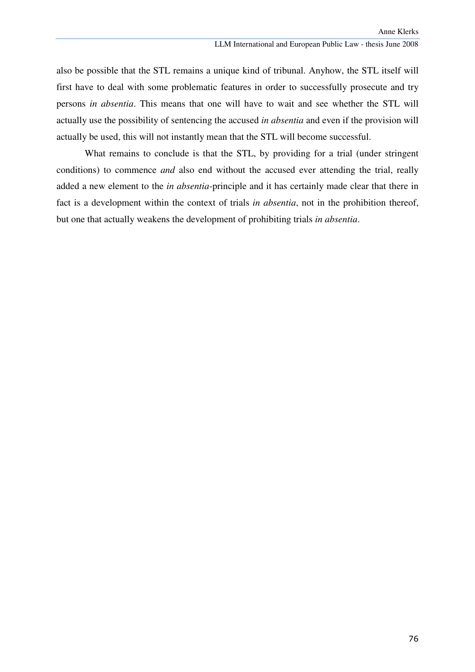also be possible that the STL remains a unique kind of tribunal. Anyhow, the STL itself will first have to deal with some problematic features in order to successfully prosecute and try persons *in absentia*. This means that one will have to wait and see whether the STL will actually use the possibility of sentencing the accused *in absentia* and even if the provision will actually be used, this will not instantly mean that the STL will become successful.

What remains to conclude is that the STL, by providing for a trial (under stringent conditions) to commence *and* also end without the accused ever attending the trial, really added a new element to the *in absentia*-principle and it has certainly made clear that there in fact is a development within the context of trials *in absentia*, not in the prohibition thereof, but one that actually weakens the development of prohibiting trials *in absentia*.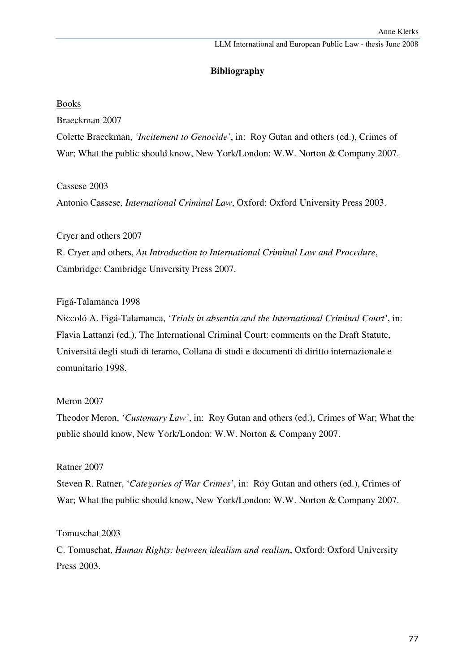## **Bibliography**

### Books

Braeckman 2007

Colette Braeckman, *'Incitement to Genocide'*, in: Roy Gutan and others (ed.), Crimes of War; What the public should know, New York/London: W.W. Norton & Company 2007.

Cassese 2003

Antonio Cassese*, International Criminal Law*, Oxford: Oxford University Press 2003.

Cryer and others 2007 R. Cryer and others, *An Introduction to International Criminal Law and Procedure*, Cambridge: Cambridge University Press 2007.

#### Figá-Talamanca 1998

Niccoló A. Figá-Talamanca, '*Trials in absentia and the International Criminal Court'*, in: Flavia Lattanzi (ed.), The International Criminal Court: comments on the Draft Statute, Universitá degli studi di teramo, Collana di studi e documenti di diritto internazionale e comunitario 1998.

#### Meron 2007

Theodor Meron, *'Customary Law'*, in: Roy Gutan and others (ed.), Crimes of War; What the public should know, New York/London: W.W. Norton & Company 2007.

### Ratner 2007

Steven R. Ratner, '*Categories of War Crimes'*, in: Roy Gutan and others (ed.), Crimes of War; What the public should know, New York/London: W.W. Norton & Company 2007.

Tomuschat 2003

C. Tomuschat, *Human Rights; between idealism and realism*, Oxford: Oxford University Press 2003.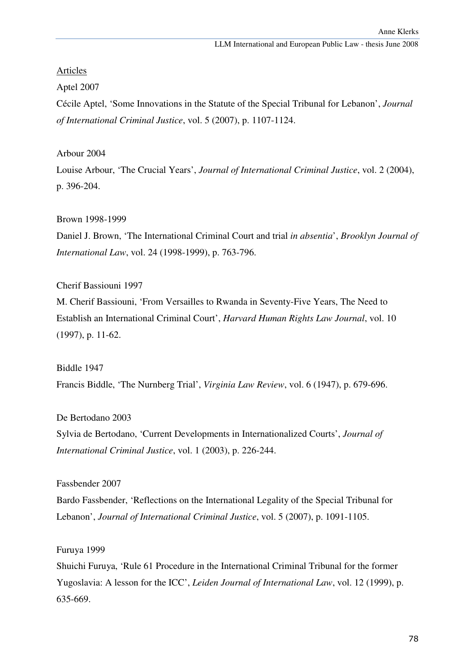# Articles

Aptel 2007

Cécile Aptel, 'Some Innovations in the Statute of the Special Tribunal for Lebanon', *Journal of International Criminal Justice*, vol. 5 (2007), p. 1107-1124.

Arbour 2004

Louise Arbour, 'The Crucial Years', *Journal of International Criminal Justice*, vol. 2 (2004), p. 396-204.

Brown 1998-1999

Daniel J. Brown, 'The International Criminal Court and trial *in absentia*', *Brooklyn Journal of International Law*, vol. 24 (1998-1999), p. 763-796.

Cherif Bassiouni 1997

M. Cherif Bassiouni, 'From Versailles to Rwanda in Seventy-Five Years, The Need to Establish an International Criminal Court', *Harvard Human Rights Law Journal*, vol. 10 (1997), p. 11-62.

Biddle 1947

Francis Biddle, 'The Nurnberg Trial', *Virginia Law Review*, vol. 6 (1947), p. 679-696.

De Bertodano 2003

Sylvia de Bertodano, 'Current Developments in Internationalized Courts', *Journal of International Criminal Justice*, vol. 1 (2003), p. 226-244.

Fassbender 2007

Bardo Fassbender, 'Reflections on the International Legality of the Special Tribunal for Lebanon', *Journal of International Criminal Justice*, vol. 5 (2007), p. 1091-1105.

Furuya 1999

Shuichi Furuya, 'Rule 61 Procedure in the International Criminal Tribunal for the former Yugoslavia: A lesson for the ICC', *Leiden Journal of International Law*, vol. 12 (1999), p. 635-669.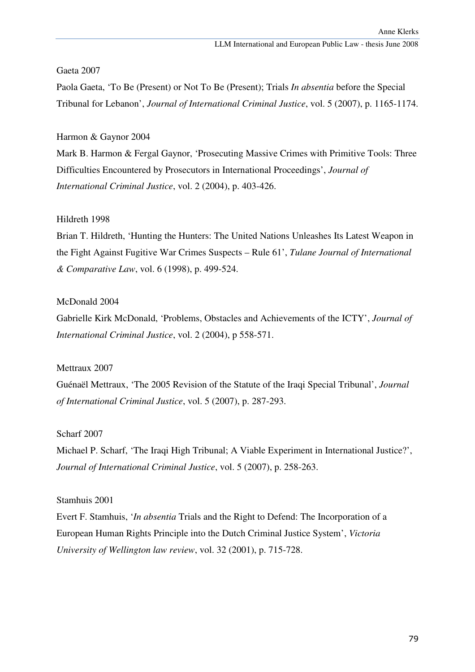Gaeta 2007

Paola Gaeta, 'To Be (Present) or Not To Be (Present); Trials *In absentia* before the Special Tribunal for Lebanon', *Journal of International Criminal Justice*, vol. 5 (2007), p. 1165-1174.

## Harmon & Gaynor 2004

Mark B. Harmon & Fergal Gaynor, 'Prosecuting Massive Crimes with Primitive Tools: Three Difficulties Encountered by Prosecutors in International Proceedings', *Journal of International Criminal Justice*, vol. 2 (2004), p. 403-426.

### Hildreth 1998

Brian T. Hildreth, 'Hunting the Hunters: The United Nations Unleashes Its Latest Weapon in the Fight Against Fugitive War Crimes Suspects – Rule 61', *Tulane Journal of International & Comparative Law*, vol. 6 (1998), p. 499-524.

### McDonald 2004

Gabrielle Kirk McDonald, 'Problems, Obstacles and Achievements of the ICTY', *Journal of International Criminal Justice*, vol. 2 (2004), p 558-571.

### Mettraux 2007

Guénaël Mettraux, 'The 2005 Revision of the Statute of the Iraqi Special Tribunal', *Journal of International Criminal Justice*, vol. 5 (2007), p. 287-293.

### Scharf 2007

Michael P. Scharf, 'The Iraqi High Tribunal; A Viable Experiment in International Justice?', *Journal of International Criminal Justice*, vol. 5 (2007), p. 258-263.

### Stamhuis 2001

Evert F. Stamhuis, '*In absentia* Trials and the Right to Defend: The Incorporation of a European Human Rights Principle into the Dutch Criminal Justice System', *Victoria University of Wellington law review*, vol. 32 (2001), p. 715-728.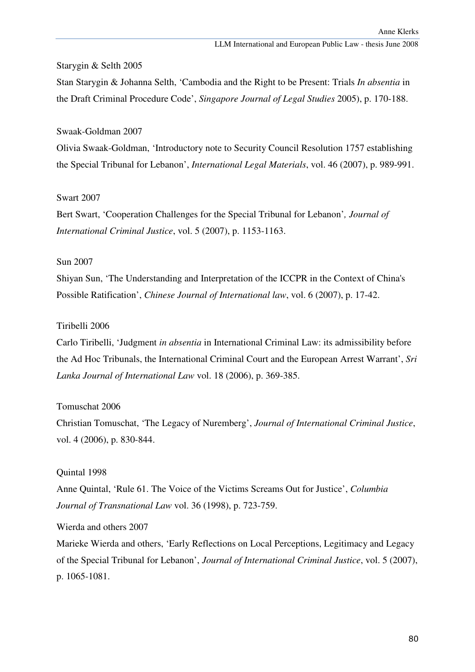#### Starygin & Selth 2005

Stan Starygin & Johanna Selth, 'Cambodia and the Right to be Present: Trials *In absentia* in the Draft Criminal Procedure Code', *Singapore Journal of Legal Studies* 2005), p. 170-188.

#### Swaak-Goldman 2007

Olivia Swaak-Goldman, 'Introductory note to Security Council Resolution 1757 establishing the Special Tribunal for Lebanon', *International Legal Materials*, vol. 46 (2007), p. 989-991.

### Swart 2007

Bert Swart, 'Cooperation Challenges for the Special Tribunal for Lebanon'*, Journal of International Criminal Justice*, vol. 5 (2007), p. 1153-1163.

#### Sun 2007

Shiyan Sun, 'The Understanding and Interpretation of the ICCPR in the Context of China's Possible Ratification', *Chinese Journal of International law*, vol. 6 (2007), p. 17-42.

#### Tiribelli 2006

Carlo Tiribelli, 'Judgment *in absentia* in International Criminal Law: its admissibility before the Ad Hoc Tribunals, the International Criminal Court and the European Arrest Warrant', *Sri Lanka Journal of International Law* vol. 18 (2006), p. 369-385.

#### Tomuschat 2006

Christian Tomuschat, 'The Legacy of Nuremberg', *Journal of International Criminal Justice*, vol. 4 (2006), p. 830-844.

#### Quintal 1998

Anne Quintal, 'Rule 61. The Voice of the Victims Screams Out for Justice', *Columbia Journal of Transnational Law* vol. 36 (1998), p. 723-759.

Wierda and others 2007

Marieke Wierda and others, 'Early Reflections on Local Perceptions, Legitimacy and Legacy of the Special Tribunal for Lebanon', *Journal of International Criminal Justice*, vol. 5 (2007), p. 1065-1081.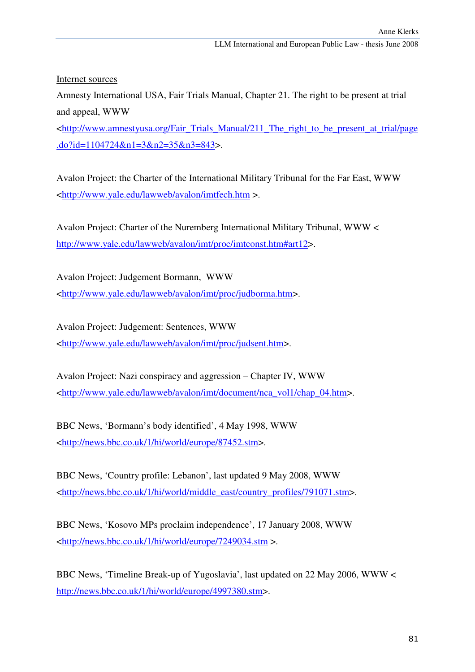Internet sources

Amnesty International USA, Fair Trials Manual, Chapter 21. The right to be present at trial and appeal, WWW

<http://www.amnestyusa.org/Fair\_Trials\_Manual/211\_The\_right\_to\_be\_present\_at\_trial/page .do?id=1104724&n1=3&n2=35&n3=843>.

Avalon Project: the Charter of the International Military Tribunal for the Far East, WWW <http://www.yale.edu/lawweb/avalon/imtfech.htm >.

Avalon Project: Charter of the Nuremberg International Military Tribunal, WWW < http://www.yale.edu/lawweb/avalon/imt/proc/imtconst.htm#art12>.

Avalon Project: Judgement Bormann, WWW <http://www.yale.edu/lawweb/avalon/imt/proc/judborma.htm>.

Avalon Project: Judgement: Sentences, WWW <http://www.yale.edu/lawweb/avalon/imt/proc/judsent.htm>.

Avalon Project: Nazi conspiracy and aggression – Chapter IV, WWW <http://www.yale.edu/lawweb/avalon/imt/document/nca\_vol1/chap\_04.htm>.

BBC News, 'Bormann's body identified', 4 May 1998, WWW <http://news.bbc.co.uk/1/hi/world/europe/87452.stm>.

BBC News, 'Country profile: Lebanon', last updated 9 May 2008, WWW <http://news.bbc.co.uk/1/hi/world/middle\_east/country\_profiles/791071.stm>.

BBC News, 'Kosovo MPs proclaim independence', 17 January 2008, WWW <http://news.bbc.co.uk/1/hi/world/europe/7249034.stm >.

BBC News, 'Timeline Break-up of Yugoslavia', last updated on 22 May 2006, WWW < http://news.bbc.co.uk/1/hi/world/europe/4997380.stm>.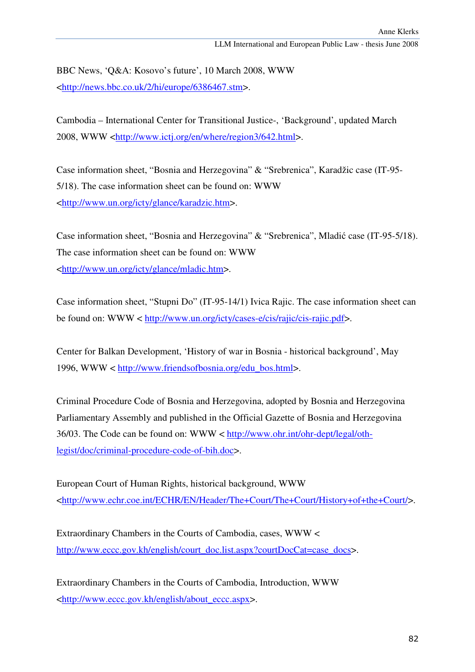BBC News, 'Q&A: Kosovo's future', 10 March 2008, WWW <http://news.bbc.co.uk/2/hi/europe/6386467.stm>.

Cambodia – International Center for Transitional Justice-, 'Background', updated March 2008, WWW <http://www.ictj.org/en/where/region3/642.html>.

Case information sheet, "Bosnia and Herzegovina" & "Srebrenica", Karadžic case (IT-95- 5/18). The case information sheet can be found on: WWW <http://www.un.org/icty/glance/karadzic.htm>.

Case information sheet, "Bosnia and Herzegovina" & "Srebrenica", Mladić case (IT-95-5/18). The case information sheet can be found on: WWW <http://www.un.org/icty/glance/mladic.htm>.

Case information sheet, "Stupni Do" (IT-95-14/1) Ivica Rajic. The case information sheet can be found on: WWW < http://www.un.org/icty/cases-e/cis/rajic/cis-rajic.pdf>.

Center for Balkan Development, 'History of war in Bosnia - historical background', May 1996, WWW < http://www.friendsofbosnia.org/edu\_bos.html>.

Criminal Procedure Code of Bosnia and Herzegovina, adopted by Bosnia and Herzegovina Parliamentary Assembly and published in the Official Gazette of Bosnia and Herzegovina 36/03. The Code can be found on: WWW < http://www.ohr.int/ohr-dept/legal/othlegist/doc/criminal-procedure-code-of-bih.doc>.

European Court of Human Rights, historical background, WWW <http://www.echr.coe.int/ECHR/EN/Header/The+Court/The+Court/History+of+the+Court/>.

Extraordinary Chambers in the Courts of Cambodia, cases, WWW < http://www.eccc.gov.kh/english/court\_doc.list.aspx?courtDocCat=case\_docs>.

Extraordinary Chambers in the Courts of Cambodia, Introduction, WWW <http://www.eccc.gov.kh/english/about\_eccc.aspx>.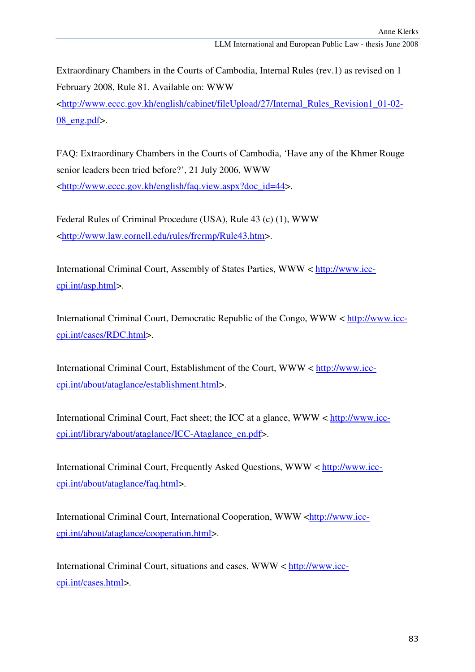Extraordinary Chambers in the Courts of Cambodia, Internal Rules (rev.1) as revised on 1 February 2008, Rule 81. Available on: WWW

<http://www.eccc.gov.kh/english/cabinet/fileUpload/27/Internal\_Rules\_Revision1\_01-02- 08\_eng.pdf>.

FAQ: Extraordinary Chambers in the Courts of Cambodia, 'Have any of the Khmer Rouge senior leaders been tried before?', 21 July 2006, WWW <http://www.eccc.gov.kh/english/faq.view.aspx?doc\_id=44>.

Federal Rules of Criminal Procedure (USA), Rule 43 (c) (1), WWW <http://www.law.cornell.edu/rules/frcrmp/Rule43.htm>.

International Criminal Court, Assembly of States Parties, WWW < http://www.icccpi.int/asp.html>.

International Criminal Court, Democratic Republic of the Congo, WWW < http://www.icccpi.int/cases/RDC.html>.

International Criminal Court, Establishment of the Court, WWW < http://www.icccpi.int/about/ataglance/establishment.html>.

International Criminal Court, Fact sheet; the ICC at a glance, WWW < http://www.icccpi.int/library/about/ataglance/ICC-Ataglance\_en.pdf>.

International Criminal Court, Frequently Asked Questions, WWW < http://www.icccpi.int/about/ataglance/faq.html>.

International Criminal Court, International Cooperation, WWW <http://www.icccpi.int/about/ataglance/cooperation.html>.

International Criminal Court, situations and cases, WWW < http://www.icccpi.int/cases.html>.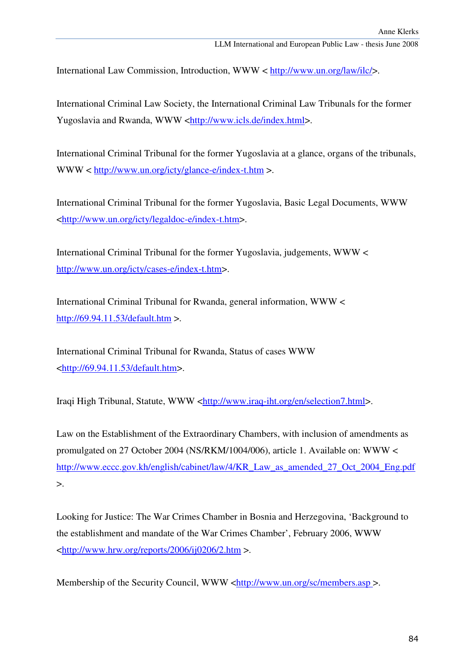International Law Commission, Introduction, WWW < http://www.un.org/law/ilc/>.

International Criminal Law Society, the International Criminal Law Tribunals for the former Yugoslavia and Rwanda, WWW <http://www.icls.de/index.html>.

International Criminal Tribunal for the former Yugoslavia at a glance, organs of the tribunals, WWW < http://www.un.org/icty/glance-e/index-t.htm >.

International Criminal Tribunal for the former Yugoslavia, Basic Legal Documents, WWW <http://www.un.org/icty/legaldoc-e/index-t.htm>.

International Criminal Tribunal for the former Yugoslavia, judgements, WWW < http://www.un.org/icty/cases-e/index-t.htm>.

International Criminal Tribunal for Rwanda, general information, WWW < http://69.94.11.53/default.htm >.

International Criminal Tribunal for Rwanda, Status of cases WWW <http://69.94.11.53/default.htm>.

Iraqi High Tribunal, Statute, WWW <http://www.iraq-iht.org/en/selection7.html>.

Law on the Establishment of the Extraordinary Chambers, with inclusion of amendments as promulgated on 27 October 2004 (NS/RKM/1004/006), article 1. Available on: WWW < http://www.eccc.gov.kh/english/cabinet/law/4/KR\_Law\_as\_amended\_27\_Oct\_2004\_Eng.pdf  $\mathbf{L}$ 

Looking for Justice: The War Crimes Chamber in Bosnia and Herzegovina, 'Background to the establishment and mandate of the War Crimes Chamber', February 2006, WWW  $\langle \frac{http://www.hrw.org/reports/2006/ij0206/2.htm}{http://www.hrw.org/reports/2006/ij0206/2.htm}$ 

Membership of the Security Council, WWW <http://www.un.org/sc/members.asp >.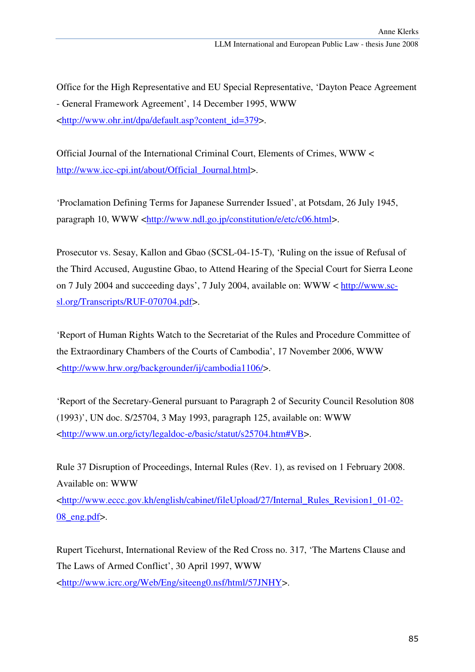Office for the High Representative and EU Special Representative, 'Dayton Peace Agreement - General Framework Agreement', 14 December 1995, WWW <http://www.ohr.int/dpa/default.asp?content\_id=379>.

Official Journal of the International Criminal Court, Elements of Crimes, WWW < http://www.icc-cpi.int/about/Official\_Journal.html>.

'Proclamation Defining Terms for Japanese Surrender Issued', at Potsdam, 26 July 1945, paragraph 10, WWW <http://www.ndl.go.jp/constitution/e/etc/c06.html>.

Prosecutor vs. Sesay, Kallon and Gbao (SCSL-04-15-T), 'Ruling on the issue of Refusal of the Third Accused, Augustine Gbao, to Attend Hearing of the Special Court for Sierra Leone on 7 July 2004 and succeeding days', 7 July 2004, available on: WWW < http://www.scsl.org/Transcripts/RUF-070704.pdf>.

'Report of Human Rights Watch to the Secretariat of the Rules and Procedure Committee of the Extraordinary Chambers of the Courts of Cambodia', 17 November 2006, WWW <http://www.hrw.org/backgrounder/ij/cambodia1106/>.

'Report of the Secretary-General pursuant to Paragraph 2 of Security Council Resolution 808 (1993)', UN doc. S/25704, 3 May 1993, paragraph 125, available on: WWW <http://www.un.org/icty/legaldoc-e/basic/statut/s25704.htm#VB>.

Rule 37 Disruption of Proceedings, Internal Rules (Rev. 1), as revised on 1 February 2008. Available on: WWW

<http://www.eccc.gov.kh/english/cabinet/fileUpload/27/Internal\_Rules\_Revision1\_01-02- 08\_eng.pdf>.

Rupert Ticehurst, International Review of the Red Cross no. 317, 'The Martens Clause and The Laws of Armed Conflict', 30 April 1997, WWW <http://www.icrc.org/Web/Eng/siteeng0.nsf/html/57JNHY>.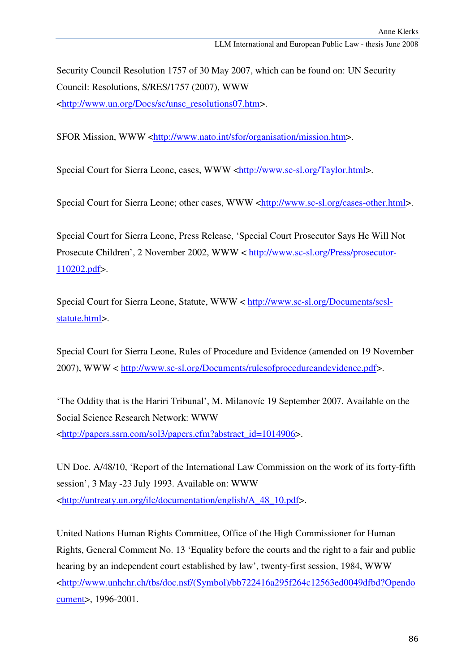Security Council Resolution 1757 of 30 May 2007, which can be found on: UN Security Council: Resolutions, S/RES/1757 (2007), WWW <http://www.un.org/Docs/sc/unsc\_resolutions07.htm>.

SFOR Mission, WWW <http://www.nato.int/sfor/organisation/mission.htm>.

Special Court for Sierra Leone, cases, WWW <http://www.sc-sl.org/Taylor.html>.

Special Court for Sierra Leone; other cases, WWW <http://www.sc-sl.org/cases-other.html>.

Special Court for Sierra Leone, Press Release, 'Special Court Prosecutor Says He Will Not Prosecute Children', 2 November 2002, WWW < http://www.sc-sl.org/Press/prosecutor-110202.pdf>.

Special Court for Sierra Leone, Statute, WWW < http://www.sc-sl.org/Documents/scslstatute.html>.

Special Court for Sierra Leone, Rules of Procedure and Evidence (amended on 19 November 2007), WWW < http://www.sc-sl.org/Documents/rulesofprocedureandevidence.pdf>.

'The Oddity that is the Hariri Tribunal', M. Milanovíc 19 September 2007. Available on the Social Science Research Network: WWW <http://papers.ssrn.com/sol3/papers.cfm?abstract\_id=1014906>.

UN Doc. A/48/10, 'Report of the International Law Commission on the work of its forty-fifth session', 3 May -23 July 1993. Available on: WWW <http://untreaty.un.org/ilc/documentation/english/A\_48\_10.pdf>.

United Nations Human Rights Committee, Office of the High Commissioner for Human Rights, General Comment No. 13 'Equality before the courts and the right to a fair and public hearing by an independent court established by law', twenty-first session, 1984, WWW <http://www.unhchr.ch/tbs/doc.nsf/(Symbol)/bb722416a295f264c12563ed0049dfbd?Opendo cument>, 1996-2001.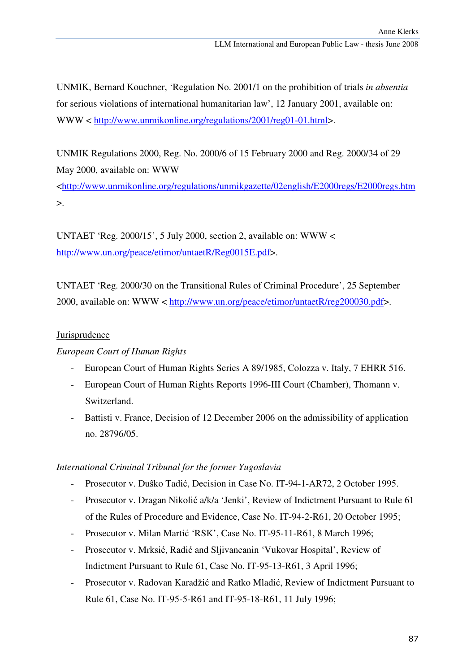UNMIK, Bernard Kouchner, 'Regulation No. 2001/1 on the prohibition of trials *in absentia* for serious violations of international humanitarian law', 12 January 2001, available on: WWW < http://www.unmikonline.org/regulations/2001/reg01-01.html>.

UNMIK Regulations 2000, Reg. No. 2000/6 of 15 February 2000 and Reg. 2000/34 of 29 May 2000, available on: WWW

<http://www.unmikonline.org/regulations/unmikgazette/02english/E2000regs/E2000regs.htm  $>$ .

UNTAET 'Reg. 2000/15', 5 July 2000, section 2, available on: WWW < http://www.un.org/peace/etimor/untaetR/Reg0015E.pdf>.

UNTAET 'Reg. 2000/30 on the Transitional Rules of Criminal Procedure', 25 September 2000, available on: WWW < http://www.un.org/peace/etimor/untaetR/reg200030.pdf>.

# Jurisprudence

# *European Court of Human Rights*

- European Court of Human Rights Series A 89/1985, Colozza v. Italy, 7 EHRR 516.
- European Court of Human Rights Reports 1996-III Court (Chamber), Thomann v. Switzerland.
- Battisti v. France, Decision of 12 December 2006 on the admissibility of application no. 28796/05.

# *International Criminal Tribunal for the former Yugoslavia*

- Prosecutor v. Duŝko Tadić, Decision in Case No. IT-94-1-AR72, 2 October 1995.
- Prosecutor v. Dragan Nikolić a/k/a 'Jenki', Review of Indictment Pursuant to Rule 61 of the Rules of Procedure and Evidence, Case No. IT-94-2-R61, 20 October 1995;
- Prosecutor v. Milan Martić 'RSK', Case No. IT-95-11-R61, 8 March 1996;
- Prosecutor v. Mrksić, Radić and Sljivancanin 'Vukovar Hospital', Review of Indictment Pursuant to Rule 61, Case No. IT-95-13-R61, 3 April 1996;
- Prosecutor v. Radovan Karadžić and Ratko Mladić, Review of Indictment Pursuant to Rule 61, Case No. IT-95-5-R61 and IT-95-18-R61, 11 July 1996;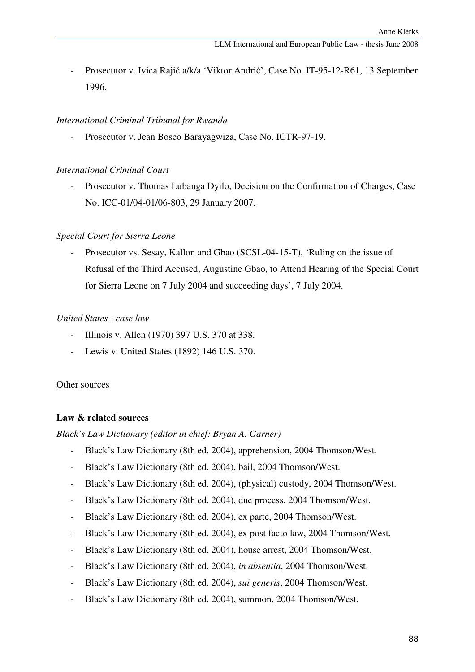- Prosecutor v. Ivica Rajić a/k/a 'Viktor Andrić', Case No. IT-95-12-R61, 13 September 1996.

#### *International Criminal Tribunal for Rwanda*

- Prosecutor v. Jean Bosco Barayagwiza, Case No. ICTR-97-19.

#### *International Criminal Court*

- Prosecutor v. Thomas Lubanga Dyilo, Decision on the Confirmation of Charges, Case No. ICC-01/04-01/06-803, 29 January 2007.

#### *Special Court for Sierra Leone*

- Prosecutor vs. Sesay, Kallon and Gbao (SCSL-04-15-T), 'Ruling on the issue of Refusal of the Third Accused, Augustine Gbao, to Attend Hearing of the Special Court for Sierra Leone on 7 July 2004 and succeeding days', 7 July 2004.

#### *United States - case law*

- Illinois v. Allen (1970) 397 U.S. 370 at 338.
- Lewis v. United States (1892) 146 U.S. 370.

#### Other sources

#### **Law & related sources**

*Black's Law Dictionary (editor in chief: Bryan A. Garner)* 

- Black's Law Dictionary (8th ed. 2004), apprehension, 2004 Thomson/West.
- Black's Law Dictionary (8th ed. 2004), bail, 2004 Thomson/West.
- Black's Law Dictionary (8th ed. 2004), (physical) custody, 2004 Thomson/West.
- Black's Law Dictionary (8th ed. 2004), due process, 2004 Thomson/West.
- Black's Law Dictionary (8th ed. 2004), ex parte, 2004 Thomson/West.
- Black's Law Dictionary (8th ed. 2004), ex post facto law, 2004 Thomson/West.
- Black's Law Dictionary (8th ed. 2004), house arrest, 2004 Thomson/West.
- Black's Law Dictionary (8th ed. 2004), *in absentia*, 2004 Thomson/West.
- Black's Law Dictionary (8th ed. 2004), *sui generis*, 2004 Thomson/West.
- Black's Law Dictionary (8th ed. 2004), summon, 2004 Thomson/West.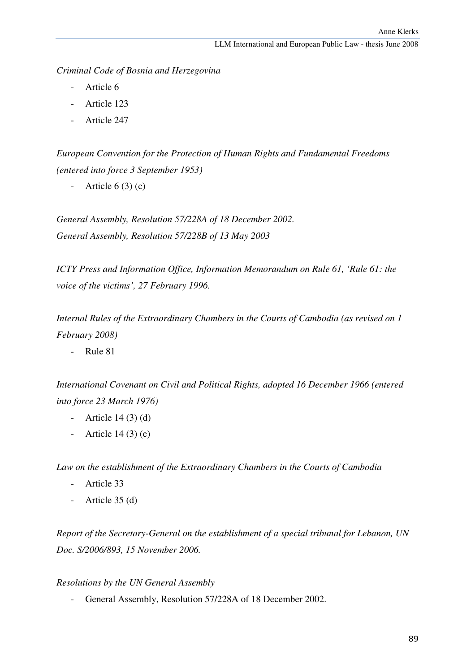*Criminal Code of Bosnia and Herzegovina* 

- Article 6
- Article 123
- Article 247

*European Convention for the Protection of Human Rights and Fundamental Freedoms (entered into force 3 September 1953)* 

- Article  $6(3)(c)$ 

*General Assembly, Resolution 57/228A of 18 December 2002. General Assembly, Resolution 57/228B of 13 May 2003* 

*ICTY Press and Information Office, Information Memorandum on Rule 61, 'Rule 61: the voice of the victims', 27 February 1996.* 

*Internal Rules of the Extraordinary Chambers in the Courts of Cambodia (as revised on 1 February 2008)* 

- Rule 81

*International Covenant on Civil and Political Rights, adopted 16 December 1966 (entered into force 23 March 1976)* 

- Article  $14(3)(d)$
- Article  $14(3)$  (e)

*Law on the establishment of the Extraordinary Chambers in the Courts of Cambodia* 

- Article 33
- Article 35 (d)

*Report of the Secretary-General on the establishment of a special tribunal for Lebanon, UN Doc. S/2006/893, 15 November 2006.* 

### *Resolutions by the UN General Assembly*

- General Assembly, Resolution 57/228A of 18 December 2002.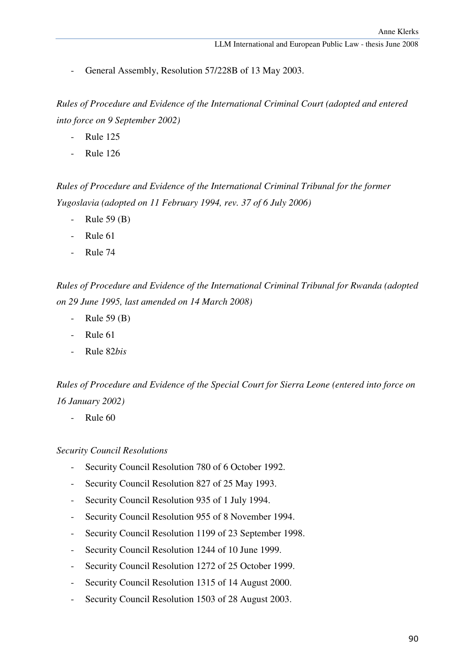General Assembly, Resolution 57/228B of 13 May 2003.

*Rules of Procedure and Evidence of the International Criminal Court (adopted and entered into force on 9 September 2002)*

- Rule 125
- Rule 126

*Rules of Procedure and Evidence of the International Criminal Tribunal for the former Yugoslavia (adopted on 11 February 1994, rev. 37 of 6 July 2006)* 

- Rule 59 (B)
- Rule 61
- Rule 74

*Rules of Procedure and Evidence of the International Criminal Tribunal for Rwanda (adopted on 29 June 1995, last amended on 14 March 2008)*

- Rule 59 (B)
- Rule 61
- Rule 82*bis*

*Rules of Procedure and Evidence of the Special Court for Sierra Leone (entered into force on 16 January 2002)* 

- Rule 60

#### *Security Council Resolutions*

- Security Council Resolution 780 of 6 October 1992.
- Security Council Resolution 827 of 25 May 1993.
- Security Council Resolution 935 of 1 July 1994.
- Security Council Resolution 955 of 8 November 1994.
- Security Council Resolution 1199 of 23 September 1998.
- Security Council Resolution 1244 of 10 June 1999.
- Security Council Resolution 1272 of 25 October 1999.
- Security Council Resolution 1315 of 14 August 2000.
- Security Council Resolution 1503 of 28 August 2003.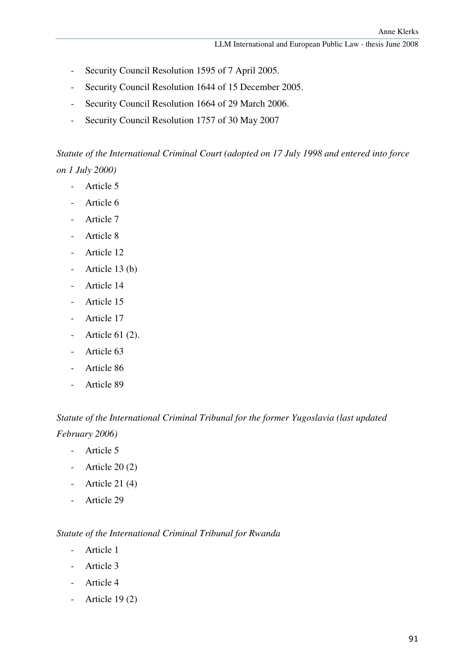- Security Council Resolution 1595 of 7 April 2005.
- Security Council Resolution 1644 of 15 December 2005.
- Security Council Resolution 1664 of 29 March 2006.
- Security Council Resolution 1757 of 30 May 2007

*Statute of the International Criminal Court (adopted on 17 July 1998 and entered into force on 1 July 2000)* 

- Article 5
- Article 6
- Article 7
- Article 8
- Article 12
- Article 13 (b)
- Article 14
- Article 15
- Article 17
- Article 61 (2).
- Article 63
- Article 86
- Article 89

# *Statute of the International Criminal Tribunal for the former Yugoslavia (last updated February 2006)*

- Article 5
- Article  $20(2)$
- Article 21 (4)
- Article 29

### *Statute of the International Criminal Tribunal for Rwanda*

- Article 1
- Article 3
- Article 4
- Article  $19(2)$